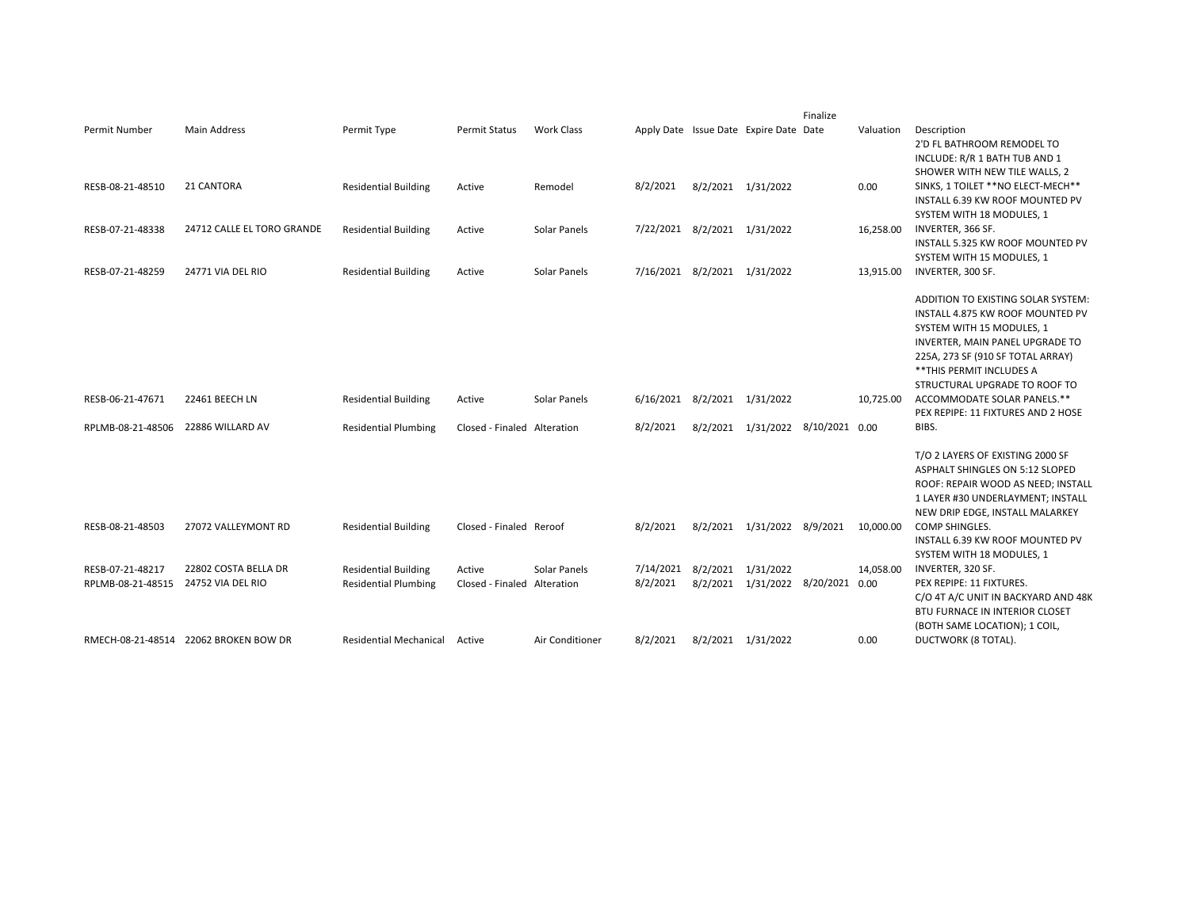|                   |                                       |                               |                             |                   |                              |                    |                                        | Finalize |           |                                                                                                                                                                                                                                           |
|-------------------|---------------------------------------|-------------------------------|-----------------------------|-------------------|------------------------------|--------------------|----------------------------------------|----------|-----------|-------------------------------------------------------------------------------------------------------------------------------------------------------------------------------------------------------------------------------------------|
| Permit Number     | <b>Main Address</b>                   | Permit Type                   | Permit Status               | <b>Work Class</b> |                              |                    | Apply Date Issue Date Expire Date Date |          | Valuation | Description<br>2'D FL BATHROOM REMODEL TO<br>INCLUDE: R/R 1 BATH TUB AND 1                                                                                                                                                                |
| RESB-08-21-48510  | 21 CANTORA                            | <b>Residential Building</b>   | Active                      | Remodel           | 8/2/2021                     |                    | 8/2/2021 1/31/2022                     |          | 0.00      | SHOWER WITH NEW TILE WALLS, 2<br>SINKS, 1 TOILET ** NO ELECT-MECH**<br>INSTALL 6.39 KW ROOF MOUNTED PV<br>SYSTEM WITH 18 MODULES, 1                                                                                                       |
| RESB-07-21-48338  | 24712 CALLE EL TORO GRANDE            | <b>Residential Building</b>   | Active                      | Solar Panels      | 7/22/2021 8/2/2021 1/31/2022 |                    |                                        |          | 16,258.00 | INVERTER, 366 SF.<br>INSTALL 5.325 KW ROOF MOUNTED PV<br>SYSTEM WITH 15 MODULES, 1                                                                                                                                                        |
| RESB-07-21-48259  | 24771 VIA DEL RIO                     | <b>Residential Building</b>   | Active                      | Solar Panels      | 7/16/2021 8/2/2021 1/31/2022 |                    |                                        |          | 13,915.00 | INVERTER, 300 SF.                                                                                                                                                                                                                         |
|                   |                                       |                               |                             |                   |                              |                    |                                        |          |           | ADDITION TO EXISTING SOLAR SYSTEM:<br>INSTALL 4.875 KW ROOF MOUNTED PV<br>SYSTEM WITH 15 MODULES, 1<br>INVERTER, MAIN PANEL UPGRADE TO<br>225A, 273 SF (910 SF TOTAL ARRAY)<br>** THIS PERMIT INCLUDES A<br>STRUCTURAL UPGRADE TO ROOF TO |
| RESB-06-21-47671  | 22461 BEECH LN                        | <b>Residential Building</b>   | Active                      | Solar Panels      | 6/16/2021 8/2/2021 1/31/2022 |                    |                                        |          | 10,725.00 | ACCOMMODATE SOLAR PANELS.**<br>PEX REPIPE: 11 FIXTURES AND 2 HOSE                                                                                                                                                                         |
| RPLMB-08-21-48506 | 22886 WILLARD AV                      | <b>Residential Plumbing</b>   | Closed - Finaled Alteration |                   | 8/2/2021                     |                    | 8/2/2021 1/31/2022 8/10/2021 0.00      |          |           | BIBS.                                                                                                                                                                                                                                     |
|                   |                                       |                               |                             |                   |                              |                    |                                        |          |           | T/O 2 LAYERS OF EXISTING 2000 SF<br>ASPHALT SHINGLES ON 5:12 SLOPED<br>ROOF: REPAIR WOOD AS NEED; INSTALL<br>1 LAYER #30 UNDERLAYMENT; INSTALL<br>NEW DRIP EDGE, INSTALL MALARKEY                                                         |
| RESB-08-21-48503  | 27072 VALLEYMONT RD                   | <b>Residential Building</b>   | Closed - Finaled Reroof     |                   | 8/2/2021                     |                    | 8/2/2021 1/31/2022 8/9/2021 10,000.00  |          |           | COMP SHINGLES.<br>INSTALL 6.39 KW ROOF MOUNTED PV<br>SYSTEM WITH 18 MODULES, 1                                                                                                                                                            |
| RESB-07-21-48217  | 22802 COSTA BELLA DR                  | <b>Residential Building</b>   | Active                      | Solar Panels      | 7/14/2021 8/2/2021 1/31/2022 |                    |                                        |          | 14,058.00 | INVERTER, 320 SF.                                                                                                                                                                                                                         |
| RPLMB-08-21-48515 | 24752 VIA DEL RIO                     | <b>Residential Plumbing</b>   | Closed - Finaled Alteration |                   | 8/2/2021                     |                    | 8/2/2021 1/31/2022 8/20/2021 0.00      |          |           | PEX REPIPE: 11 FIXTURES.<br>C/O 4T A/C UNIT IN BACKYARD AND 48K<br><b>BTU FURNACE IN INTERIOR CLOSET</b><br>(BOTH SAME LOCATION); 1 COIL,                                                                                                 |
|                   | RMECH-08-21-48514 22062 BROKEN BOW DR | Residential Mechanical Active |                             | Air Conditioner   | 8/2/2021                     | 8/2/2021 1/31/2022 |                                        |          | 0.00      | DUCTWORK (8 TOTAL).                                                                                                                                                                                                                       |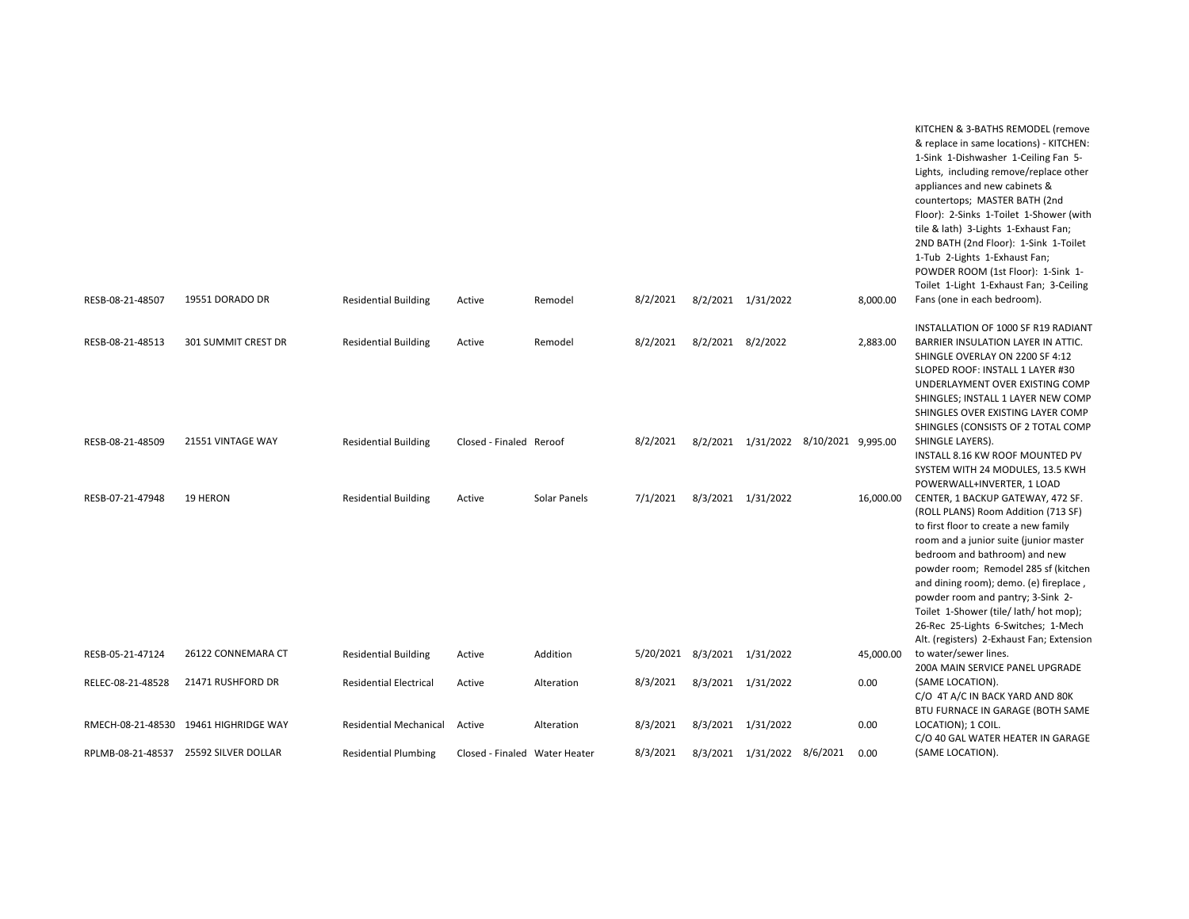| RESB-08-21-48507  | 19551 DORADO DR                       | <b>Residential Building</b>   | Active                        | Remodel      | 8/2/2021                     | 8/2/2021 1/31/2022 |                                       | 8,000.00  | KITCHEN & 3-BATHS REMODEL (remove<br>& replace in same locations) - KITCHEN:<br>1-Sink 1-Dishwasher 1-Ceiling Fan 5-<br>Lights, including remove/replace other<br>appliances and new cabinets &<br>countertops; MASTER BATH (2nd<br>Floor): 2-Sinks 1-Toilet 1-Shower (with<br>tile & lath) 3-Lights 1-Exhaust Fan;<br>2ND BATH (2nd Floor): 1-Sink 1-Toilet<br>1-Tub 2-Lights 1-Exhaust Fan;<br>POWDER ROOM (1st Floor): 1-Sink 1-<br>Toilet 1-Light 1-Exhaust Fan; 3-Ceiling<br>Fans (one in each bedroom). |
|-------------------|---------------------------------------|-------------------------------|-------------------------------|--------------|------------------------------|--------------------|---------------------------------------|-----------|---------------------------------------------------------------------------------------------------------------------------------------------------------------------------------------------------------------------------------------------------------------------------------------------------------------------------------------------------------------------------------------------------------------------------------------------------------------------------------------------------------------|
|                   |                                       |                               |                               |              |                              |                    |                                       |           |                                                                                                                                                                                                                                                                                                                                                                                                                                                                                                               |
| RESB-08-21-48513  | 301 SUMMIT CREST DR                   | <b>Residential Building</b>   | Active                        | Remodel      | 8/2/2021                     | 8/2/2021 8/2/2022  |                                       | 2,883.00  | INSTALLATION OF 1000 SF R19 RADIANT<br>BARRIER INSULATION LAYER IN ATTIC.<br>SHINGLE OVERLAY ON 2200 SF 4:12<br>SLOPED ROOF: INSTALL 1 LAYER #30<br>UNDERLAYMENT OVER EXISTING COMP<br>SHINGLES; INSTALL 1 LAYER NEW COMP<br>SHINGLES OVER EXISTING LAYER COMP<br>SHINGLES (CONSISTS OF 2 TOTAL COMP                                                                                                                                                                                                          |
| RESB-08-21-48509  | 21551 VINTAGE WAY                     | <b>Residential Building</b>   | Closed - Finaled Reroof       |              | 8/2/2021                     |                    | 8/2/2021 1/31/2022 8/10/2021 9,995.00 |           | SHINGLE LAYERS).                                                                                                                                                                                                                                                                                                                                                                                                                                                                                              |
|                   |                                       |                               |                               |              |                              |                    |                                       |           | INSTALL 8.16 KW ROOF MOUNTED PV<br>SYSTEM WITH 24 MODULES, 13.5 KWH<br>POWERWALL+INVERTER, 1 LOAD                                                                                                                                                                                                                                                                                                                                                                                                             |
| RESB-07-21-47948  | 19 HERON                              | <b>Residential Building</b>   | Active                        | Solar Panels | 7/1/2021                     | 8/3/2021 1/31/2022 |                                       | 16,000.00 | CENTER, 1 BACKUP GATEWAY, 472 SF.<br>(ROLL PLANS) Room Addition (713 SF)<br>to first floor to create a new family<br>room and a junior suite (junior master<br>bedroom and bathroom) and new<br>powder room; Remodel 285 sf (kitchen<br>and dining room); demo. (e) fireplace,<br>powder room and pantry; 3-Sink 2-<br>Toilet 1-Shower (tile/lath/hot mop);<br>26-Rec 25-Lights 6-Switches; 1-Mech<br>Alt. (registers) 2-Exhaust Fan; Extension                                                               |
| RESB-05-21-47124  | 26122 CONNEMARA CT                    | <b>Residential Building</b>   | Active                        | Addition     | 5/20/2021 8/3/2021 1/31/2022 |                    |                                       | 45,000.00 | to water/sewer lines.                                                                                                                                                                                                                                                                                                                                                                                                                                                                                         |
| RELEC-08-21-48528 | 21471 RUSHFORD DR                     | <b>Residential Electrical</b> | Active                        | Alteration   | 8/3/2021                     | 8/3/2021 1/31/2022 |                                       | 0.00      | 200A MAIN SERVICE PANEL UPGRADE<br>(SAME LOCATION).<br>C/O 4T A/C IN BACK YARD AND 80K<br>BTU FURNACE IN GARAGE (BOTH SAME                                                                                                                                                                                                                                                                                                                                                                                    |
|                   | RMECH-08-21-48530 19461 HIGHRIDGE WAY | Residential Mechanical Active |                               | Alteration   | 8/3/2021                     | 8/3/2021 1/31/2022 |                                       | 0.00      | LOCATION); 1 COIL.                                                                                                                                                                                                                                                                                                                                                                                                                                                                                            |
|                   | RPLMB-08-21-48537 25592 SILVER DOLLAR | <b>Residential Plumbing</b>   | Closed - Finaled Water Heater |              | 8/3/2021                     |                    | 8/3/2021 1/31/2022 8/6/2021           | 0.00      | C/O 40 GAL WATER HEATER IN GARAGE<br>(SAME LOCATION).                                                                                                                                                                                                                                                                                                                                                                                                                                                         |
|                   |                                       |                               |                               |              |                              |                    |                                       |           |                                                                                                                                                                                                                                                                                                                                                                                                                                                                                                               |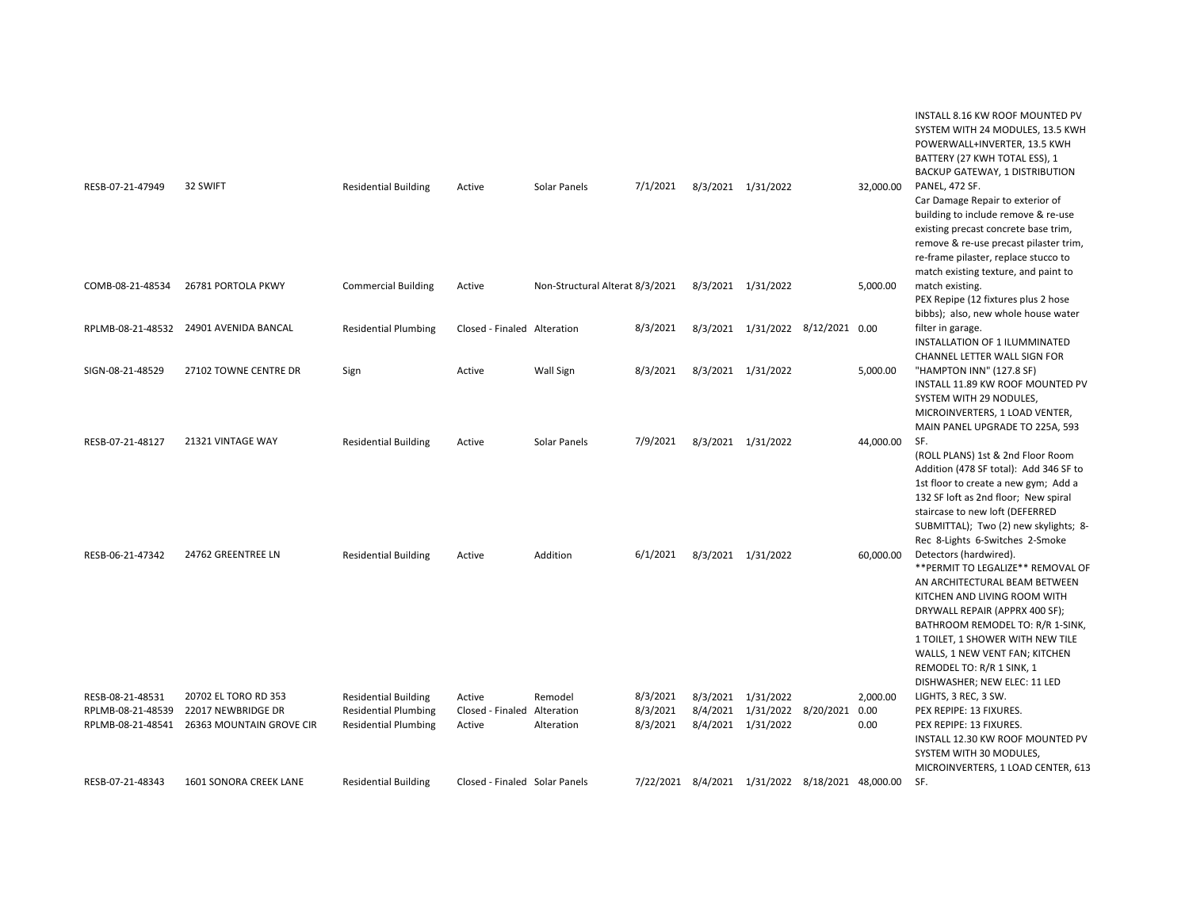| RESB-07-21-47949                                           | 32 SWIFT                                                               | <b>Residential Building</b>                                                               | Active                                          | Solar Panels                    | 7/1/2021                         | 8/3/2021 1/31/2022                       |                                                  | 32,000.00                | INSTALL 8.16 KW ROOF MOUNTED PV<br>SYSTEM WITH 24 MODULES, 13.5 KWH<br>POWERWALL+INVERTER, 13.5 KWH<br>BATTERY (27 KWH TOTAL ESS), 1<br>BACKUP GATEWAY, 1 DISTRIBUTION<br><b>PANEL, 472 SF.</b><br>Car Damage Repair to exterior of<br>building to include remove & re-use<br>existing precast concrete base trim,<br>remove & re-use precast pilaster trim,<br>re-frame pilaster, replace stucco to |
|------------------------------------------------------------|------------------------------------------------------------------------|-------------------------------------------------------------------------------------------|-------------------------------------------------|---------------------------------|----------------------------------|------------------------------------------|--------------------------------------------------|--------------------------|------------------------------------------------------------------------------------------------------------------------------------------------------------------------------------------------------------------------------------------------------------------------------------------------------------------------------------------------------------------------------------------------------|
| COMB-08-21-48534                                           | 26781 PORTOLA PKWY                                                     | <b>Commercial Building</b>                                                                | Active                                          | Non-Structural Alterat 8/3/2021 |                                  | 8/3/2021 1/31/2022                       |                                                  | 5,000.00                 | match existing texture, and paint to<br>match existing.<br>PEX Repipe (12 fixtures plus 2 hose<br>bibbs); also, new whole house water                                                                                                                                                                                                                                                                |
|                                                            | RPLMB-08-21-48532 24901 AVENIDA BANCAL                                 | <b>Residential Plumbing</b>                                                               | Closed - Finaled Alteration                     |                                 | 8/3/2021                         |                                          | 8/3/2021 1/31/2022 8/12/2021 0.00                |                          | filter in garage.<br>INSTALLATION OF 1 ILUMMINATED                                                                                                                                                                                                                                                                                                                                                   |
| SIGN-08-21-48529                                           | 27102 TOWNE CENTRE DR                                                  | Sign                                                                                      | Active                                          | Wall Sign                       | 8/3/2021                         | 8/3/2021 1/31/2022                       |                                                  | 5,000.00                 | CHANNEL LETTER WALL SIGN FOR<br>"HAMPTON INN" (127.8 SF)<br>INSTALL 11.89 KW ROOF MOUNTED PV<br>SYSTEM WITH 29 NODULES,<br>MICROINVERTERS, 1 LOAD VENTER,                                                                                                                                                                                                                                            |
| RESB-07-21-48127                                           | 21321 VINTAGE WAY                                                      | <b>Residential Building</b>                                                               | Active                                          | Solar Panels                    | 7/9/2021                         | 8/3/2021 1/31/2022                       |                                                  | 44,000.00                | MAIN PANEL UPGRADE TO 225A, 593<br>SF.<br>(ROLL PLANS) 1st & 2nd Floor Room<br>Addition (478 SF total): Add 346 SF to<br>1st floor to create a new gym; Add a<br>132 SF loft as 2nd floor; New spiral<br>staircase to new loft (DEFERRED                                                                                                                                                             |
| RESB-06-21-47342                                           | 24762 GREENTREE LN                                                     | <b>Residential Building</b>                                                               | Active                                          | Addition                        | 6/1/2021                         | 8/3/2021 1/31/2022                       |                                                  | 60,000.00                | SUBMITTAL); Two (2) new skylights; 8-<br>Rec 8-Lights 6-Switches 2-Smoke<br>Detectors (hardwired).<br>** PERMIT TO LEGALIZE ** REMOVAL OF<br>AN ARCHITECTURAL BEAM BETWEEN<br>KITCHEN AND LIVING ROOM WITH<br>DRYWALL REPAIR (APPRX 400 SF);<br>BATHROOM REMODEL TO: R/R 1-SINK,<br>1 TOILET, 1 SHOWER WITH NEW TILE                                                                                 |
| RESB-08-21-48531<br>RPLMB-08-21-48539<br>RPLMB-08-21-48541 | 20702 EL TORO RD 353<br>22017 NEWBRIDGE DR<br>26363 MOUNTAIN GROVE CIR | <b>Residential Building</b><br><b>Residential Plumbing</b><br><b>Residential Plumbing</b> | Active<br>Closed - Finaled Alteration<br>Active | Remodel<br>Alteration           | 8/3/2021<br>8/3/2021<br>8/3/2021 | 8/3/2021 1/31/2022<br>8/4/2021 1/31/2022 | 8/4/2021 1/31/2022 8/20/2021                     | 2,000.00<br>0.00<br>0.00 | WALLS, 1 NEW VENT FAN; KITCHEN<br>REMODEL TO: R/R 1 SINK, 1<br>DISHWASHER; NEW ELEC: 11 LED<br>LIGHTS, 3 REC, 3 SW.<br>PEX REPIPE: 13 FIXURES.<br>PEX REPIPE: 13 FIXURES.<br>INSTALL 12.30 KW ROOF MOUNTED PV<br>SYSTEM WITH 30 MODULES,<br>MICROINVERTERS, 1 LOAD CENTER, 613                                                                                                                       |
| RESB-07-21-48343                                           | <b>1601 SONORA CREEK LANE</b>                                          | <b>Residential Building</b>                                                               | Closed - Finaled Solar Panels                   |                                 |                                  |                                          | 7/22/2021 8/4/2021 1/31/2022 8/18/2021 48,000.00 |                          | SF.                                                                                                                                                                                                                                                                                                                                                                                                  |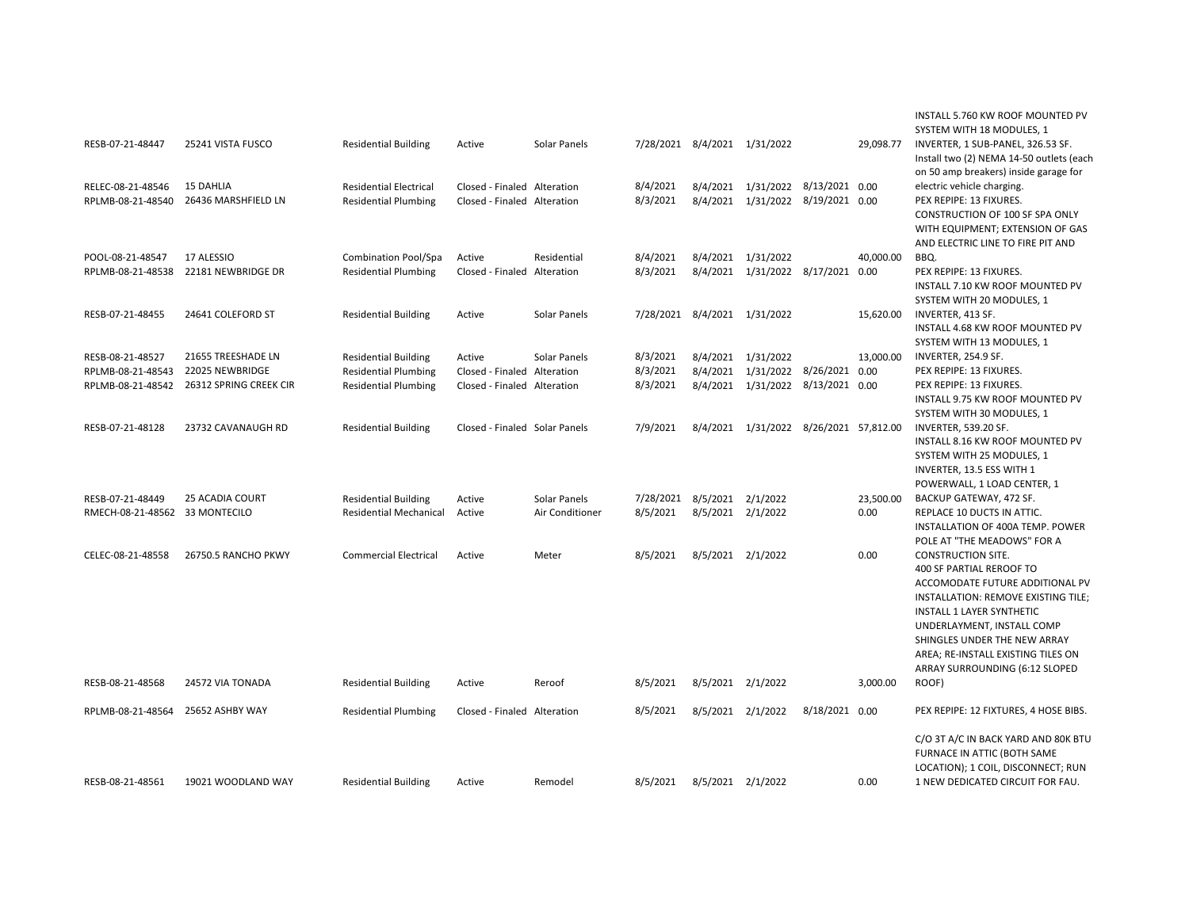| RESB-07-21-48447                       | 25241 VISTA FUSCO                       | <b>Residential Building</b>                                  | Active                                                     | Solar Panels    | 7/28/2021 8/4/2021 1/31/2022 |                   |                                                                        |                | 29,098.77 | INSTALL 5.760 KW ROOF MOUNTED PV<br>SYSTEM WITH 18 MODULES, 1<br>INVERTER, 1 SUB-PANEL, 326.53 SF.<br>Install two (2) NEMA 14-50 outlets (each<br>on 50 amp breakers) inside garage for                                                                                                            |
|----------------------------------------|-----------------------------------------|--------------------------------------------------------------|------------------------------------------------------------|-----------------|------------------------------|-------------------|------------------------------------------------------------------------|----------------|-----------|----------------------------------------------------------------------------------------------------------------------------------------------------------------------------------------------------------------------------------------------------------------------------------------------------|
| RELEC-08-21-48546<br>RPLMB-08-21-48540 | <b>15 DAHLIA</b><br>26436 MARSHFIELD LN | <b>Residential Electrical</b><br><b>Residential Plumbing</b> | Closed - Finaled Alteration<br>Closed - Finaled Alteration |                 | 8/4/2021<br>8/3/2021         |                   | 8/4/2021 1/31/2022 8/13/2021 0.00<br>8/4/2021 1/31/2022 8/19/2021 0.00 |                |           | electric vehicle charging.<br>PEX REPIPE: 13 FIXURES.<br>CONSTRUCTION OF 100 SF SPA ONLY<br>WITH EQUIPMENT; EXTENSION OF GAS                                                                                                                                                                       |
| POOL-08-21-48547<br>RPLMB-08-21-48538  | 17 ALESSIO<br>22181 NEWBRIDGE DR        | Combination Pool/Spa<br><b>Residential Plumbing</b>          | Active<br>Closed - Finaled Alteration                      | Residential     | 8/4/2021<br>8/3/2021         |                   | 8/4/2021 1/31/2022<br>8/4/2021 1/31/2022 8/17/2021 0.00                |                | 40,000.00 | AND ELECTRIC LINE TO FIRE PIT AND<br>BBQ.<br>PEX REPIPE: 13 FIXURES.<br>INSTALL 7.10 KW ROOF MOUNTED PV<br>SYSTEM WITH 20 MODULES, 1                                                                                                                                                               |
| RESB-07-21-48455                       | 24641 COLEFORD ST                       | <b>Residential Building</b>                                  | Active                                                     | Solar Panels    | 7/28/2021 8/4/2021 1/31/2022 |                   |                                                                        |                | 15,620.00 | INVERTER, 413 SF.<br>INSTALL 4.68 KW ROOF MOUNTED PV<br>SYSTEM WITH 13 MODULES, 1                                                                                                                                                                                                                  |
| RESB-08-21-48527                       | 21655 TREESHADE LN                      | <b>Residential Building</b>                                  | Active                                                     | Solar Panels    | 8/3/2021                     |                   | 8/4/2021 1/31/2022                                                     |                | 13,000.00 | INVERTER, 254.9 SF.                                                                                                                                                                                                                                                                                |
| RPLMB-08-21-48543                      | 22025 NEWBRIDGE                         | <b>Residential Plumbing</b>                                  | Closed - Finaled Alteration                                |                 | 8/3/2021                     |                   | 8/4/2021 1/31/2022 8/26/2021 0.00                                      |                |           | PEX REPIPE: 13 FIXURES.                                                                                                                                                                                                                                                                            |
| RPLMB-08-21-48542                      | 26312 SPRING CREEK CIR                  | <b>Residential Plumbing</b>                                  | Closed - Finaled Alteration                                |                 | 8/3/2021                     |                   | 8/4/2021 1/31/2022 8/13/2021 0.00                                      |                |           | PEX REPIPE: 13 FIXURES.                                                                                                                                                                                                                                                                            |
|                                        |                                         |                                                              |                                                            |                 |                              |                   |                                                                        |                |           | INSTALL 9.75 KW ROOF MOUNTED PV<br>SYSTEM WITH 30 MODULES, 1                                                                                                                                                                                                                                       |
| RESB-07-21-48128                       | 23732 CAVANAUGH RD                      | <b>Residential Building</b>                                  | Closed - Finaled Solar Panels                              |                 | 7/9/2021                     |                   | 8/4/2021 1/31/2022 8/26/2021 57,812.00                                 |                |           | INVERTER, 539.20 SF.<br>INSTALL 8.16 KW ROOF MOUNTED PV<br>SYSTEM WITH 25 MODULES, 1<br>INVERTER, 13.5 ESS WITH 1<br>POWERWALL, 1 LOAD CENTER, 1                                                                                                                                                   |
| RESB-07-21-48449                       | <b>25 ACADIA COURT</b>                  | <b>Residential Building</b>                                  | Active                                                     | Solar Panels    | 7/28/2021                    | 8/5/2021 2/1/2022 |                                                                        |                | 23,500.00 | BACKUP GATEWAY, 472 SF.                                                                                                                                                                                                                                                                            |
| RMECH-08-21-48562 33 MONTECILO         |                                         | <b>Residential Mechanical</b>                                | Active                                                     | Air Conditioner | 8/5/2021                     | 8/5/2021 2/1/2022 |                                                                        |                | 0.00      | REPLACE 10 DUCTS IN ATTIC.<br>INSTALLATION OF 400A TEMP. POWER<br>POLE AT "THE MEADOWS" FOR A                                                                                                                                                                                                      |
| CELEC-08-21-48558                      | 26750.5 RANCHO PKWY                     | <b>Commercial Electrical</b>                                 | Active                                                     | Meter           | 8/5/2021                     | 8/5/2021 2/1/2022 |                                                                        |                | 0.00      | <b>CONSTRUCTION SITE.</b><br>400 SF PARTIAL REROOF TO<br>ACCOMODATE FUTURE ADDITIONAL PV<br>INSTALLATION: REMOVE EXISTING TILE;<br>INSTALL 1 LAYER SYNTHETIC<br>UNDERLAYMENT, INSTALL COMP<br>SHINGLES UNDER THE NEW ARRAY<br>AREA; RE-INSTALL EXISTING TILES ON<br>ARRAY SURROUNDING (6:12 SLOPED |
| RESB-08-21-48568                       | 24572 VIA TONADA                        | <b>Residential Building</b>                                  | Active                                                     | Reroof          | 8/5/2021                     | 8/5/2021 2/1/2022 |                                                                        |                | 3,000.00  | ROOF)                                                                                                                                                                                                                                                                                              |
| RPLMB-08-21-48564                      | 25652 ASHBY WAY                         | <b>Residential Plumbing</b>                                  | Closed - Finaled Alteration                                |                 | 8/5/2021                     | 8/5/2021 2/1/2022 |                                                                        | 8/18/2021 0.00 |           | PEX REPIPE: 12 FIXTURES, 4 HOSE BIBS.                                                                                                                                                                                                                                                              |
| RESB-08-21-48561                       | 19021 WOODLAND WAY                      | <b>Residential Building</b>                                  | Active                                                     | Remodel         | 8/5/2021                     | 8/5/2021 2/1/2022 |                                                                        |                | 0.00      | C/O 3T A/C IN BACK YARD AND 80K BTU<br>FURNACE IN ATTIC (BOTH SAME<br>LOCATION); 1 COIL, DISCONNECT; RUN<br>1 NEW DEDICATED CIRCUIT FOR FAU.                                                                                                                                                       |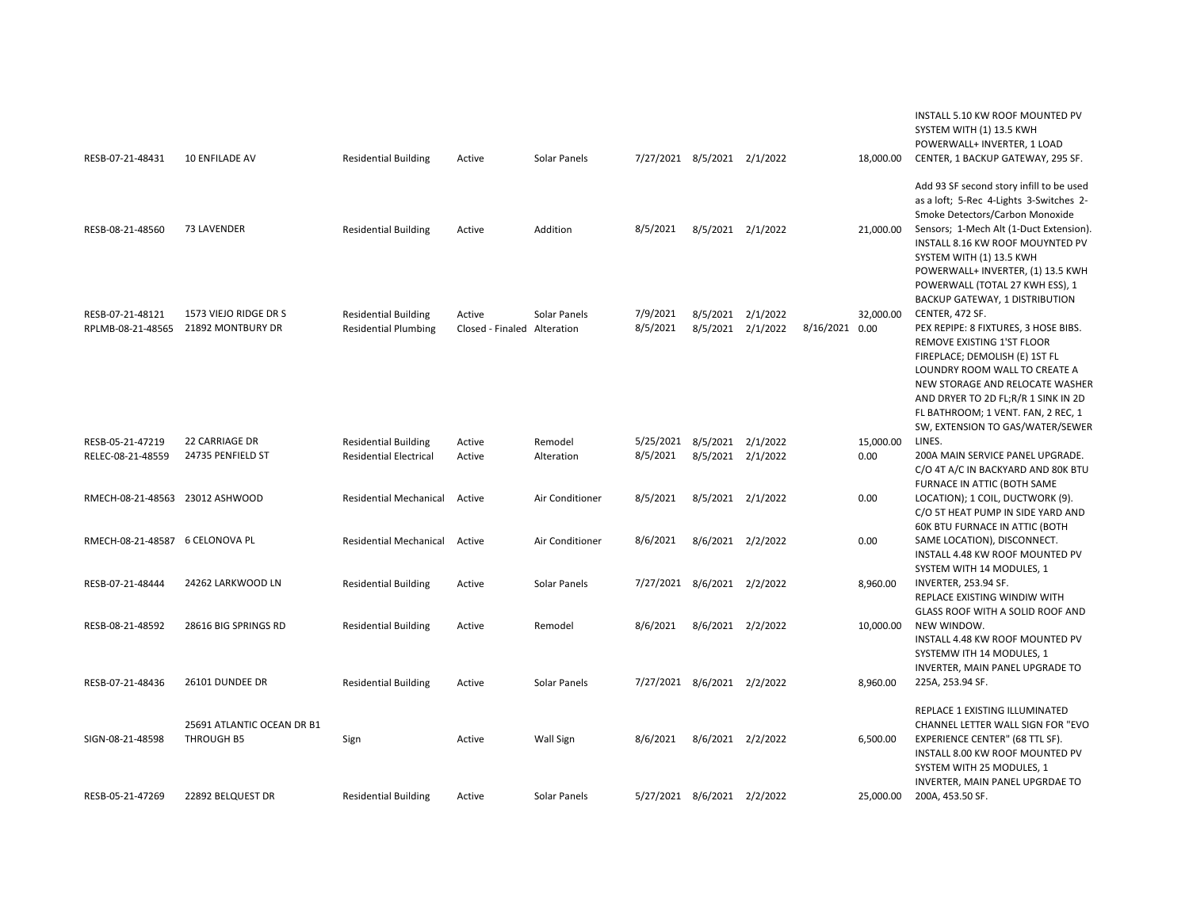| RESB-07-21-48431                      | 10 ENFILADE AV                             | <b>Residential Building</b>                                  | Active                                | Solar Panels          | 7/27/2021 8/5/2021 2/1/2022             |                   |                   |                | 18,000.00         | INSTALL 5.10 KW ROOF MOUNTED PV<br>SYSTEM WITH (1) 13.5 KWH<br>POWERWALL+ INVERTER, 1 LOAD<br>CENTER, 1 BACKUP GATEWAY, 295 SF.                                                                                                                                        |
|---------------------------------------|--------------------------------------------|--------------------------------------------------------------|---------------------------------------|-----------------------|-----------------------------------------|-------------------|-------------------|----------------|-------------------|------------------------------------------------------------------------------------------------------------------------------------------------------------------------------------------------------------------------------------------------------------------------|
| RESB-08-21-48560                      | 73 LAVENDER                                | <b>Residential Building</b>                                  | Active                                | Addition              | 8/5/2021                                | 8/5/2021 2/1/2022 |                   |                | 21,000.00         | Add 93 SF second story infill to be used<br>as a loft; 5-Rec 4-Lights 3-Switches 2-<br>Smoke Detectors/Carbon Monoxide<br>Sensors; 1-Mech Alt (1-Duct Extension).<br>INSTALL 8.16 KW ROOF MOUYNTED PV<br>SYSTEM WITH (1) 13.5 KWH<br>POWERWALL+ INVERTER, (1) 13.5 KWH |
| RESB-07-21-48121<br>RPLMB-08-21-48565 | 1573 VIEJO RIDGE DR S<br>21892 MONTBURY DR | <b>Residential Building</b><br><b>Residential Plumbing</b>   | Active<br>Closed - Finaled Alteration | Solar Panels          | 7/9/2021<br>8/5/2021                    | 8/5/2021 2/1/2022 | 8/5/2021 2/1/2022 | 8/16/2021 0.00 | 32,000.00         | POWERWALL (TOTAL 27 KWH ESS), 1<br>BACKUP GATEWAY, 1 DISTRIBUTION<br>CENTER, 472 SF.<br>PEX REPIPE: 8 FIXTURES, 3 HOSE BIBS.<br>REMOVE EXISTING 1'ST FLOOR                                                                                                             |
|                                       |                                            |                                                              |                                       |                       |                                         |                   |                   |                |                   | FIREPLACE; DEMOLISH (E) 1ST FL<br>LOUNDRY ROOM WALL TO CREATE A<br>NEW STORAGE AND RELOCATE WASHER<br>AND DRYER TO 2D FL;R/R 1 SINK IN 2D<br>FL BATHROOM; 1 VENT. FAN, 2 REC, 1                                                                                        |
| RESB-05-21-47219<br>RELEC-08-21-48559 | <b>22 CARRIAGE DR</b><br>24735 PENFIELD ST | <b>Residential Building</b><br><b>Residential Electrical</b> | Active<br>Active                      | Remodel<br>Alteration | 5/25/2021 8/5/2021 2/1/2022<br>8/5/2021 | 8/5/2021 2/1/2022 |                   |                | 15,000.00<br>0.00 | SW, EXTENSION TO GAS/WATER/SEWER<br>LINES.<br>200A MAIN SERVICE PANEL UPGRADE.<br>C/O 4T A/C IN BACKYARD AND 80K BTU                                                                                                                                                   |
| RMECH-08-21-48563 23012 ASHWOOD       |                                            | <b>Residential Mechanical</b>                                | Active                                | Air Conditioner       | 8/5/2021                                | 8/5/2021 2/1/2022 |                   |                | 0.00              | FURNACE IN ATTIC (BOTH SAME<br>LOCATION); 1 COIL, DUCTWORK (9).<br>C/O 5T HEAT PUMP IN SIDE YARD AND<br><b>60K BTU FURNACE IN ATTIC (BOTH</b>                                                                                                                          |
| RMECH-08-21-48587 6 CELONOVA PL       |                                            | <b>Residential Mechanical</b>                                | Active                                | Air Conditioner       | 8/6/2021                                | 8/6/2021 2/2/2022 |                   |                | 0.00              | SAME LOCATION), DISCONNECT.<br>INSTALL 4.48 KW ROOF MOUNTED PV<br>SYSTEM WITH 14 MODULES, 1                                                                                                                                                                            |
| RESB-07-21-48444                      | 24262 LARKWOOD LN                          | <b>Residential Building</b>                                  | Active                                | Solar Panels          | 7/27/2021 8/6/2021 2/2/2022             |                   |                   |                | 8,960.00          | INVERTER, 253.94 SF.<br>REPLACE EXISTING WINDIW WITH<br>GLASS ROOF WITH A SOLID ROOF AND                                                                                                                                                                               |
| RESB-08-21-48592                      | 28616 BIG SPRINGS RD                       | <b>Residential Building</b>                                  | Active                                | Remodel               | 8/6/2021                                | 8/6/2021 2/2/2022 |                   |                | 10,000.00         | NEW WINDOW.<br>INSTALL 4.48 KW ROOF MOUNTED PV<br>SYSTEMW ITH 14 MODULES, 1                                                                                                                                                                                            |
| RESB-07-21-48436                      | 26101 DUNDEE DR                            | <b>Residential Building</b>                                  | Active                                | Solar Panels          | 7/27/2021 8/6/2021 2/2/2022             |                   |                   |                | 8,960.00          | INVERTER, MAIN PANEL UPGRADE TO<br>225A, 253.94 SF.                                                                                                                                                                                                                    |
| SIGN-08-21-48598                      | 25691 ATLANTIC OCEAN DR B1<br>THROUGH B5   | Sign                                                         | Active                                | <b>Wall Sign</b>      | 8/6/2021                                | 8/6/2021 2/2/2022 |                   |                | 6,500.00          | REPLACE 1 EXISTING ILLUMINATED<br>CHANNEL LETTER WALL SIGN FOR "EVO<br>EXPERIENCE CENTER" (68 TTL SF).<br>INSTALL 8.00 KW ROOF MOUNTED PV<br>SYSTEM WITH 25 MODULES, 1                                                                                                 |
| RESB-05-21-47269                      | 22892 BELQUEST DR                          | <b>Residential Building</b>                                  | Active                                | Solar Panels          | 5/27/2021 8/6/2021 2/2/2022             |                   |                   |                | 25,000.00         | INVERTER, MAIN PANEL UPGRDAE TO<br>200A, 453.50 SF.                                                                                                                                                                                                                    |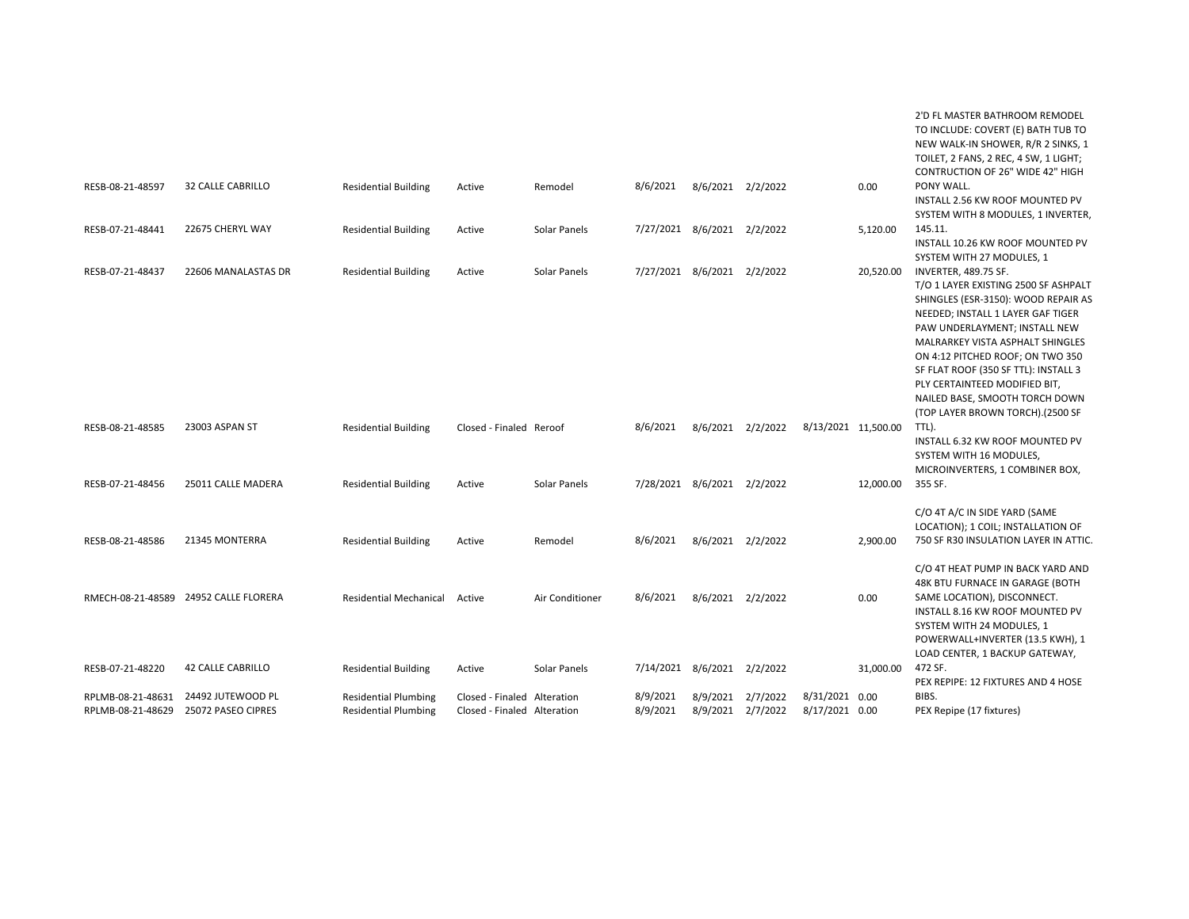|                                        |                                         |                                                            |                                                            |                 |                             |                               |          |                                  |           | 2'D FL MASTER BATHROOM REMODEL<br>TO INCLUDE: COVERT (E) BATH TUB TO<br>NEW WALK-IN SHOWER, R/R 2 SINKS, 1<br>TOILET, 2 FANS, 2 REC, 4 SW, 1 LIGHT;<br>CONTRUCTION OF 26" WIDE 42" HIGH                                                                                                                                                                                                          |
|----------------------------------------|-----------------------------------------|------------------------------------------------------------|------------------------------------------------------------|-----------------|-----------------------------|-------------------------------|----------|----------------------------------|-----------|--------------------------------------------------------------------------------------------------------------------------------------------------------------------------------------------------------------------------------------------------------------------------------------------------------------------------------------------------------------------------------------------------|
| RESB-08-21-48597                       | <b>32 CALLE CABRILLO</b>                | <b>Residential Building</b>                                | Active                                                     | Remodel         | 8/6/2021                    | 8/6/2021 2/2/2022             |          |                                  | 0.00      | PONY WALL.<br>INSTALL 2.56 KW ROOF MOUNTED PV<br>SYSTEM WITH 8 MODULES, 1 INVERTER,                                                                                                                                                                                                                                                                                                              |
| RESB-07-21-48441                       | 22675 CHERYL WAY                        | <b>Residential Building</b>                                | Active                                                     | Solar Panels    | 7/27/2021 8/6/2021 2/2/2022 |                               |          |                                  | 5,120.00  | 145.11.<br>INSTALL 10.26 KW ROOF MOUNTED PV<br>SYSTEM WITH 27 MODULES, 1                                                                                                                                                                                                                                                                                                                         |
| RESB-07-21-48437                       | 22606 MANALASTAS DR                     | <b>Residential Building</b>                                | Active                                                     | Solar Panels    | 7/27/2021 8/6/2021 2/2/2022 |                               |          |                                  | 20,520.00 | INVERTER, 489.75 SF.<br>T/O 1 LAYER EXISTING 2500 SF ASHPALT<br>SHINGLES (ESR-3150): WOOD REPAIR AS<br>NEEDED; INSTALL 1 LAYER GAF TIGER<br>PAW UNDERLAYMENT; INSTALL NEW<br>MALRARKEY VISTA ASPHALT SHINGLES<br>ON 4:12 PITCHED ROOF; ON TWO 350<br>SF FLAT ROOF (350 SF TTL): INSTALL 3<br>PLY CERTAINTEED MODIFIED BIT,<br>NAILED BASE, SMOOTH TORCH DOWN<br>(TOP LAYER BROWN TORCH).(2500 SF |
| RESB-08-21-48585                       | 23003 ASPAN ST                          | <b>Residential Building</b>                                | Closed - Finaled Reroof                                    |                 | 8/6/2021                    | 8/6/2021 2/2/2022             |          | 8/13/2021 11,500.00              |           | TTL).<br>INSTALL 6.32 KW ROOF MOUNTED PV<br>SYSTEM WITH 16 MODULES,<br>MICROINVERTERS, 1 COMBINER BOX,                                                                                                                                                                                                                                                                                           |
| RESB-07-21-48456                       | 25011 CALLE MADERA                      | <b>Residential Building</b>                                | Active                                                     | Solar Panels    | 7/28/2021 8/6/2021 2/2/2022 |                               |          |                                  | 12,000.00 | 355 SF.                                                                                                                                                                                                                                                                                                                                                                                          |
| RESB-08-21-48586                       | 21345 MONTERRA                          | <b>Residential Building</b>                                | Active                                                     | Remodel         | 8/6/2021                    | 8/6/2021 2/2/2022             |          |                                  | 2,900.00  | C/O 4T A/C IN SIDE YARD (SAME<br>LOCATION); 1 COIL; INSTALLATION OF<br>750 SF R30 INSULATION LAYER IN ATTIC.                                                                                                                                                                                                                                                                                     |
|                                        | RMECH-08-21-48589 24952 CALLE FLORERA   | <b>Residential Mechanical</b>                              | Active                                                     | Air Conditioner | 8/6/2021                    | 8/6/2021 2/2/2022             |          |                                  | 0.00      | C/O 4T HEAT PUMP IN BACK YARD AND<br>48K BTU FURNACE IN GARAGE (BOTH<br>SAME LOCATION), DISCONNECT.<br>INSTALL 8.16 KW ROOF MOUNTED PV<br>SYSTEM WITH 24 MODULES, 1<br>POWERWALL+INVERTER (13.5 KWH), 1<br>LOAD CENTER, 1 BACKUP GATEWAY,                                                                                                                                                        |
| RESB-07-21-48220                       | <b>42 CALLE CABRILLO</b>                | <b>Residential Building</b>                                | Active                                                     | Solar Panels    | 7/14/2021 8/6/2021 2/2/2022 |                               |          |                                  | 31,000.00 | 472 SF.<br>PEX REPIPE: 12 FIXTURES AND 4 HOSE                                                                                                                                                                                                                                                                                                                                                    |
| RPLMB-08-21-48631<br>RPLMB-08-21-48629 | 24492 JUTEWOOD PL<br>25072 PASEO CIPRES | <b>Residential Plumbing</b><br><b>Residential Plumbing</b> | Closed - Finaled Alteration<br>Closed - Finaled Alteration |                 | 8/9/2021<br>8/9/2021        | 8/9/2021<br>8/9/2021 2/7/2022 | 2/7/2022 | 8/31/2021 0.00<br>8/17/2021 0.00 |           | BIBS.<br>PEX Repipe (17 fixtures)                                                                                                                                                                                                                                                                                                                                                                |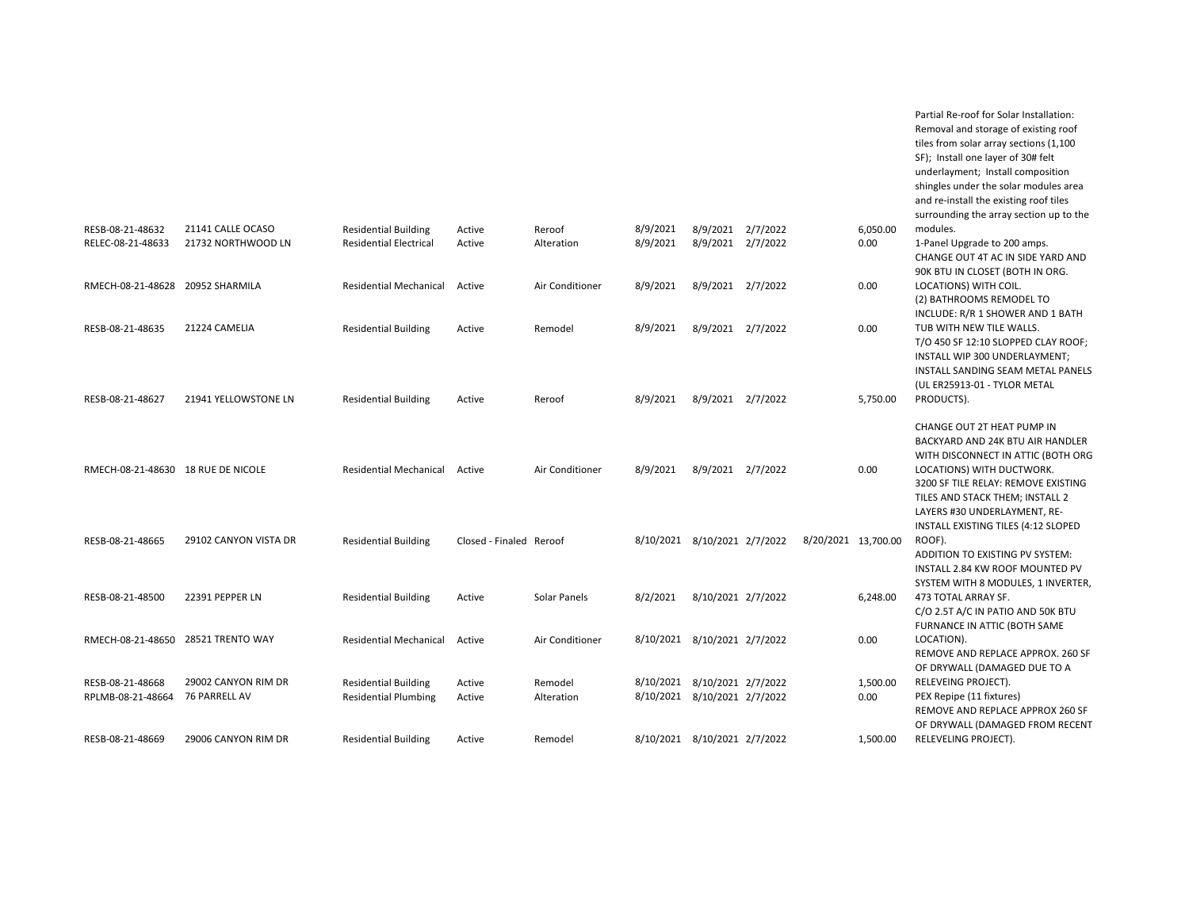|                                    |                       |                               |                         |                 |                              |                    |                     |          | tiles from solar array sections (1,100<br>SF); Install one layer of 30# felt<br>underlayment; Install composition<br>shingles under the solar modules area<br>and re-install the existing roof tiles<br>surrounding the array section up to the |
|------------------------------------|-----------------------|-------------------------------|-------------------------|-----------------|------------------------------|--------------------|---------------------|----------|-------------------------------------------------------------------------------------------------------------------------------------------------------------------------------------------------------------------------------------------------|
| RESB-08-21-48632                   | 21141 CALLE OCASO     | <b>Residential Building</b>   | Active                  | Reroof          | 8/9/2021                     | 8/9/2021 2/7/2022  |                     | 6,050.00 | modules.                                                                                                                                                                                                                                        |
| RELEC-08-21-48633                  | 21732 NORTHWOOD LN    | <b>Residential Electrical</b> | Active                  | Alteration      | 8/9/2021                     | 8/9/2021 2/7/2022  |                     | 0.00     | 1-Panel Upgrade to 200 amps.<br>CHANGE OUT 4T AC IN SIDE YARD AND<br>90K BTU IN CLOSET (BOTH IN ORG.                                                                                                                                            |
| RMECH-08-21-48628 20952 SHARMILA   |                       | <b>Residential Mechanical</b> | Active                  | Air Conditioner | 8/9/2021                     | 8/9/2021 2/7/2022  |                     | 0.00     | LOCATIONS) WITH COIL.<br>(2) BATHROOMS REMODEL TO<br>INCLUDE: R/R 1 SHOWER AND 1 BATH                                                                                                                                                           |
| RESB-08-21-48635                   | 21224 CAMELIA         | <b>Residential Building</b>   | Active                  | Remodel         | 8/9/2021                     | 8/9/2021 2/7/2022  |                     | 0.00     | TUB WITH NEW TILE WALLS.<br>T/O 450 SF 12:10 SLOPPED CLAY ROOF;<br>INSTALL WIP 300 UNDERLAYMENT;<br>INSTALL SANDING SEAM METAL PANELS<br>(UL ER25913-01 - TYLOR METAL                                                                           |
| RESB-08-21-48627                   | 21941 YELLOWSTONE LN  | <b>Residential Building</b>   | Active                  | Reroof          | 8/9/2021                     | 8/9/2021 2/7/2022  |                     | 5,750.00 | PRODUCTS).                                                                                                                                                                                                                                      |
| RMECH-08-21-48630 18 RUE DE NICOLE |                       | <b>Residential Mechanical</b> | Active                  | Air Conditioner | 8/9/2021                     | 8/9/2021 2/7/2022  |                     | 0.00     | CHANGE OUT 2T HEAT PUMP IN<br>BACKYARD AND 24K BTU AIR HANDLER<br>WITH DISCONNECT IN ATTIC (BOTH ORG<br>LOCATIONS) WITH DUCTWORK.<br>3200 SF TILE RELAY: REMOVE EXISTING<br>TILES AND STACK THEM; INSTALL 2<br>LAYERS #30 UNDERLAYMENT, RE-     |
| RESB-08-21-48665                   | 29102 CANYON VISTA DR | <b>Residential Building</b>   | Closed - Finaled Reroof |                 | 8/10/2021 8/10/2021 2/7/2022 |                    | 8/20/2021 13,700.00 |          | INSTALL EXISTING TILES (4:12 SLOPED<br>ROOF).<br>ADDITION TO EXISTING PV SYSTEM:                                                                                                                                                                |
| RESB-08-21-48500                   | 22391 PEPPER LN       | <b>Residential Building</b>   | Active                  | Solar Panels    | 8/2/2021                     | 8/10/2021 2/7/2022 |                     | 6,248.00 | INSTALL 2.84 KW ROOF MOUNTED PV<br>SYSTEM WITH 8 MODULES, 1 INVERTER,<br>473 TOTAL ARRAY SF.<br>C/O 2.5T A/C IN PATIO AND 50K BTU                                                                                                               |
| RMECH-08-21-48650 28521 TRENTO WAY |                       | <b>Residential Mechanical</b> | Active                  | Air Conditioner | 8/10/2021 8/10/2021 2/7/2022 |                    |                     | 0.00     | FURNANCE IN ATTIC (BOTH SAME<br>LOCATION).<br>REMOVE AND REPLACE APPROX. 260 SF                                                                                                                                                                 |
| RESB-08-21-48668                   | 29002 CANYON RIM DR   | <b>Residential Building</b>   | Active                  | Remodel         | 8/10/2021 8/10/2021 2/7/2022 |                    |                     | 1,500.00 | OF DRYWALL (DAMAGED DUE TO A<br>RELEVEING PROJECT).                                                                                                                                                                                             |
| RPLMB-08-21-48664                  | 76 PARRELL AV         | <b>Residential Plumbing</b>   | Active                  | Alteration      | 8/10/2021 8/10/2021 2/7/2022 |                    |                     | 0.00     | PEX Repipe (11 fixtures)<br>REMOVE AND REPLACE APPROX 260 SF<br>OF DRYWALL (DAMAGED FROM RECENT                                                                                                                                                 |
| RESB-08-21-48669                   | 29006 CANYON RIM DR   | <b>Residential Building</b>   | Active                  | Remodel         | 8/10/2021 8/10/2021 2/7/2022 |                    |                     | 1,500.00 | RELEVELING PROJECT).                                                                                                                                                                                                                            |

Partial Re-roof for Solar Installation: Removal and storage of existing roof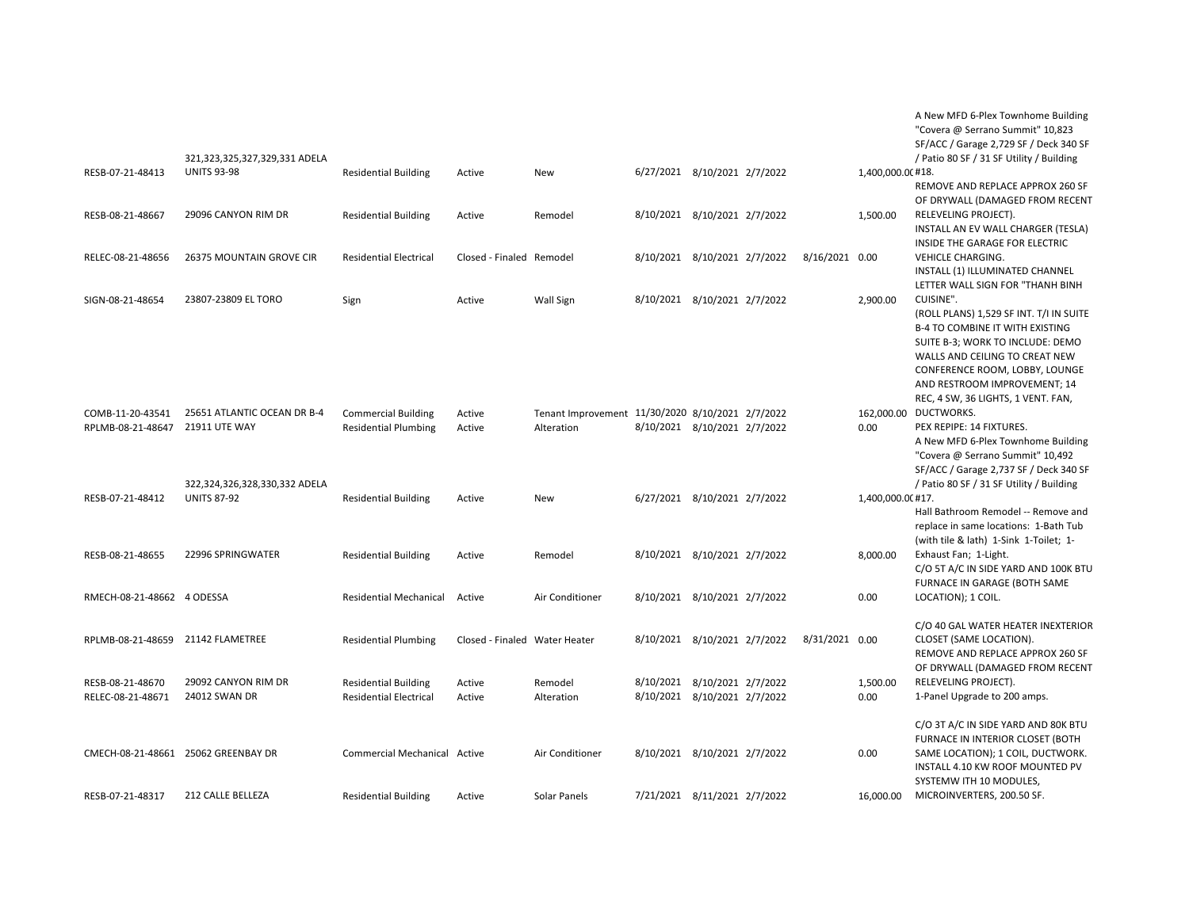|                                       | 321,323,325,327,329,331 ADELA                                                 |                                                              |                               |                                                                |                                                              |  |                |                   | A New MFD 6-Plex Townhome Building<br>"Covera @ Serrano Summit" 10,823<br>SF/ACC / Garage 2,729 SF / Deck 340 SF<br>/ Patio 80 SF / 31 SF Utility / Building                                                                                                          |
|---------------------------------------|-------------------------------------------------------------------------------|--------------------------------------------------------------|-------------------------------|----------------------------------------------------------------|--------------------------------------------------------------|--|----------------|-------------------|-----------------------------------------------------------------------------------------------------------------------------------------------------------------------------------------------------------------------------------------------------------------------|
| RESB-07-21-48413                      | <b>UNITS 93-98</b>                                                            | <b>Residential Building</b>                                  | Active                        | New                                                            | 6/27/2021 8/10/2021 2/7/2022                                 |  |                | 1,400,000.00 #18. | REMOVE AND REPLACE APPROX 260 SF<br>OF DRYWALL (DAMAGED FROM RECENT                                                                                                                                                                                                   |
| RESB-08-21-48667                      | 29096 CANYON RIM DR                                                           | <b>Residential Building</b>                                  | Active                        | Remodel                                                        | 8/10/2021 8/10/2021 2/7/2022                                 |  |                | 1,500.00          | RELEVELING PROJECT).<br>INSTALL AN EV WALL CHARGER (TESLA)<br>INSIDE THE GARAGE FOR ELECTRIC                                                                                                                                                                          |
| RELEC-08-21-48656                     | 26375 MOUNTAIN GROVE CIR                                                      | <b>Residential Electrical</b>                                | Closed - Finaled Remodel      |                                                                | 8/10/2021 8/10/2021 2/7/2022                                 |  | 8/16/2021 0.00 |                   | VEHICLE CHARGING.<br>INSTALL (1) ILLUMINATED CHANNEL<br>LETTER WALL SIGN FOR "THANH BINH                                                                                                                                                                              |
| SIGN-08-21-48654                      | 23807-23809 EL TORO                                                           | Sign                                                         | Active                        | <b>Wall Sign</b>                                               | 8/10/2021 8/10/2021 2/7/2022                                 |  |                | 2,900.00          | CUISINE".<br>(ROLL PLANS) 1,529 SF INT. T/I IN SUITE<br>B-4 TO COMBINE IT WITH EXISTING<br>SUITE B-3; WORK TO INCLUDE: DEMO<br>WALLS AND CEILING TO CREAT NEW<br>CONFERENCE ROOM, LOBBY, LOUNGE<br>AND RESTROOM IMPROVEMENT; 14<br>REC, 4 SW, 36 LIGHTS, 1 VENT. FAN, |
| COMB-11-20-43541<br>RPLMB-08-21-48647 | 25651 ATLANTIC OCEAN DR B-4<br>21911 UTE WAY<br>322,324,326,328,330,332 ADELA | <b>Commercial Building</b><br><b>Residential Plumbing</b>    | Active<br>Active              | Tenant Improvement 11/30/2020 8/10/2021 2/7/2022<br>Alteration | 8/10/2021 8/10/2021 2/7/2022                                 |  |                | 0.00              | 162,000.00 DUCTWORKS.<br>PEX REPIPE: 14 FIXTURES.<br>A New MFD 6-Plex Townhome Building<br>"Covera @ Serrano Summit" 10,492<br>SF/ACC / Garage 2,737 SF / Deck 340 SF<br>/ Patio 80 SF / 31 SF Utility / Building                                                     |
| RESB-07-21-48412                      | <b>UNITS 87-92</b>                                                            | <b>Residential Building</b>                                  | Active                        | New                                                            | 6/27/2021 8/10/2021 2/7/2022                                 |  |                | 1,400,000.0(#17.  | Hall Bathroom Remodel -- Remove and<br>replace in same locations: 1-Bath Tub<br>(with tile & lath) 1-Sink 1-Toilet; 1-                                                                                                                                                |
| RESB-08-21-48655                      | 22996 SPRINGWATER                                                             | <b>Residential Building</b>                                  | Active                        | Remodel                                                        | 8/10/2021 8/10/2021 2/7/2022                                 |  |                | 8,000.00          | Exhaust Fan; 1-Light.<br>C/O 5T A/C IN SIDE YARD AND 100K BTU<br>FURNACE IN GARAGE (BOTH SAME                                                                                                                                                                         |
| RMECH-08-21-48662 4 ODESSA            |                                                                               | <b>Residential Mechanical</b>                                | Active                        | Air Conditioner                                                | 8/10/2021 8/10/2021 2/7/2022                                 |  |                | 0.00              | LOCATION); 1 COIL.                                                                                                                                                                                                                                                    |
| RPLMB-08-21-48659 21142 FLAMETREE     |                                                                               | <b>Residential Plumbing</b>                                  | Closed - Finaled Water Heater |                                                                | 8/10/2021 8/10/2021 2/7/2022                                 |  | 8/31/2021 0.00 |                   | C/O 40 GAL WATER HEATER INEXTERIOR<br>CLOSET (SAME LOCATION).<br>REMOVE AND REPLACE APPROX 260 SF<br>OF DRYWALL (DAMAGED FROM RECENT                                                                                                                                  |
| RESB-08-21-48670<br>RELEC-08-21-48671 | 29092 CANYON RIM DR<br>24012 SWAN DR                                          | <b>Residential Building</b><br><b>Residential Electrical</b> | Active<br>Active              | Remodel<br>Alteration                                          | 8/10/2021 8/10/2021 2/7/2022<br>8/10/2021 8/10/2021 2/7/2022 |  |                | 1,500.00<br>0.00  | RELEVELING PROJECT).<br>1-Panel Upgrade to 200 amps.                                                                                                                                                                                                                  |
|                                       | CMECH-08-21-48661 25062 GREENBAY DR                                           | Commercial Mechanical Active                                 |                               | Air Conditioner                                                | 8/10/2021 8/10/2021 2/7/2022                                 |  |                | 0.00              | C/O 3T A/C IN SIDE YARD AND 80K BTU<br>FURNACE IN INTERIOR CLOSET (BOTH<br>SAME LOCATION); 1 COIL, DUCTWORK.<br>INSTALL 4.10 KW ROOF MOUNTED PV<br>SYSTEMW ITH 10 MODULES,                                                                                            |
| RESB-07-21-48317                      | 212 CALLE BELLEZA                                                             | <b>Residential Building</b>                                  | Active                        | Solar Panels                                                   | 7/21/2021 8/11/2021 2/7/2022                                 |  |                | 16,000.00         | MICROINVERTERS, 200.50 SF.                                                                                                                                                                                                                                            |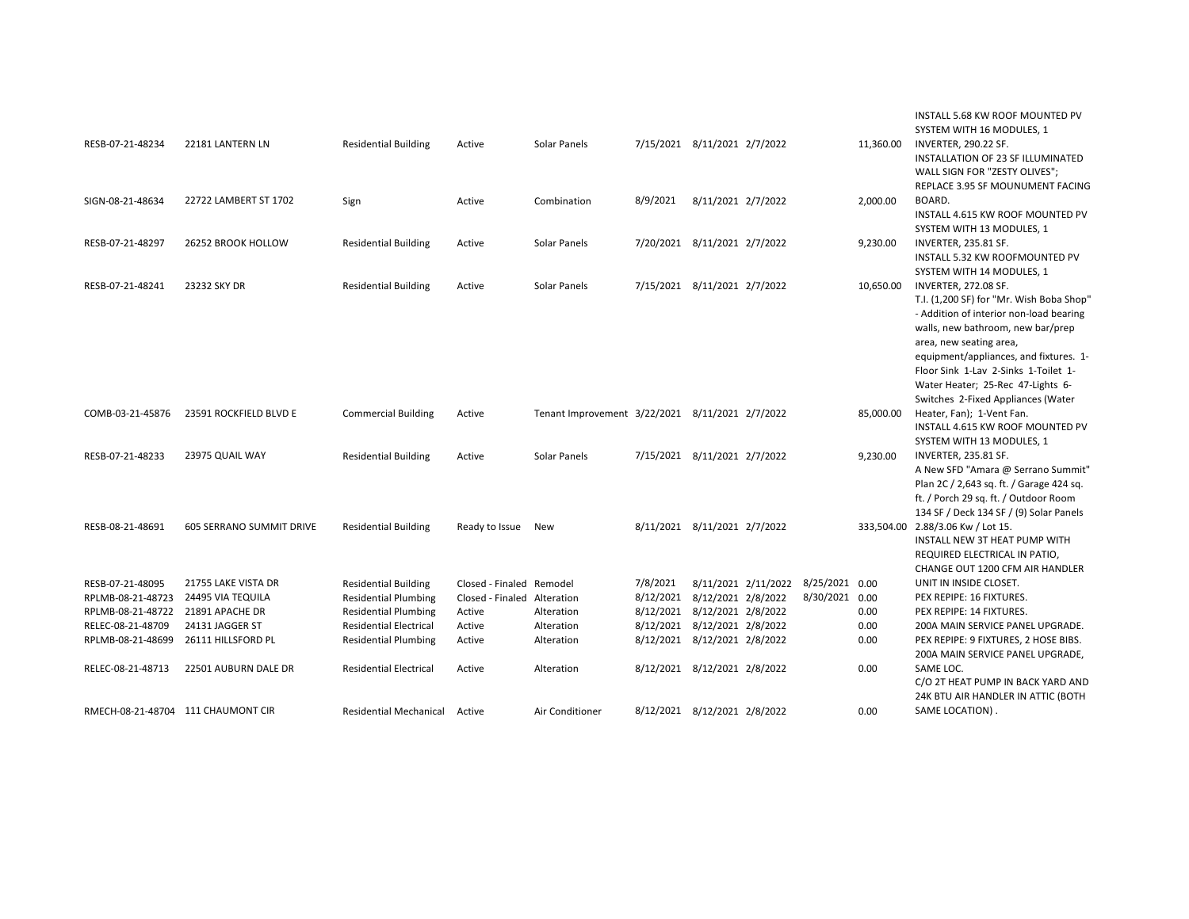| RESB-07-21-48234  | 22181 LANTERN LN                   | <b>Residential Building</b>   | Active                      | Solar Panels    |          | 7/15/2021 8/11/2021 2/7/2022                    |                | 11,360.00 | INSTALL 5.68 KW ROOF MOUNTED PV<br>SYSTEM WITH 16 MODULES, 1<br>INVERTER, 290.22 SF.<br>INSTALLATION OF 23 SF ILLUMINATED<br>WALL SIGN FOR "ZESTY OLIVES";                                                                                                                                                                                      |
|-------------------|------------------------------------|-------------------------------|-----------------------------|-----------------|----------|-------------------------------------------------|----------------|-----------|-------------------------------------------------------------------------------------------------------------------------------------------------------------------------------------------------------------------------------------------------------------------------------------------------------------------------------------------------|
| SIGN-08-21-48634  | 22722 LAMBERT ST 1702              | Sign                          | Active                      | Combination     | 8/9/2021 | 8/11/2021 2/7/2022                              |                | 2,000.00  | REPLACE 3.95 SF MOUNUMENT FACING<br>BOARD.<br>INSTALL 4.615 KW ROOF MOUNTED PV<br>SYSTEM WITH 13 MODULES, 1                                                                                                                                                                                                                                     |
| RESB-07-21-48297  | 26252 BROOK HOLLOW                 | <b>Residential Building</b>   | Active                      | Solar Panels    |          | 7/20/2021 8/11/2021 2/7/2022                    |                | 9,230.00  | <b>INVERTER, 235.81 SF.</b><br>INSTALL 5.32 KW ROOFMOUNTED PV<br>SYSTEM WITH 14 MODULES, 1                                                                                                                                                                                                                                                      |
| RESB-07-21-48241  | 23232 SKY DR                       | <b>Residential Building</b>   | Active                      | Solar Panels    |          | 7/15/2021 8/11/2021 2/7/2022                    |                | 10,650.00 | <b>INVERTER, 272.08 SF.</b><br>T.I. (1,200 SF) for "Mr. Wish Boba Shop"<br>- Addition of interior non-load bearing<br>walls, new bathroom, new bar/prep<br>area, new seating area,<br>equipment/appliances, and fixtures. 1-<br>Floor Sink 1-Lav 2-Sinks 1-Toilet 1-<br>Water Heater; 25-Rec 47-Lights 6-<br>Switches 2-Fixed Appliances (Water |
| COMB-03-21-45876  | 23591 ROCKFIELD BLVD E             | <b>Commercial Building</b>    | Active                      |                 |          | Tenant Improvement 3/22/2021 8/11/2021 2/7/2022 |                | 85,000.00 | Heater, Fan); 1-Vent Fan.<br>INSTALL 4.615 KW ROOF MOUNTED PV<br>SYSTEM WITH 13 MODULES, 1                                                                                                                                                                                                                                                      |
| RESB-07-21-48233  | 23975 QUAIL WAY                    | <b>Residential Building</b>   | Active                      | Solar Panels    |          | 7/15/2021 8/11/2021 2/7/2022                    |                | 9,230.00  | <b>INVERTER, 235.81 SF.</b><br>A New SFD "Amara @ Serrano Summit"<br>Plan 2C / 2,643 sq. ft. / Garage 424 sq.<br>ft. / Porch 29 sq. ft. / Outdoor Room<br>134 SF / Deck 134 SF / (9) Solar Panels                                                                                                                                               |
| RESB-08-21-48691  | 605 SERRANO SUMMIT DRIVE           | <b>Residential Building</b>   | Ready to Issue              | <b>New</b>      |          | 8/11/2021 8/11/2021 2/7/2022                    |                |           | 333,504.00 2.88/3.06 Kw / Lot 15.<br>INSTALL NEW 3T HEAT PUMP WITH<br>REQUIRED ELECTRICAL IN PATIO,<br>CHANGE OUT 1200 CFM AIR HANDLER                                                                                                                                                                                                          |
| RESB-07-21-48095  | 21755 LAKE VISTA DR                | <b>Residential Building</b>   | Closed - Finaled Remodel    |                 | 7/8/2021 | 8/11/2021 2/11/2022                             | 8/25/2021 0.00 |           | UNIT IN INSIDE CLOSET.                                                                                                                                                                                                                                                                                                                          |
| RPLMB-08-21-48723 | 24495 VIA TEQUILA                  | <b>Residential Plumbing</b>   | Closed - Finaled Alteration |                 |          | 8/12/2021 8/12/2021 2/8/2022                    | 8/30/2021 0.00 |           | PEX REPIPE: 16 FIXTURES.                                                                                                                                                                                                                                                                                                                        |
| RPLMB-08-21-48722 | 21891 APACHE DR                    | <b>Residential Plumbing</b>   | Active                      | Alteration      |          | 8/12/2021 8/12/2021 2/8/2022                    |                | 0.00      | PEX REPIPE: 14 FIXTURES.                                                                                                                                                                                                                                                                                                                        |
| RELEC-08-21-48709 | 24131 JAGGER ST                    | <b>Residential Electrical</b> | Active                      | Alteration      |          | 8/12/2021 8/12/2021 2/8/2022                    |                | 0.00      | 200A MAIN SERVICE PANEL UPGRADE.                                                                                                                                                                                                                                                                                                                |
| RPLMB-08-21-48699 | 26111 HILLSFORD PL                 | <b>Residential Plumbing</b>   | Active                      | Alteration      |          | 8/12/2021 8/12/2021 2/8/2022                    |                | 0.00      | PEX REPIPE: 9 FIXTURES, 2 HOSE BIBS.<br>200A MAIN SERVICE PANEL UPGRADE,                                                                                                                                                                                                                                                                        |
| RELEC-08-21-48713 | 22501 AUBURN DALE DR               | <b>Residential Electrical</b> | Active                      | Alteration      |          | 8/12/2021 8/12/2021 2/8/2022                    |                | 0.00      | SAME LOC.<br>C/O 2T HEAT PUMP IN BACK YARD AND<br>24K BTU AIR HANDLER IN ATTIC (BOTH                                                                                                                                                                                                                                                            |
|                   | RMECH-08-21-48704 111 CHAUMONT CIR | Residential Mechanical Active |                             | Air Conditioner |          | 8/12/2021 8/12/2021 2/8/2022                    |                | 0.00      | SAME LOCATION).                                                                                                                                                                                                                                                                                                                                 |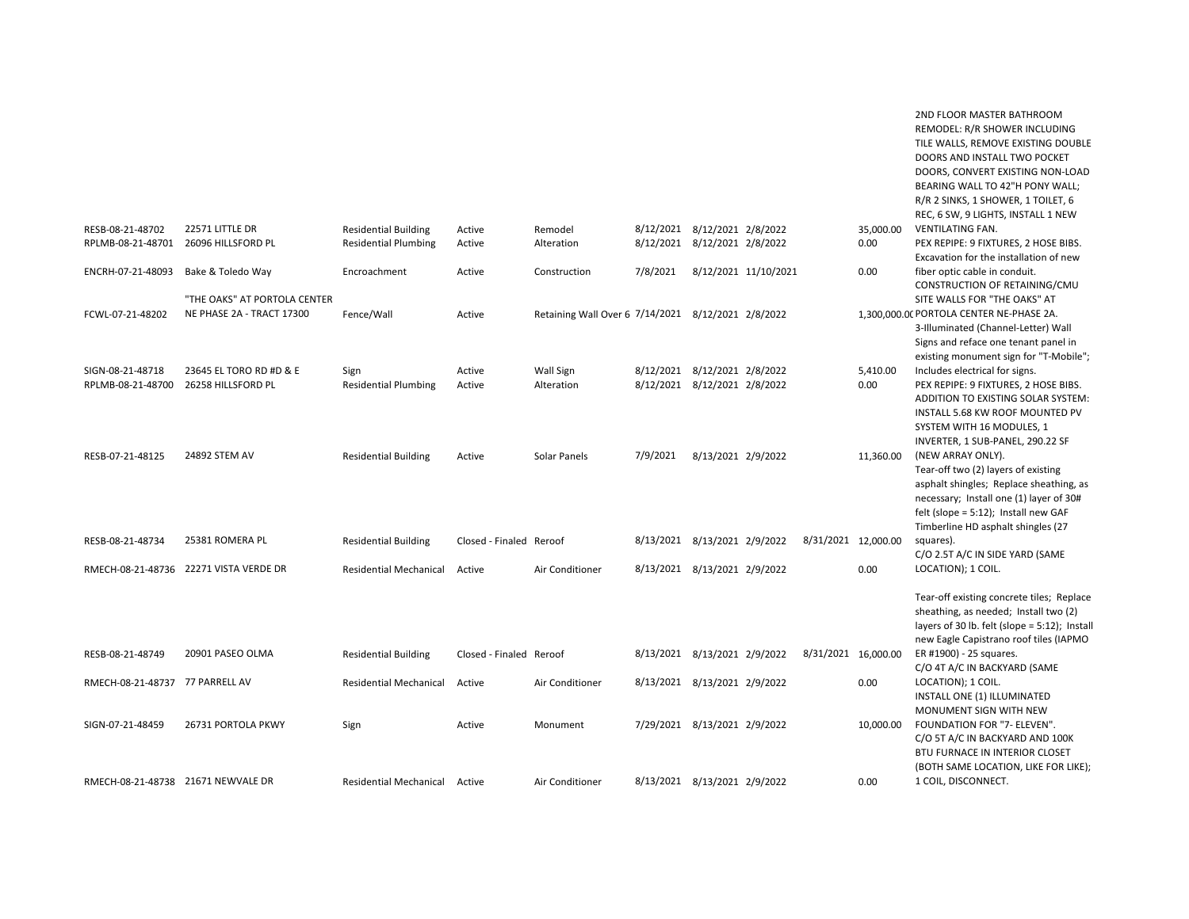|                                    |                                                           |                               |                         |                                                    |          |                              |                      |                     |           | REMODEL: R/R SHOWER INCLUDING<br>TILE WALLS, REMOVE EXISTING DOUBLE<br>DOORS AND INSTALL TWO POCKET<br>DOORS, CONVERT EXISTING NON-LOAD<br>BEARING WALL TO 42"H PONY WALL;<br>R/R 2 SINKS, 1 SHOWER, 1 TOILET, 6                |
|------------------------------------|-----------------------------------------------------------|-------------------------------|-------------------------|----------------------------------------------------|----------|------------------------------|----------------------|---------------------|-----------|---------------------------------------------------------------------------------------------------------------------------------------------------------------------------------------------------------------------------------|
| RESB-08-21-48702                   | 22571 LITTLE DR                                           | <b>Residential Building</b>   | Active                  | Remodel                                            |          | 8/12/2021 8/12/2021 2/8/2022 |                      |                     | 35,000.00 | REC, 6 SW, 9 LIGHTS, INSTALL 1 NEW<br><b>VENTILATING FAN.</b>                                                                                                                                                                   |
| RPLMB-08-21-48701                  | 26096 HILLSFORD PL                                        | <b>Residential Plumbing</b>   | Active                  | Alteration                                         |          | 8/12/2021 8/12/2021 2/8/2022 |                      |                     | 0.00      | PEX REPIPE: 9 FIXTURES, 2 HOSE BIBS.                                                                                                                                                                                            |
| ENCRH-07-21-48093                  | Bake & Toledo Way                                         | Encroachment                  | Active                  | Construction                                       | 7/8/2021 |                              | 8/12/2021 11/10/2021 |                     | 0.00      | Excavation for the installation of new<br>fiber optic cable in conduit.<br>CONSTRUCTION OF RETAINING/CMU                                                                                                                        |
| FCWL-07-21-48202                   | "THE OAKS" AT PORTOLA CENTER<br>NE PHASE 2A - TRACT 17300 | Fence/Wall                    | Active                  | Retaining Wall Over 6 7/14/2021 8/12/2021 2/8/2022 |          |                              |                      |                     |           | SITE WALLS FOR "THE OAKS" AT<br>1,300,000.00 PORTOLA CENTER NE-PHASE 2A.<br>3-Illuminated (Channel-Letter) Wall<br>Signs and reface one tenant panel in                                                                         |
| SIGN-08-21-48718                   | 23645 EL TORO RD #D & E                                   | Sign                          | Active                  | Wall Sign                                          |          | 8/12/2021 8/12/2021 2/8/2022 |                      |                     | 5,410.00  | existing monument sign for "T-Mobile";<br>Includes electrical for signs.                                                                                                                                                        |
| RPLMB-08-21-48700                  | 26258 HILLSFORD PL                                        | <b>Residential Plumbing</b>   | Active                  | Alteration                                         |          | 8/12/2021 8/12/2021 2/8/2022 |                      |                     | 0.00      | PEX REPIPE: 9 FIXTURES, 2 HOSE BIBS.<br>ADDITION TO EXISTING SOLAR SYSTEM:<br>INSTALL 5.68 KW ROOF MOUNTED PV<br>SYSTEM WITH 16 MODULES, 1<br>INVERTER, 1 SUB-PANEL, 290.22 SF                                                  |
| RESB-07-21-48125                   | 24892 STEM AV                                             | <b>Residential Building</b>   | Active                  | Solar Panels                                       | 7/9/2021 | 8/13/2021 2/9/2022           |                      |                     | 11,360.00 | (NEW ARRAY ONLY).<br>Tear-off two (2) layers of existing<br>asphalt shingles; Replace sheathing, as<br>necessary; Install one (1) layer of 30#<br>felt (slope = $5:12$ ); Install new GAF<br>Timberline HD asphalt shingles (27 |
| RESB-08-21-48734                   | 25381 ROMERA PL                                           | <b>Residential Building</b>   | Closed - Finaled Reroof |                                                    |          | 8/13/2021 8/13/2021 2/9/2022 |                      | 8/31/2021 12,000.00 |           | squares).                                                                                                                                                                                                                       |
|                                    | RMECH-08-21-48736 22271 VISTA VERDE DR                    | <b>Residential Mechanical</b> | Active                  | Air Conditioner                                    |          | 8/13/2021 8/13/2021 2/9/2022 |                      |                     | 0.00      | C/O 2.5T A/C IN SIDE YARD (SAME<br>LOCATION); 1 COIL.                                                                                                                                                                           |
|                                    |                                                           |                               |                         |                                                    |          |                              |                      |                     |           | Tear-off existing concrete tiles; Replace<br>sheathing, as needed; Install two (2)<br>layers of 30 lb. felt (slope = 5:12); Install<br>new Eagle Capistrano roof tiles (IAPMO                                                   |
| RESB-08-21-48749                   | 20901 PASEO OLMA                                          | <b>Residential Building</b>   | Closed - Finaled Reroof |                                                    |          | 8/13/2021 8/13/2021 2/9/2022 |                      | 8/31/2021 16,000.00 |           | ER #1900) - 25 squares.                                                                                                                                                                                                         |
| RMECH-08-21-48737 77 PARRELL AV    |                                                           | <b>Residential Mechanical</b> | Active                  | Air Conditioner                                    |          | 8/13/2021 8/13/2021 2/9/2022 |                      |                     | 0.00      | C/O 4T A/C IN BACKYARD (SAME<br>LOCATION); 1 COIL.<br>INSTALL ONE (1) ILLUMINATED                                                                                                                                               |
| SIGN-07-21-48459                   | 26731 PORTOLA PKWY                                        | Sign                          | Active                  | Monument                                           |          | 7/29/2021 8/13/2021 2/9/2022 |                      |                     | 10,000.00 | MONUMENT SIGN WITH NEW<br>FOUNDATION FOR "7- ELEVEN".<br>C/O 5T A/C IN BACKYARD AND 100K<br>BTU FURNACE IN INTERIOR CLOSET                                                                                                      |
| RMECH-08-21-48738 21671 NEWVALE DR |                                                           | Residential Mechanical Active |                         | Air Conditioner                                    |          | 8/13/2021 8/13/2021 2/9/2022 |                      |                     | 0.00      | (BOTH SAME LOCATION, LIKE FOR LIKE);<br>1 COIL, DISCONNECT.                                                                                                                                                                     |

2ND FLOOR MASTER BATHROOM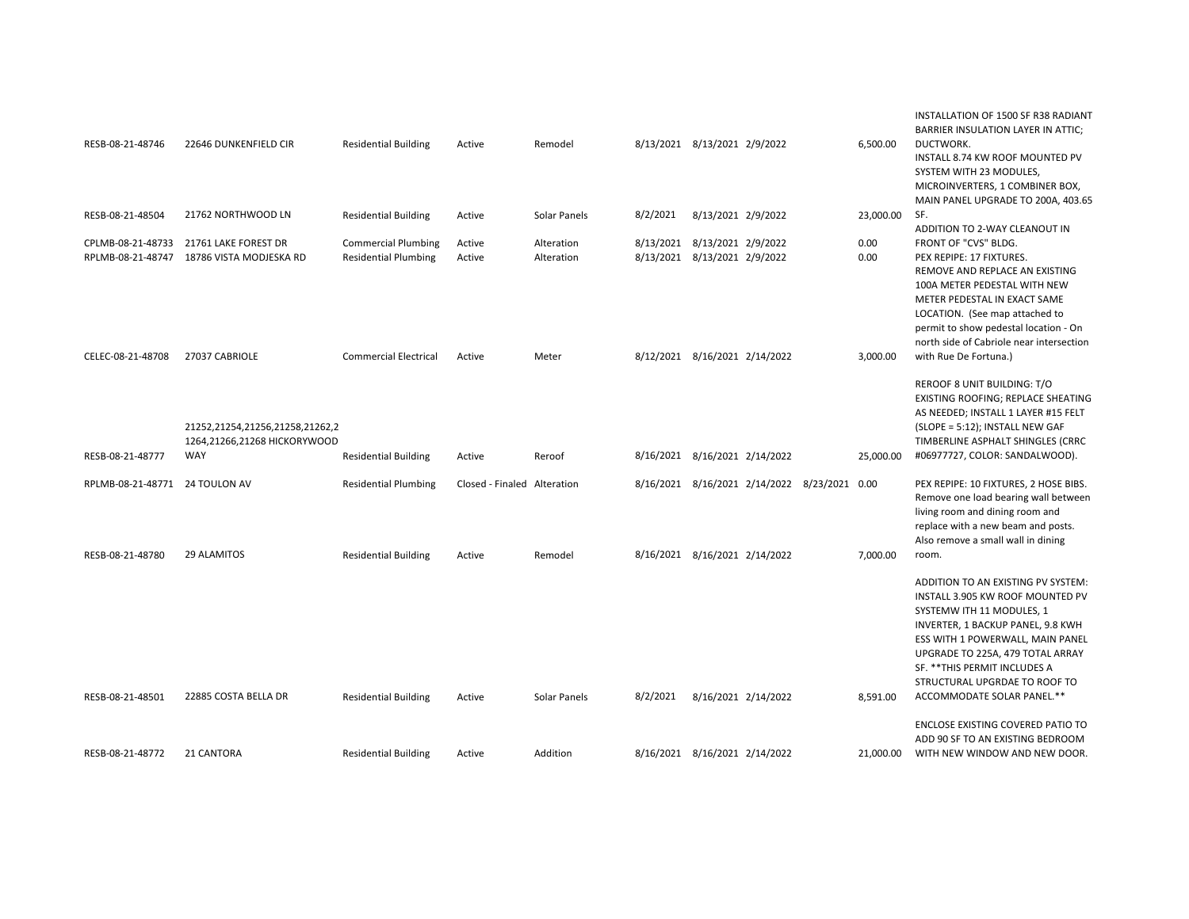| RESB-08-21-48746                                   | 22646 DUNKENFIELD CIR                                                                    | <b>Residential Building</b>                                 | Active                                | Remodel                  |          | 8/13/2021 8/13/2021 2/9/2022                                                  | 6,500.00              | INSTALLATION OF 1500 SF R38 RADIANT<br>BARRIER INSULATION LAYER IN ATTIC;<br>DUCTWORK.<br>INSTALL 8.74 KW ROOF MOUNTED PV<br>SYSTEM WITH 23 MODULES,<br>MICROINVERTERS, 1 COMBINER BOX,                                                                                                                          |
|----------------------------------------------------|------------------------------------------------------------------------------------------|-------------------------------------------------------------|---------------------------------------|--------------------------|----------|-------------------------------------------------------------------------------|-----------------------|------------------------------------------------------------------------------------------------------------------------------------------------------------------------------------------------------------------------------------------------------------------------------------------------------------------|
| RESB-08-21-48504                                   | 21762 NORTHWOOD LN                                                                       | <b>Residential Building</b>                                 | Active                                | Solar Panels             | 8/2/2021 | 8/13/2021 2/9/2022                                                            | 23,000.00             | MAIN PANEL UPGRADE TO 200A, 403.65<br>SF.<br>ADDITION TO 2-WAY CLEANOUT IN                                                                                                                                                                                                                                       |
| CPLMB-08-21-48733<br>RPLMB-08-21-48747             | 21761 LAKE FOREST DR<br>18786 VISTA MODJESKA RD                                          | <b>Commercial Plumbing</b><br><b>Residential Plumbing</b>   | Active<br>Active                      | Alteration<br>Alteration |          | 8/13/2021 8/13/2021 2/9/2022<br>8/13/2021 8/13/2021 2/9/2022                  | 0.00<br>0.00          | FRONT OF "CVS" BLDG.<br>PEX REPIPE: 17 FIXTURES.<br>REMOVE AND REPLACE AN EXISTING<br>100A METER PEDESTAL WITH NEW<br>METER PEDESTAL IN EXACT SAME<br>LOCATION. (See map attached to<br>permit to show pedestal location - On<br>north side of Cabriole near intersection                                        |
| CELEC-08-21-48708<br>RESB-08-21-48777              | 27037 CABRIOLE<br>21252,21254,21256,21258,21262,2<br>1264,21266,21268 HICKORYWOOD<br>WAY | <b>Commercial Electrical</b><br><b>Residential Building</b> | Active<br>Active                      | Meter<br>Reroof          |          | 8/12/2021 8/16/2021 2/14/2022<br>8/16/2021 8/16/2021 2/14/2022                | 3,000.00<br>25,000.00 | with Rue De Fortuna.)<br><b>REROOF 8 UNIT BUILDING: T/O</b><br>EXISTING ROOFING; REPLACE SHEATING<br>AS NEEDED; INSTALL 1 LAYER #15 FELT<br>(SLOPE = 5:12); INSTALL NEW GAF<br>TIMBERLINE ASPHALT SHINGLES (CRRC<br>#06977727, COLOR: SANDALWOOD).                                                               |
| RPLMB-08-21-48771 24 TOULON AV<br>RESB-08-21-48780 | <b>29 ALAMITOS</b>                                                                       | <b>Residential Plumbing</b><br><b>Residential Building</b>  | Closed - Finaled Alteration<br>Active | Remodel                  |          | 8/16/2021 8/16/2021 2/14/2022 8/23/2021 0.00<br>8/16/2021 8/16/2021 2/14/2022 | 7,000.00              | PEX REPIPE: 10 FIXTURES, 2 HOSE BIBS.<br>Remove one load bearing wall between<br>living room and dining room and<br>replace with a new beam and posts.<br>Also remove a small wall in dining<br>room.                                                                                                            |
| RESB-08-21-48501                                   | 22885 COSTA BELLA DR                                                                     | <b>Residential Building</b>                                 | Active                                | Solar Panels             | 8/2/2021 | 8/16/2021 2/14/2022                                                           | 8,591.00              | ADDITION TO AN EXISTING PV SYSTEM:<br>INSTALL 3.905 KW ROOF MOUNTED PV<br>SYSTEMW ITH 11 MODULES, 1<br>INVERTER, 1 BACKUP PANEL, 9.8 KWH<br>ESS WITH 1 POWERWALL, MAIN PANEL<br>UPGRADE TO 225A, 479 TOTAL ARRAY<br>SF. ** THIS PERMIT INCLUDES A<br>STRUCTURAL UPGRDAE TO ROOF TO<br>ACCOMMODATE SOLAR PANEL.** |
| RESB-08-21-48772                                   | 21 CANTORA                                                                               | <b>Residential Building</b>                                 | Active                                | Addition                 |          | 8/16/2021 8/16/2021 2/14/2022                                                 | 21,000.00             | ENCLOSE EXISTING COVERED PATIO TO<br>ADD 90 SF TO AN EXISTING BEDROOM<br>WITH NEW WINDOW AND NEW DOOR.                                                                                                                                                                                                           |
|                                                    |                                                                                          |                                                             |                                       |                          |          |                                                                               |                       |                                                                                                                                                                                                                                                                                                                  |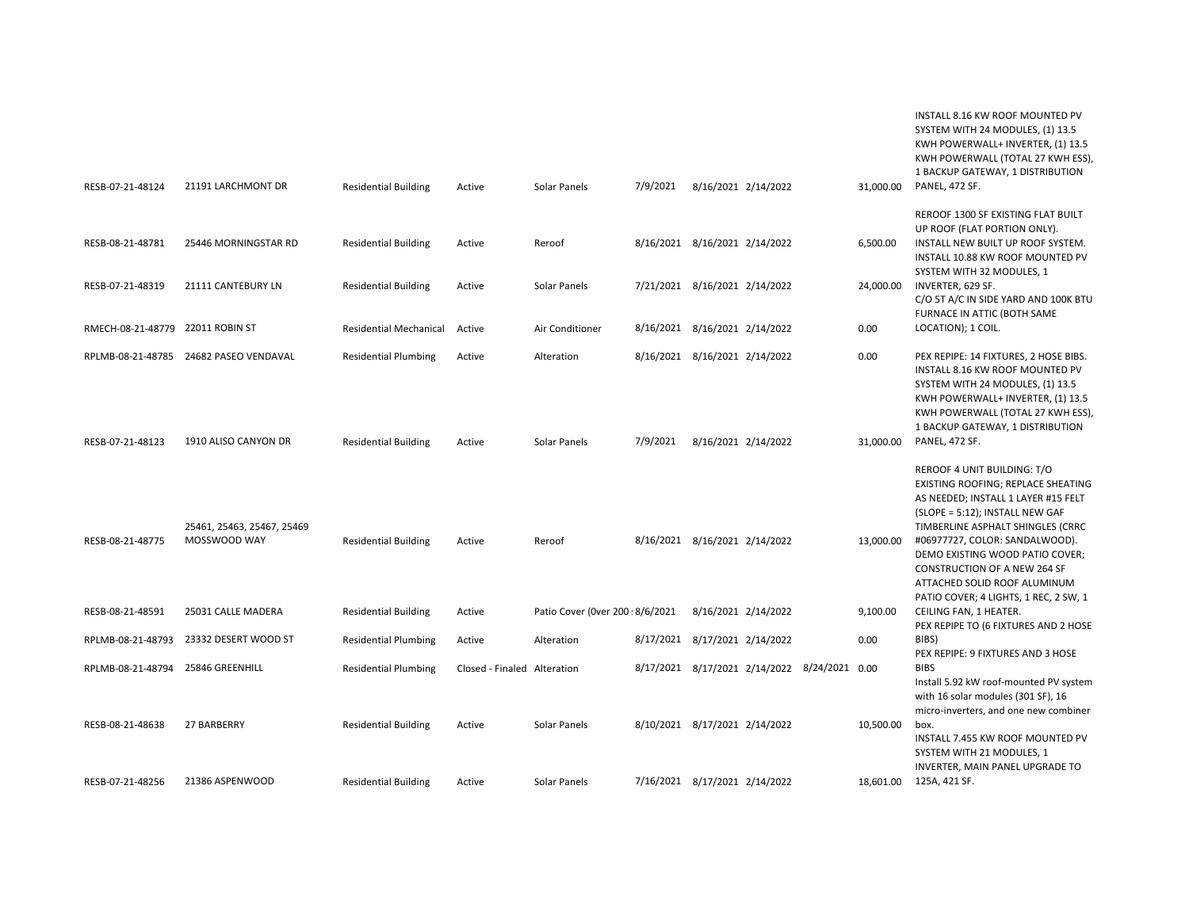| RESB-07-21-48124                     | 21191 LARCHMONT DR                         | <b>Residential Building</b>                                | Active                      | Solar Panels                    | 7/9/2021                                                       | 8/16/2021 2/14/2022           |                                              | 31,000.00             | INSTALL 8.16 KW ROOF MOUNTED PV<br>SYSTEM WITH 24 MODULES, (1) 13.5<br>KWH POWERWALL+ INVERTER, (1) 13.5<br>KWH POWERWALL (TOTAL 27 KWH ESS),<br>1 BACKUP GATEWAY, 1 DISTRIBUTION<br><b>PANEL, 472 SF.</b>                            |
|--------------------------------------|--------------------------------------------|------------------------------------------------------------|-----------------------------|---------------------------------|----------------------------------------------------------------|-------------------------------|----------------------------------------------|-----------------------|---------------------------------------------------------------------------------------------------------------------------------------------------------------------------------------------------------------------------------------|
| RESB-08-21-48781<br>RESB-07-21-48319 | 25446 MORNINGSTAR RD<br>21111 CANTEBURY LN | <b>Residential Building</b><br><b>Residential Building</b> | Active<br>Active            | Reroof<br>Solar Panels          | 8/16/2021 8/16/2021 2/14/2022<br>7/21/2021 8/16/2021 2/14/2022 |                               |                                              | 6,500.00<br>24,000.00 | REROOF 1300 SF EXISTING FLAT BUILT<br>UP ROOF (FLAT PORTION ONLY).<br>INSTALL NEW BUILT UP ROOF SYSTEM.<br>INSTALL 10.88 KW ROOF MOUNTED PV<br>SYSTEM WITH 32 MODULES, 1<br>INVERTER, 629 SF.<br>C/O 5T A/C IN SIDE YARD AND 100K BTU |
| RMECH-08-21-48779 22011 ROBIN ST     |                                            | <b>Residential Mechanical</b>                              | Active                      | Air Conditioner                 | 8/16/2021 8/16/2021 2/14/2022                                  |                               |                                              | 0.00                  | FURNACE IN ATTIC (BOTH SAME<br>LOCATION); 1 COIL.                                                                                                                                                                                     |
|                                      | RPLMB-08-21-48785 24682 PASEO VENDAVAL     | <b>Residential Plumbing</b>                                | Active                      | Alteration                      |                                                                | 8/16/2021 8/16/2021 2/14/2022 |                                              | 0.00                  | PEX REPIPE: 14 FIXTURES, 2 HOSE BIBS.<br>INSTALL 8.16 KW ROOF MOUNTED PV<br>SYSTEM WITH 24 MODULES, (1) 13.5<br>KWH POWERWALL+ INVERTER, (1) 13.5<br>KWH POWERWALL (TOTAL 27 KWH ESS),<br>1 BACKUP GATEWAY, 1 DISTRIBUTION            |
| RESB-07-21-48123                     | 1910 ALISO CANYON DR                       | <b>Residential Building</b>                                | Active                      | Solar Panels                    | 7/9/2021                                                       | 8/16/2021 2/14/2022           |                                              | 31,000.00             | <b>PANEL, 472 SF.</b><br><b>REROOF 4 UNIT BUILDING: T/O</b><br>EXISTING ROOFING; REPLACE SHEATING<br>AS NEEDED; INSTALL 1 LAYER #15 FELT<br>(SLOPE = 5:12); INSTALL NEW GAF                                                           |
| RESB-08-21-48775                     | 25461, 25463, 25467, 25469<br>MOSSWOOD WAY | <b>Residential Building</b>                                | Active                      | Reroof                          | 8/16/2021 8/16/2021 2/14/2022                                  |                               |                                              | 13,000.00             | TIMBERLINE ASPHALT SHINGLES (CRRC<br>#06977727, COLOR: SANDALWOOD).<br>DEMO EXISTING WOOD PATIO COVER;<br>CONSTRUCTION OF A NEW 264 SF<br>ATTACHED SOLID ROOF ALUMINUM                                                                |
| RESB-08-21-48591                     | 25031 CALLE MADERA                         | <b>Residential Building</b>                                | Active                      | Patio Cover (Over 200: 8/6/2021 |                                                                | 8/16/2021 2/14/2022           |                                              | 9,100.00              | PATIO COVER; 4 LIGHTS, 1 REC, 2 SW, 1<br>CEILING FAN, 1 HEATER.<br>PEX REPIPE TO (6 FIXTURES AND 2 HOSE                                                                                                                               |
| RPLMB-08-21-48793                    | 23332 DESERT WOOD ST                       | <b>Residential Plumbing</b>                                | Active                      | Alteration                      | 8/17/2021 8/17/2021 2/14/2022                                  |                               |                                              | 0.00                  | BIBS)<br>PEX REPIPE: 9 FIXTURES AND 3 HOSE                                                                                                                                                                                            |
| RPLMB-08-21-48794 25846 GREENHILL    |                                            | <b>Residential Plumbing</b>                                | Closed - Finaled Alteration |                                 |                                                                |                               | 8/17/2021 8/17/2021 2/14/2022 8/24/2021 0.00 |                       | <b>BIBS</b><br>Install 5.92 kW roof-mounted PV system<br>with 16 solar modules (301 SF), 16<br>micro-inverters, and one new combiner                                                                                                  |
| RESB-08-21-48638                     | 27 BARBERRY                                | <b>Residential Building</b>                                | Active                      | Solar Panels                    | 8/10/2021 8/17/2021 2/14/2022                                  |                               |                                              | 10,500.00             | box.<br>INSTALL 7.455 KW ROOF MOUNTED PV<br>SYSTEM WITH 21 MODULES, 1<br>INVERTER, MAIN PANEL UPGRADE TO                                                                                                                              |
| RESB-07-21-48256                     | 21386 ASPENWOOD                            | <b>Residential Building</b>                                | Active                      | Solar Panels                    | 7/16/2021 8/17/2021 2/14/2022                                  |                               |                                              | 18,601.00             | 125A, 421 SF.                                                                                                                                                                                                                         |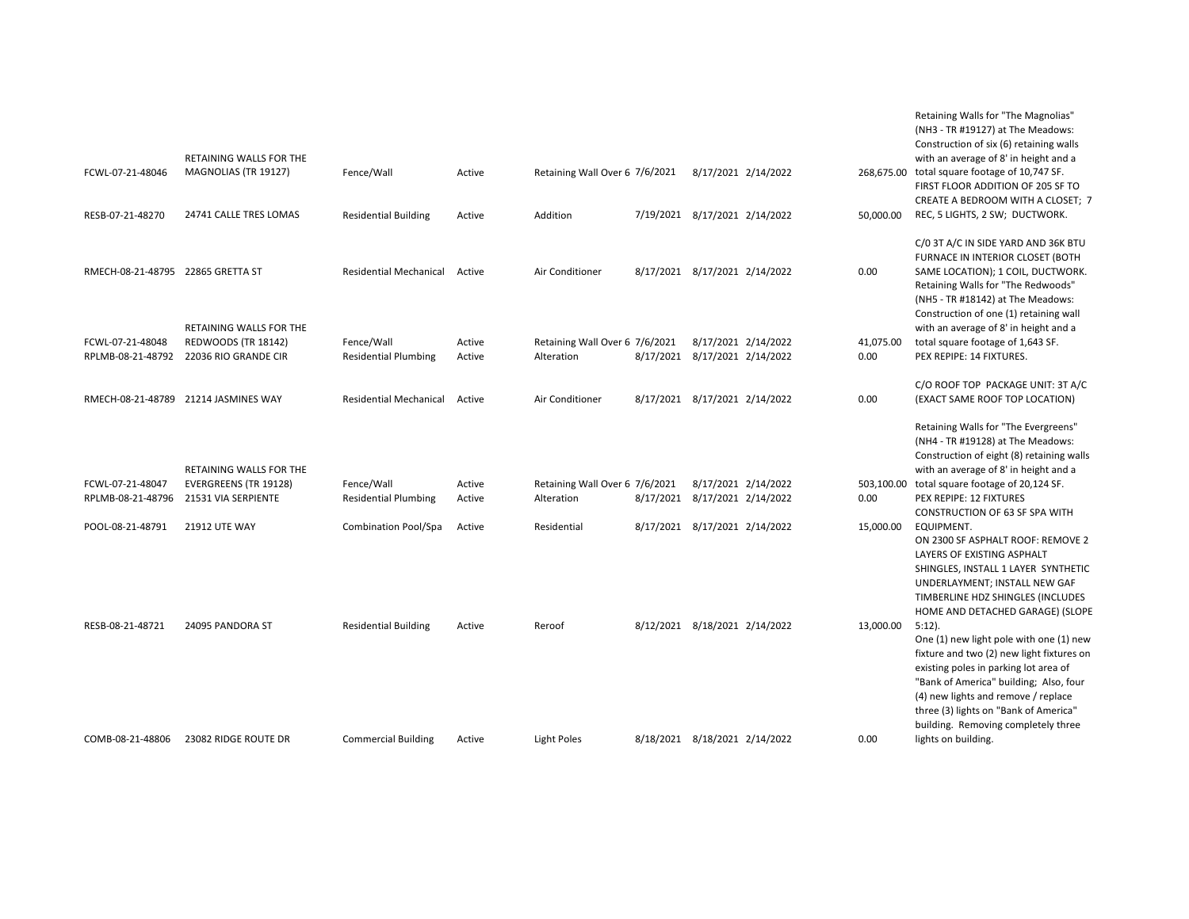| FCWL-07-21-48046                  | RETAINING WALLS FOR THE<br>MAGNOLIAS (TR 19127)    | Fence/Wall                    | Active | Retaining Wall Over 6 7/6/2021 | 8/17/2021 2/14/2022           |            | Retaining Walls for "The Magnolias"<br>(NH3 - TR #19127) at The Meadows:<br>Construction of six (6) retaining walls<br>with an average of 8' in height and a<br>268,675.00 total square footage of 10,747 SF.<br>FIRST FLOOR ADDITION OF 205 SF TO<br>CREATE A BEDROOM WITH A CLOSET; 7                     |
|-----------------------------------|----------------------------------------------------|-------------------------------|--------|--------------------------------|-------------------------------|------------|-------------------------------------------------------------------------------------------------------------------------------------------------------------------------------------------------------------------------------------------------------------------------------------------------------------|
| RESB-07-21-48270                  | 24741 CALLE TRES LOMAS                             | <b>Residential Building</b>   | Active | Addition                       | 7/19/2021 8/17/2021 2/14/2022 | 50,000.00  | REC, 5 LIGHTS, 2 SW; DUCTWORK.                                                                                                                                                                                                                                                                              |
| RMECH-08-21-48795 22865 GRETTA ST |                                                    | <b>Residential Mechanical</b> | Active | Air Conditioner                | 8/17/2021 8/17/2021 2/14/2022 | 0.00       | C/0 3T A/C IN SIDE YARD AND 36K BTU<br>FURNACE IN INTERIOR CLOSET (BOTH<br>SAME LOCATION); 1 COIL, DUCTWORK.<br>Retaining Walls for "The Redwoods"<br>(NH5 - TR #18142) at The Meadows:<br>Construction of one (1) retaining wall                                                                           |
| FCWL-07-21-48048                  | RETAINING WALLS FOR THE                            | Fence/Wall                    | Active | Retaining Wall Over 6 7/6/2021 | 8/17/2021 2/14/2022           | 41,075.00  | with an average of 8' in height and a<br>total square footage of 1,643 SF.                                                                                                                                                                                                                                  |
| RPLMB-08-21-48792                 | <b>REDWOODS (TR 18142)</b><br>22036 RIO GRANDE CIR | <b>Residential Plumbing</b>   | Active | Alteration                     | 8/17/2021 8/17/2021 2/14/2022 | 0.00       | PEX REPIPE: 14 FIXTURES.                                                                                                                                                                                                                                                                                    |
|                                   |                                                    |                               |        |                                |                               |            |                                                                                                                                                                                                                                                                                                             |
|                                   | RMECH-08-21-48789 21214 JASMINES WAY               | <b>Residential Mechanical</b> | Active | Air Conditioner                | 8/17/2021 8/17/2021 2/14/2022 | 0.00       | C/O ROOF TOP PACKAGE UNIT: 3T A/C<br>(EXACT SAME ROOF TOP LOCATION)                                                                                                                                                                                                                                         |
|                                   | RETAINING WALLS FOR THE                            |                               |        |                                |                               |            | Retaining Walls for "The Evergreens"<br>(NH4 - TR #19128) at The Meadows:<br>Construction of eight (8) retaining walls<br>with an average of 8' in height and a                                                                                                                                             |
| FCWL-07-21-48047                  | EVERGREENS (TR 19128)                              | Fence/Wall                    | Active | Retaining Wall Over 6 7/6/2021 | 8/17/2021 2/14/2022           | 503,100.00 | total square footage of 20,124 SF.                                                                                                                                                                                                                                                                          |
| RPLMB-08-21-48796                 | 21531 VIA SERPIENTE                                | <b>Residential Plumbing</b>   | Active | Alteration                     | 8/17/2021 8/17/2021 2/14/2022 | 0.00       | PEX REPIPE: 12 FIXTURES<br>CONSTRUCTION OF 63 SF SPA WITH                                                                                                                                                                                                                                                   |
| POOL-08-21-48791                  | <b>21912 UTE WAY</b>                               | Combination Pool/Spa          | Active | Residential                    | 8/17/2021 8/17/2021 2/14/2022 | 15,000.00  | EQUIPMENT.                                                                                                                                                                                                                                                                                                  |
|                                   |                                                    |                               |        |                                |                               |            | ON 2300 SF ASPHALT ROOF: REMOVE 2<br>LAYERS OF EXISTING ASPHALT<br>SHINGLES, INSTALL 1 LAYER SYNTHETIC<br>UNDERLAYMENT; INSTALL NEW GAF<br>TIMBERLINE HDZ SHINGLES (INCLUDES<br>HOME AND DETACHED GARAGE) (SLOPE                                                                                            |
| RESB-08-21-48721                  | 24095 PANDORA ST                                   | <b>Residential Building</b>   | Active | Reroof                         | 8/12/2021 8/18/2021 2/14/2022 | 13,000.00  | $5:12$ ).<br>One (1) new light pole with one (1) new<br>fixture and two (2) new light fixtures on<br>existing poles in parking lot area of<br>"Bank of America" building; Also, four<br>(4) new lights and remove / replace<br>three (3) lights on "Bank of America"<br>building. Removing completely three |
| COMB-08-21-48806                  | 23082 RIDGE ROUTE DR                               | <b>Commercial Building</b>    | Active | Light Poles                    | 8/18/2021 8/18/2021 2/14/2022 | 0.00       | lights on building.                                                                                                                                                                                                                                                                                         |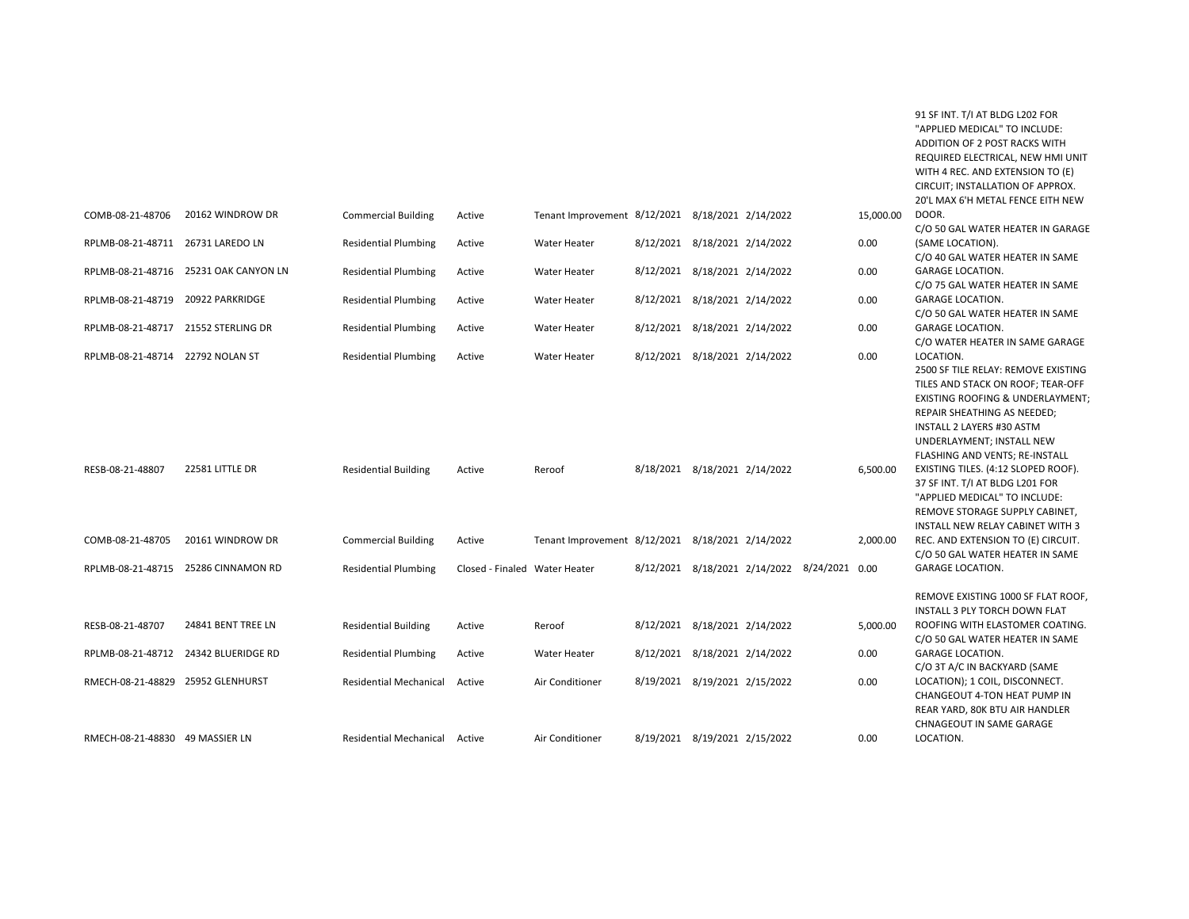|                                     |                                                            |                                                            |                               |                                                  |                                                                |                               |                                              |                  | "APPLIED MEDICAL" TO INCLUDE:<br>ADDITION OF 2 POST RACKS WITH<br>REQUIRED ELECTRICAL, NEW HMI UNIT<br>WITH 4 REC. AND EXTENSION TO (E)<br>CIRCUIT; INSTALLATION OF APPROX.                                                                          |
|-------------------------------------|------------------------------------------------------------|------------------------------------------------------------|-------------------------------|--------------------------------------------------|----------------------------------------------------------------|-------------------------------|----------------------------------------------|------------------|------------------------------------------------------------------------------------------------------------------------------------------------------------------------------------------------------------------------------------------------------|
| COMB-08-21-48706                    | 20162 WINDROW DR                                           | <b>Commercial Building</b>                                 | Active                        | Tenant Improvement 8/12/2021 8/18/2021 2/14/2022 |                                                                |                               |                                              | 15,000.00        | 20'L MAX 6'H METAL FENCE EITH NEW<br>DOOR.<br>C/O 50 GAL WATER HEATER IN GARAGE                                                                                                                                                                      |
| RPLMB-08-21-48711 26731 LAREDO LN   |                                                            | <b>Residential Plumbing</b>                                | Active                        | <b>Water Heater</b>                              | 8/12/2021 8/18/2021 2/14/2022                                  |                               |                                              | 0.00             | (SAME LOCATION).<br>C/O 40 GAL WATER HEATER IN SAME                                                                                                                                                                                                  |
|                                     | RPLMB-08-21-48716 25231 OAK CANYON LN                      | <b>Residential Plumbing</b>                                | Active                        | <b>Water Heater</b>                              | 8/12/2021 8/18/2021 2/14/2022                                  |                               |                                              | 0.00             | <b>GARAGE LOCATION.</b><br>C/O 75 GAL WATER HEATER IN SAME                                                                                                                                                                                           |
| RPLMB-08-21-48719 20922 PARKRIDGE   |                                                            | <b>Residential Plumbing</b>                                | Active                        | <b>Water Heater</b>                              |                                                                | 8/12/2021 8/18/2021 2/14/2022 |                                              | 0.00             | <b>GARAGE LOCATION.</b><br>C/O 50 GAL WATER HEATER IN SAME                                                                                                                                                                                           |
| RPLMB-08-21-48717 21552 STERLING DR |                                                            | <b>Residential Plumbing</b>                                | Active                        | <b>Water Heater</b>                              | 8/12/2021 8/18/2021 2/14/2022                                  |                               |                                              | 0.00             | <b>GARAGE LOCATION.</b><br>C/O WATER HEATER IN SAME GARAGE                                                                                                                                                                                           |
| RPLMB-08-21-48714 22792 NOLAN ST    |                                                            | <b>Residential Plumbing</b>                                | Active                        | <b>Water Heater</b>                              | 8/12/2021 8/18/2021 2/14/2022                                  |                               |                                              | 0.00             | LOCATION.<br>2500 SF TILE RELAY: REMOVE EXISTING<br>TILES AND STACK ON ROOF; TEAR-OFF<br>EXISTING ROOFING & UNDERLAYMENT;<br>REPAIR SHEATHING AS NEEDED;<br>INSTALL 2 LAYERS #30 ASTM<br>UNDERLAYMENT; INSTALL NEW<br>FLASHING AND VENTS; RE-INSTALL |
| RESB-08-21-48807                    | 22581 LITTLE DR                                            | <b>Residential Building</b>                                | Active                        | Reroof                                           | 8/18/2021 8/18/2021 2/14/2022                                  |                               |                                              | 6,500.00         | EXISTING TILES. (4:12 SLOPED ROOF).<br>37 SF INT. T/I AT BLDG L201 FOR<br>"APPLIED MEDICAL" TO INCLUDE:<br>REMOVE STORAGE SUPPLY CABINET,<br>INSTALL NEW RELAY CABINET WITH 3                                                                        |
| COMB-08-21-48705                    | 20161 WINDROW DR                                           | <b>Commercial Building</b>                                 | Active                        | Tenant Improvement 8/12/2021 8/18/2021 2/14/2022 |                                                                |                               |                                              | 2,000.00         | REC. AND EXTENSION TO (E) CIRCUIT.<br>C/O 50 GAL WATER HEATER IN SAME                                                                                                                                                                                |
|                                     | RPLMB-08-21-48715 25286 CINNAMON RD                        | <b>Residential Plumbing</b>                                | Closed - Finaled Water Heater |                                                  |                                                                |                               | 8/12/2021 8/18/2021 2/14/2022 8/24/2021 0.00 |                  | <b>GARAGE LOCATION.</b>                                                                                                                                                                                                                              |
| RESB-08-21-48707                    | 24841 BENT TREE LN<br>RPLMB-08-21-48712 24342 BLUERIDGE RD | <b>Residential Building</b><br><b>Residential Plumbing</b> | Active<br>Active              | Reroof<br><b>Water Heater</b>                    | 8/12/2021 8/18/2021 2/14/2022<br>8/12/2021 8/18/2021 2/14/2022 |                               |                                              | 5,000.00<br>0.00 | REMOVE EXISTING 1000 SF FLAT ROOF,<br>INSTALL 3 PLY TORCH DOWN FLAT<br>ROOFING WITH ELASTOMER COATING.<br>C/O 50 GAL WATER HEATER IN SAME<br><b>GARAGE LOCATION.</b><br>C/O 3T A/C IN BACKYARD (SAME                                                 |
| RMECH-08-21-48829 25952 GLENHURST   |                                                            | <b>Residential Mechanical</b>                              | Active                        | Air Conditioner                                  | 8/19/2021 8/19/2021 2/15/2022                                  |                               |                                              | 0.00             | LOCATION); 1 COIL, DISCONNECT.<br>CHANGEOUT 4-TON HEAT PUMP IN<br>REAR YARD, 80K BTU AIR HANDLER<br>CHNAGEOUT IN SAME GARAGE                                                                                                                         |
| RMECH-08-21-48830 49 MASSIER LN     |                                                            | Residential Mechanical Active                              |                               | Air Conditioner                                  | 8/19/2021 8/19/2021 2/15/2022                                  |                               |                                              | 0.00             | LOCATION.                                                                                                                                                                                                                                            |

91 SF INT. T/I AT BLDG L202 FOR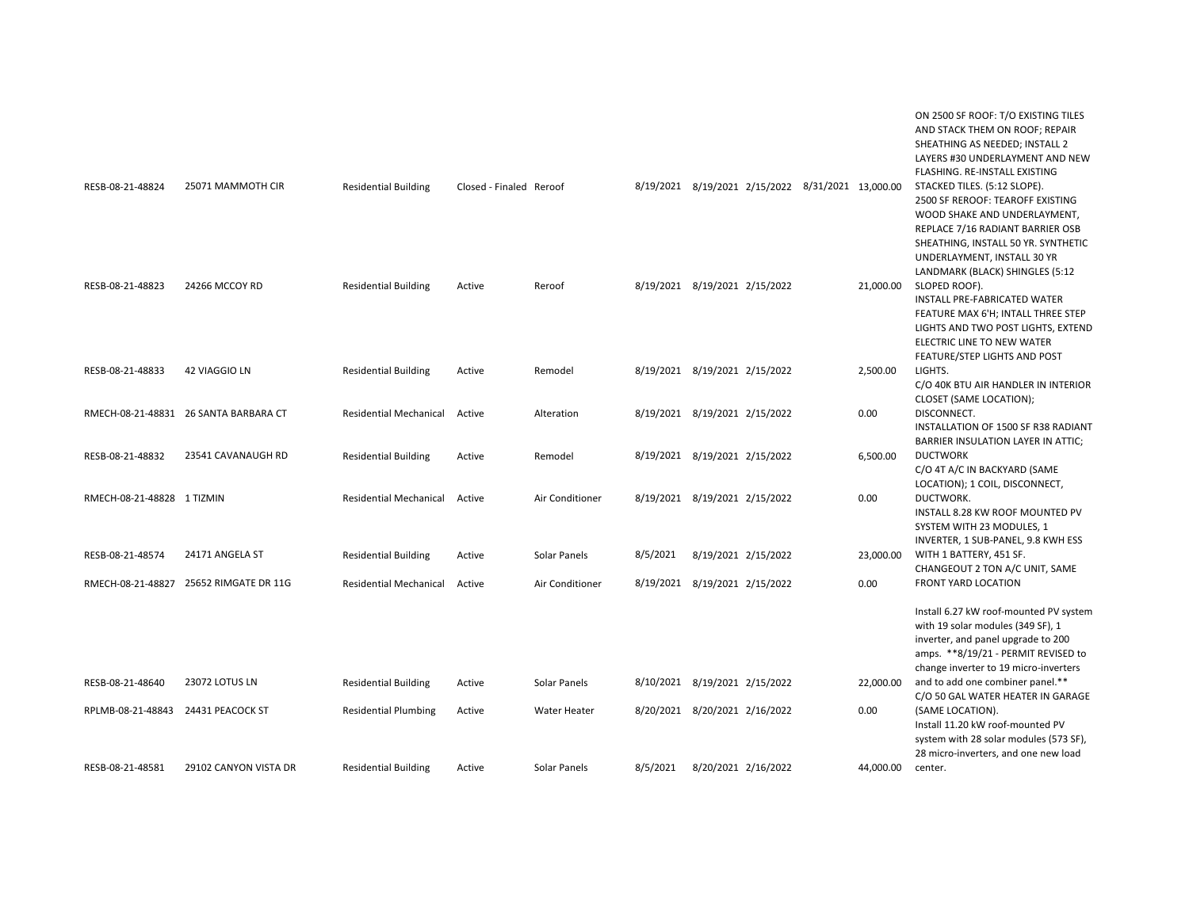|                                    |                                        |                               |                         |                     |          |                                                   |           | ON 2500 SF ROOF: T/O EXISTING TILES<br>AND STACK THEM ON ROOF; REPAIR<br>SHEATHING AS NEEDED; INSTALL 2<br>LAYERS #30 UNDERLAYMENT AND NEW<br>FLASHING. RE-INSTALL EXISTING                                                |
|------------------------------------|----------------------------------------|-------------------------------|-------------------------|---------------------|----------|---------------------------------------------------|-----------|----------------------------------------------------------------------------------------------------------------------------------------------------------------------------------------------------------------------------|
| RESB-08-21-48824                   | 25071 MAMMOTH CIR                      | <b>Residential Building</b>   | Closed - Finaled Reroof |                     |          | 8/19/2021 8/19/2021 2/15/2022 8/31/2021 13,000.00 |           | STACKED TILES. (5:12 SLOPE).<br>2500 SF REROOF: TEAROFF EXISTING<br>WOOD SHAKE AND UNDERLAYMENT,<br>REPLACE 7/16 RADIANT BARRIER OSB<br>SHEATHING, INSTALL 50 YR. SYNTHETIC<br>UNDERLAYMENT, INSTALL 30 YR                 |
| RESB-08-21-48823                   | 24266 MCCOY RD                         | <b>Residential Building</b>   | Active                  | Reroof              |          | 8/19/2021 8/19/2021 2/15/2022                     | 21,000.00 | LANDMARK (BLACK) SHINGLES (5:12<br>SLOPED ROOF).<br>INSTALL PRE-FABRICATED WATER<br>FEATURE MAX 6'H; INTALL THREE STEP<br>LIGHTS AND TWO POST LIGHTS, EXTEND<br>ELECTRIC LINE TO NEW WATER<br>FEATURE/STEP LIGHTS AND POST |
| RESB-08-21-48833                   | 42 VIAGGIO LN                          | <b>Residential Building</b>   | Active                  | Remodel             |          | 8/19/2021 8/19/2021 2/15/2022                     | 2,500.00  | LIGHTS.<br>C/O 40K BTU AIR HANDLER IN INTERIOR<br>CLOSET (SAME LOCATION);                                                                                                                                                  |
|                                    | RMECH-08-21-48831 26 SANTA BARBARA CT  | <b>Residential Mechanical</b> | Active                  | Alteration          |          | 8/19/2021 8/19/2021 2/15/2022                     | 0.00      | DISCONNECT.<br>INSTALLATION OF 1500 SF R38 RADIANT<br>BARRIER INSULATION LAYER IN ATTIC;                                                                                                                                   |
| RESB-08-21-48832                   | 23541 CAVANAUGH RD                     | <b>Residential Building</b>   | Active                  | Remodel             |          | 8/19/2021 8/19/2021 2/15/2022                     | 6,500.00  | <b>DUCTWORK</b><br>C/O 4T A/C IN BACKYARD (SAME<br>LOCATION); 1 COIL, DISCONNECT,                                                                                                                                          |
| RMECH-08-21-48828 1 TIZMIN         |                                        | <b>Residential Mechanical</b> | Active                  | Air Conditioner     |          | 8/19/2021 8/19/2021 2/15/2022                     | 0.00      | DUCTWORK.<br>INSTALL 8.28 KW ROOF MOUNTED PV<br>SYSTEM WITH 23 MODULES, 1<br>INVERTER, 1 SUB-PANEL, 9.8 KWH ESS                                                                                                            |
| RESB-08-21-48574                   | 24171 ANGELA ST                        | <b>Residential Building</b>   | Active                  | Solar Panels        | 8/5/2021 | 8/19/2021 2/15/2022                               | 23,000.00 | WITH 1 BATTERY, 451 SF.<br>CHANGEOUT 2 TON A/C UNIT, SAME                                                                                                                                                                  |
|                                    | RMECH-08-21-48827 25652 RIMGATE DR 11G | <b>Residential Mechanical</b> | Active                  | Air Conditioner     |          | 8/19/2021 8/19/2021 2/15/2022                     | 0.00      | <b>FRONT YARD LOCATION</b>                                                                                                                                                                                                 |
|                                    |                                        |                               |                         |                     |          |                                                   |           | Install 6.27 kW roof-mounted PV system<br>with 19 solar modules (349 SF), 1<br>inverter, and panel upgrade to 200<br>amps. **8/19/21 - PERMIT REVISED to<br>change inverter to 19 micro-inverters                          |
| RESB-08-21-48640                   | 23072 LOTUS LN                         | <b>Residential Building</b>   | Active                  | Solar Panels        |          | 8/10/2021 8/19/2021 2/15/2022                     | 22,000.00 | and to add one combiner panel.**<br>C/O 50 GAL WATER HEATER IN GARAGE                                                                                                                                                      |
| RPLMB-08-21-48843 24431 PEACOCK ST |                                        | <b>Residential Plumbing</b>   | Active                  | <b>Water Heater</b> |          | 8/20/2021 8/20/2021 2/16/2022                     | 0.00      | (SAME LOCATION).<br>Install 11.20 kW roof-mounted PV<br>system with 28 solar modules (573 SF),<br>28 micro-inverters, and one new load                                                                                     |
| RESB-08-21-48581                   | 29102 CANYON VISTA DR                  | <b>Residential Building</b>   | Active                  | Solar Panels        | 8/5/2021 | 8/20/2021 2/16/2022                               | 44,000.00 | center.                                                                                                                                                                                                                    |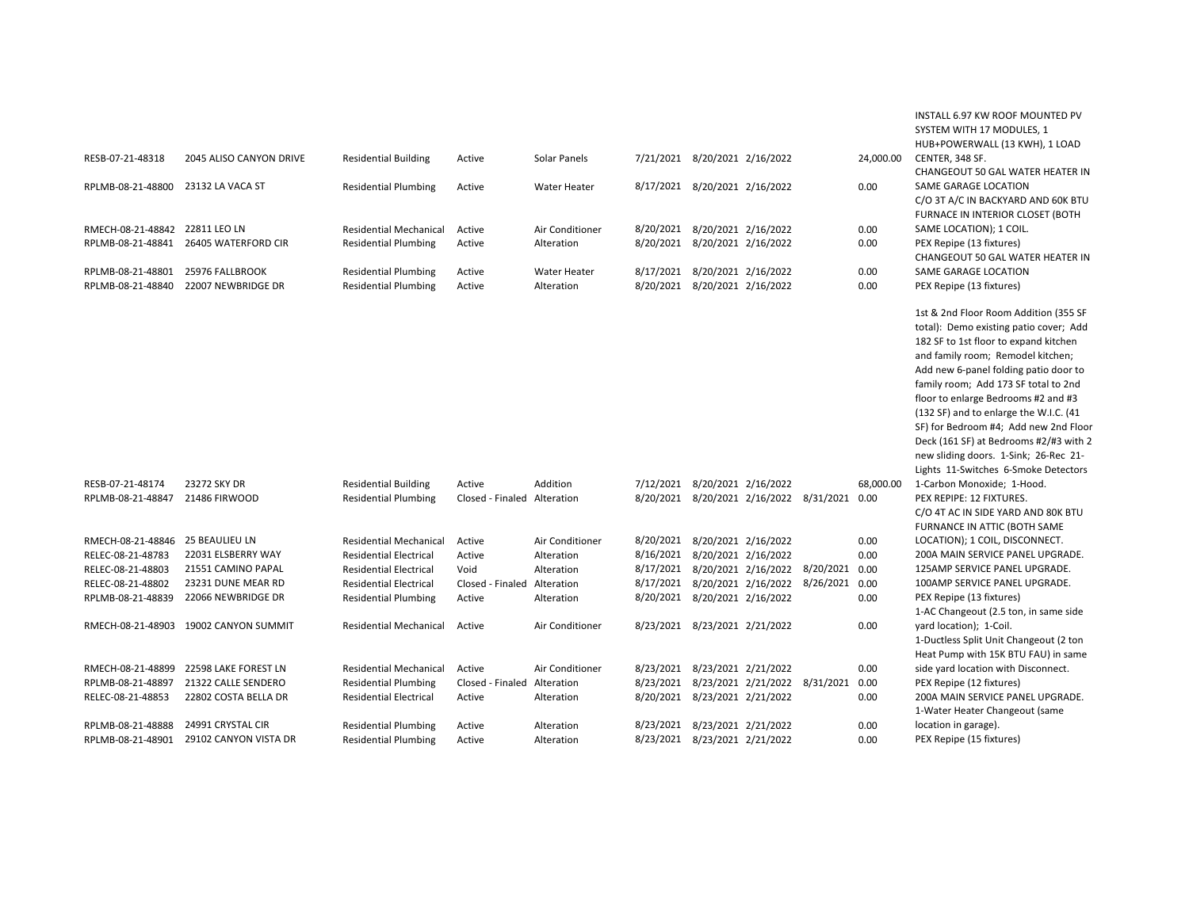|                   |                                       |                               |                             |                     |                               |                                              |           | INSTALL 6.97 KW ROOF MOUNTED PV<br>SYSTEM WITH 17 MODULES, 1<br>HUB+POWERWALL (13 KWH), 1 LOAD                                                                                                                                                                                                                                                                                                                                                                                                      |
|-------------------|---------------------------------------|-------------------------------|-----------------------------|---------------------|-------------------------------|----------------------------------------------|-----------|-----------------------------------------------------------------------------------------------------------------------------------------------------------------------------------------------------------------------------------------------------------------------------------------------------------------------------------------------------------------------------------------------------------------------------------------------------------------------------------------------------|
| RESB-07-21-48318  | 2045 ALISO CANYON DRIVE               | <b>Residential Building</b>   | Active                      | Solar Panels        | 7/21/2021 8/20/2021 2/16/2022 |                                              | 24,000.00 | CENTER, 348 SF.<br>CHANGEOUT 50 GAL WATER HEATER IN                                                                                                                                                                                                                                                                                                                                                                                                                                                 |
| RPLMB-08-21-48800 | 23132 LA VACA ST                      | <b>Residential Plumbing</b>   | Active                      | <b>Water Heater</b> | 8/17/2021 8/20/2021 2/16/2022 |                                              | 0.00      | SAME GARAGE LOCATION<br>C/O 3T A/C IN BACKYARD AND 60K BTU<br>FURNACE IN INTERIOR CLOSET (BOTH                                                                                                                                                                                                                                                                                                                                                                                                      |
| RMECH-08-21-48842 | 22811 LEO LN                          | <b>Residential Mechanical</b> | Active                      | Air Conditioner     | 8/20/2021 8/20/2021 2/16/2022 |                                              | 0.00      | SAME LOCATION); 1 COIL.                                                                                                                                                                                                                                                                                                                                                                                                                                                                             |
| RPLMB-08-21-48841 | 26405 WATERFORD CIR                   | <b>Residential Plumbing</b>   | Active                      | Alteration          | 8/20/2021 8/20/2021 2/16/2022 |                                              | 0.00      | PEX Repipe (13 fixtures)                                                                                                                                                                                                                                                                                                                                                                                                                                                                            |
|                   |                                       |                               |                             |                     |                               |                                              |           | CHANGEOUT 50 GAL WATER HEATER IN                                                                                                                                                                                                                                                                                                                                                                                                                                                                    |
| RPLMB-08-21-48801 | 25976 FALLBROOK                       | <b>Residential Plumbing</b>   | Active                      | <b>Water Heater</b> | 8/17/2021 8/20/2021 2/16/2022 |                                              | 0.00      | SAME GARAGE LOCATION                                                                                                                                                                                                                                                                                                                                                                                                                                                                                |
| RPLMB-08-21-48840 | 22007 NEWBRIDGE DR                    | <b>Residential Plumbing</b>   | Active                      | Alteration          | 8/20/2021 8/20/2021 2/16/2022 |                                              | 0.00      | PEX Repipe (13 fixtures)                                                                                                                                                                                                                                                                                                                                                                                                                                                                            |
|                   |                                       |                               |                             |                     |                               |                                              |           | 1st & 2nd Floor Room Addition (355 SF<br>total): Demo existing patio cover; Add<br>182 SF to 1st floor to expand kitchen<br>and family room; Remodel kitchen;<br>Add new 6-panel folding patio door to<br>family room; Add 173 SF total to 2nd<br>floor to enlarge Bedrooms #2 and #3<br>(132 SF) and to enlarge the W.I.C. (41<br>SF) for Bedroom #4; Add new 2nd Floor<br>Deck (161 SF) at Bedrooms #2/#3 with 2<br>new sliding doors. 1-Sink; 26-Rec 21-<br>Lights 11-Switches 6-Smoke Detectors |
| RESB-07-21-48174  | 23272 SKY DR                          | <b>Residential Building</b>   | Active                      | Addition            | 7/12/2021 8/20/2021 2/16/2022 |                                              | 68,000.00 | 1-Carbon Monoxide; 1-Hood.                                                                                                                                                                                                                                                                                                                                                                                                                                                                          |
| RPLMB-08-21-48847 | 21486 FIRWOOD                         | <b>Residential Plumbing</b>   | Closed - Finaled Alteration |                     |                               | 8/20/2021 8/20/2021 2/16/2022 8/31/2021 0.00 |           | PEX REPIPE: 12 FIXTURES.                                                                                                                                                                                                                                                                                                                                                                                                                                                                            |
|                   |                                       |                               |                             |                     |                               |                                              |           | C/O 4T AC IN SIDE YARD AND 80K BTU                                                                                                                                                                                                                                                                                                                                                                                                                                                                  |
|                   |                                       |                               |                             |                     |                               |                                              |           | FURNANCE IN ATTIC (BOTH SAME                                                                                                                                                                                                                                                                                                                                                                                                                                                                        |
| RMECH-08-21-48846 | <b>25 BEAULIEU LN</b>                 | <b>Residential Mechanical</b> | Active                      | Air Conditioner     | 8/20/2021 8/20/2021 2/16/2022 |                                              | 0.00      | LOCATION); 1 COIL, DISCONNECT.                                                                                                                                                                                                                                                                                                                                                                                                                                                                      |
| RELEC-08-21-48783 | 22031 ELSBERRY WAY                    | <b>Residential Electrical</b> | Active                      | Alteration          | 8/16/2021 8/20/2021 2/16/2022 |                                              | 0.00      | 200A MAIN SERVICE PANEL UPGRADE.                                                                                                                                                                                                                                                                                                                                                                                                                                                                    |
| RELEC-08-21-48803 | 21551 CAMINO PAPAL                    | <b>Residential Electrical</b> | Void                        | Alteration          |                               | 8/17/2021 8/20/2021 2/16/2022 8/20/2021      | 0.00      | 125AMP SERVICE PANEL UPGRADE.                                                                                                                                                                                                                                                                                                                                                                                                                                                                       |
| RELEC-08-21-48802 | 23231 DUNE MEAR RD                    | <b>Residential Electrical</b> | Closed - Finaled            | Alteration          |                               | 8/17/2021 8/20/2021 2/16/2022 8/26/2021      | 0.00      | 100AMP SERVICE PANEL UPGRADE.                                                                                                                                                                                                                                                                                                                                                                                                                                                                       |
| RPLMB-08-21-48839 | 22066 NEWBRIDGE DR                    | <b>Residential Plumbing</b>   | Active                      | Alteration          | 8/20/2021 8/20/2021 2/16/2022 |                                              | 0.00      | PEX Repipe (13 fixtures)<br>1-AC Changeout (2.5 ton, in same side                                                                                                                                                                                                                                                                                                                                                                                                                                   |
|                   | RMECH-08-21-48903 19002 CANYON SUMMIT | <b>Residential Mechanical</b> | Active                      | Air Conditioner     | 8/23/2021 8/23/2021 2/21/2022 |                                              | 0.00      | yard location); 1-Coil.<br>1-Ductless Split Unit Changeout (2 ton<br>Heat Pump with 15K BTU FAU) in same                                                                                                                                                                                                                                                                                                                                                                                            |
| RMECH-08-21-48899 | 22598 LAKE FOREST LN                  | <b>Residential Mechanical</b> | Active                      | Air Conditioner     | 8/23/2021 8/23/2021 2/21/2022 |                                              | 0.00      | side yard location with Disconnect.                                                                                                                                                                                                                                                                                                                                                                                                                                                                 |
| RPLMB-08-21-48897 | 21322 CALLE SENDERO                   | <b>Residential Plumbing</b>   | Closed - Finaled Alteration |                     |                               | 8/23/2021 8/23/2021 2/21/2022 8/31/2021      | 0.00      | PEX Repipe (12 fixtures)                                                                                                                                                                                                                                                                                                                                                                                                                                                                            |
| RELEC-08-21-48853 | 22802 COSTA BELLA DR                  | <b>Residential Electrical</b> | Active                      | Alteration          | 8/20/2021 8/23/2021 2/21/2022 |                                              | 0.00      | 200A MAIN SERVICE PANEL UPGRADE.                                                                                                                                                                                                                                                                                                                                                                                                                                                                    |
|                   |                                       |                               |                             |                     |                               |                                              |           | 1-Water Heater Changeout (same                                                                                                                                                                                                                                                                                                                                                                                                                                                                      |
| RPLMB-08-21-48888 | 24991 CRYSTAL CIR                     | <b>Residential Plumbing</b>   | Active                      | Alteration          | 8/23/2021 8/23/2021 2/21/2022 |                                              | 0.00      | location in garage).                                                                                                                                                                                                                                                                                                                                                                                                                                                                                |
| RPLMB-08-21-48901 | 29102 CANYON VISTA DR                 | <b>Residential Plumbing</b>   | Active                      | Alteration          | 8/23/2021 8/23/2021 2/21/2022 |                                              | 0.00      | PEX Repipe (15 fixtures)                                                                                                                                                                                                                                                                                                                                                                                                                                                                            |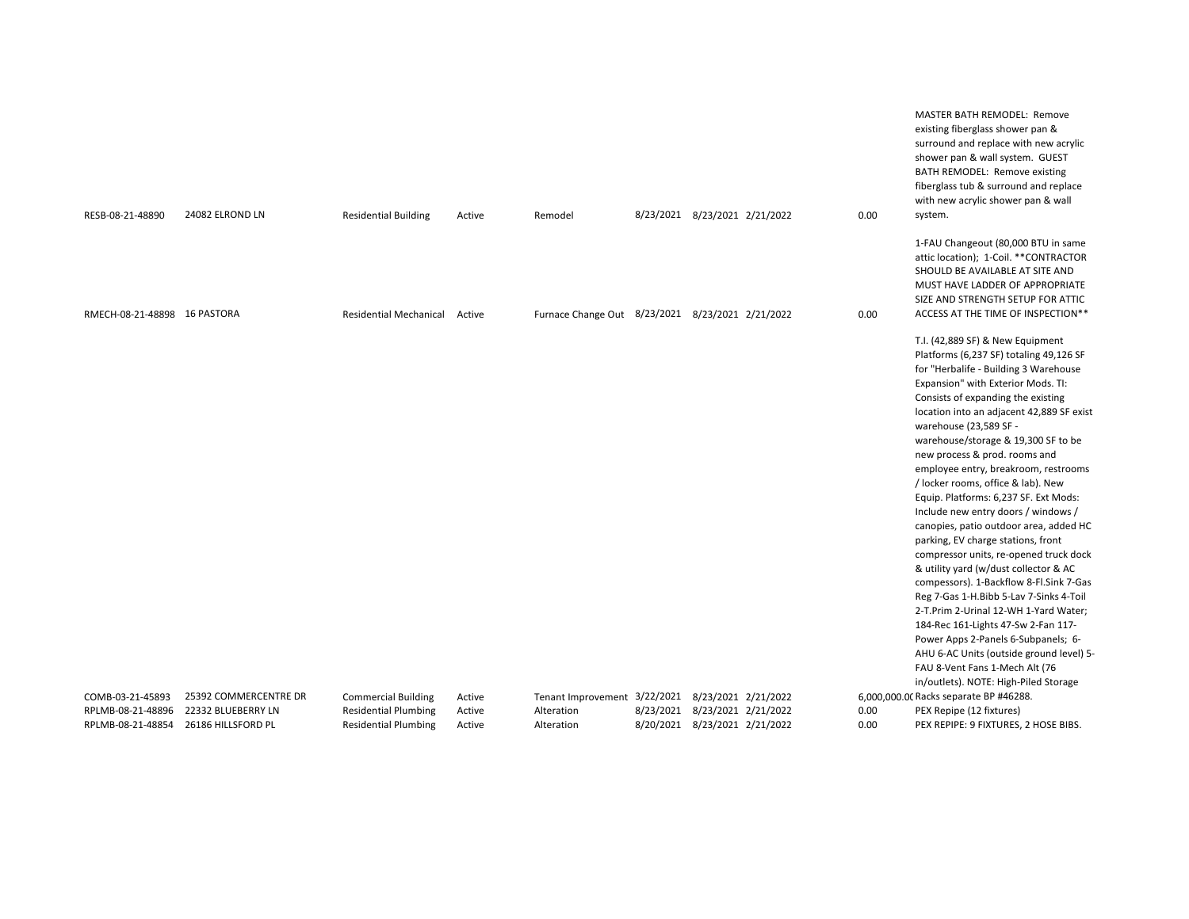| RESB-08-21-48890                       | 24082 ELROND LN                          | <b>Residential Building</b>                                | Active           | Remodel                                          | 8/23/2021 8/23/2021 2/21/2022                                  | 0.00         | MASTER BATH REMODEL: Remove<br>existing fiberglass shower pan &<br>surround and replace with new acrylic<br>shower pan & wall system. GUEST<br>BATH REMODEL: Remove existing<br>fiberglass tub & surround and replace<br>with new acrylic shower pan & wall<br>system.                                                                                                                                                                                                                                                                                                                                                                                                                                                                                                                                                                                                                                                                                                                                               |
|----------------------------------------|------------------------------------------|------------------------------------------------------------|------------------|--------------------------------------------------|----------------------------------------------------------------|--------------|----------------------------------------------------------------------------------------------------------------------------------------------------------------------------------------------------------------------------------------------------------------------------------------------------------------------------------------------------------------------------------------------------------------------------------------------------------------------------------------------------------------------------------------------------------------------------------------------------------------------------------------------------------------------------------------------------------------------------------------------------------------------------------------------------------------------------------------------------------------------------------------------------------------------------------------------------------------------------------------------------------------------|
| RMECH-08-21-48898 16 PASTORA           |                                          | <b>Residential Mechanical</b>                              | Active           | Furnace Change Out 8/23/2021 8/23/2021 2/21/2022 |                                                                | 0.00         | 1-FAU Changeout (80,000 BTU in same<br>attic location); 1-Coil. **CONTRACTOR<br>SHOULD BE AVAILABLE AT SITE AND<br>MUST HAVE LADDER OF APPROPRIATE<br>SIZE AND STRENGTH SETUP FOR ATTIC<br>ACCESS AT THE TIME OF INSPECTION**                                                                                                                                                                                                                                                                                                                                                                                                                                                                                                                                                                                                                                                                                                                                                                                        |
|                                        |                                          |                                                            |                  |                                                  |                                                                |              | T.I. (42,889 SF) & New Equipment<br>Platforms (6,237 SF) totaling 49,126 SF<br>for "Herbalife - Building 3 Warehouse<br>Expansion" with Exterior Mods. TI:<br>Consists of expanding the existing<br>location into an adjacent 42,889 SF exist<br>warehouse (23,589 SF -<br>warehouse/storage & 19,300 SF to be<br>new process & prod. rooms and<br>employee entry, breakroom, restrooms<br>/ locker rooms, office & lab). New<br>Equip. Platforms: 6,237 SF. Ext Mods:<br>Include new entry doors / windows /<br>canopies, patio outdoor area, added HC<br>parking, EV charge stations, front<br>compressor units, re-opened truck dock<br>& utility yard (w/dust collector & AC<br>compessors). 1-Backflow 8-Fl.Sink 7-Gas<br>Reg 7-Gas 1-H.Bibb 5-Lav 7-Sinks 4-Toil<br>2-T.Prim 2-Urinal 12-WH 1-Yard Water;<br>184-Rec 161-Lights 47-Sw 2-Fan 117-<br>Power Apps 2-Panels 6-Subpanels; 6-<br>AHU 6-AC Units (outside ground level) 5-<br>FAU 8-Vent Fans 1-Mech Alt (76<br>in/outlets). NOTE: High-Piled Storage |
| COMB-03-21-45893                       | 25392 COMMERCENTRE DR                    | <b>Commercial Building</b>                                 | Active           | Tenant Improvement 3/22/2021 8/23/2021 2/21/2022 |                                                                |              | 6,000,000.00 Racks separate BP #46288.                                                                                                                                                                                                                                                                                                                                                                                                                                                                                                                                                                                                                                                                                                                                                                                                                                                                                                                                                                               |
| RPLMB-08-21-48896<br>RPLMB-08-21-48854 | 22332 BLUEBERRY LN<br>26186 HILLSFORD PL | <b>Residential Plumbing</b><br><b>Residential Plumbing</b> | Active<br>Active | Alteration<br>Alteration                         | 8/23/2021 8/23/2021 2/21/2022<br>8/20/2021 8/23/2021 2/21/2022 | 0.00<br>0.00 | PEX Repipe (12 fixtures)<br>PEX REPIPE: 9 FIXTURES, 2 HOSE BIBS.                                                                                                                                                                                                                                                                                                                                                                                                                                                                                                                                                                                                                                                                                                                                                                                                                                                                                                                                                     |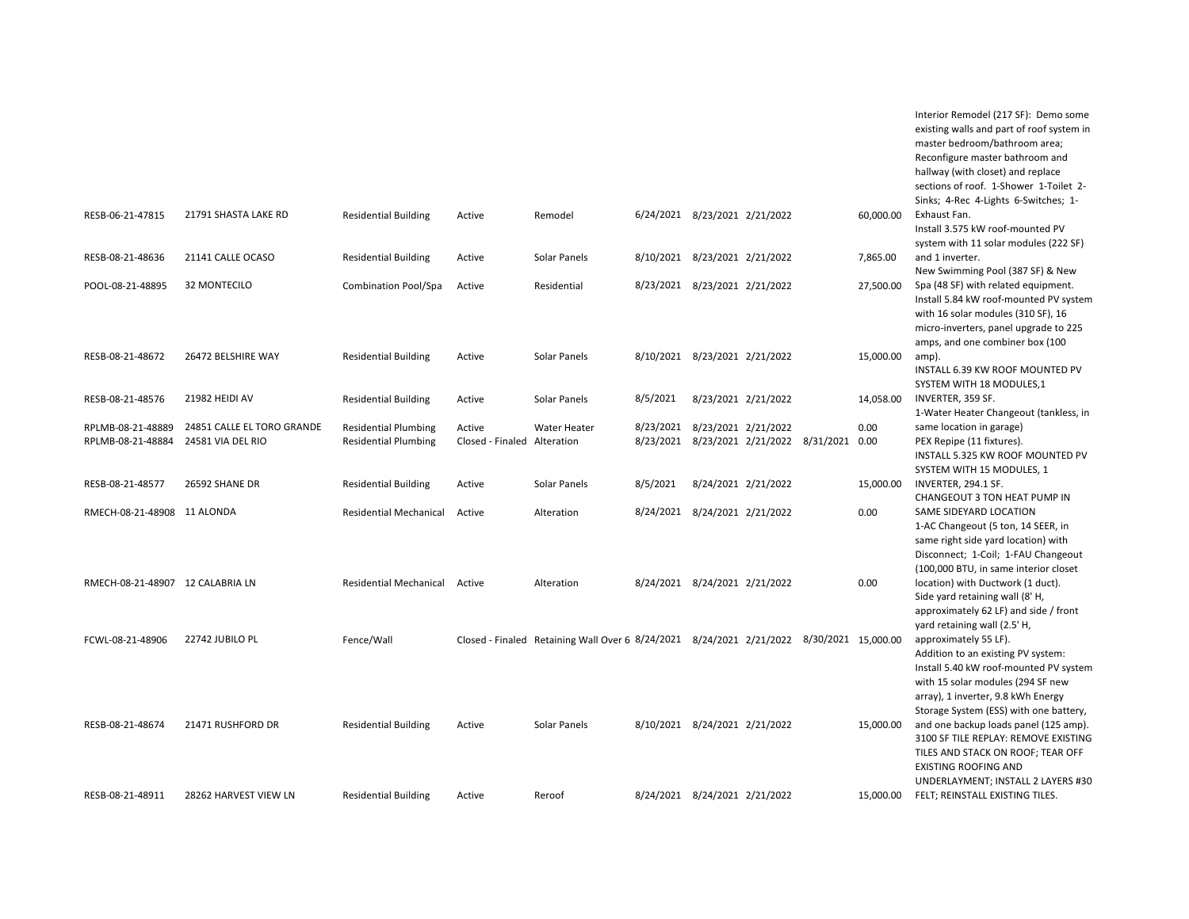|                                  |                            |                               |                             |                                                                                          |          |                               |                                              |           | existing walls and part of roof system in<br>master bedroom/bathroom area;<br>Reconfigure master bathroom and<br>hallway (with closet) and replace<br>sections of roof. 1-Shower 1-Toilet 2-<br>Sinks; 4-Rec 4-Lights 6-Switches; 1- |
|----------------------------------|----------------------------|-------------------------------|-----------------------------|------------------------------------------------------------------------------------------|----------|-------------------------------|----------------------------------------------|-----------|--------------------------------------------------------------------------------------------------------------------------------------------------------------------------------------------------------------------------------------|
| RESB-06-21-47815                 | 21791 SHASTA LAKE RD       | <b>Residential Building</b>   | Active                      | Remodel                                                                                  |          | 6/24/2021 8/23/2021 2/21/2022 |                                              | 60,000.00 | Exhaust Fan.<br>Install 3.575 kW roof-mounted PV<br>system with 11 solar modules (222 SF)                                                                                                                                            |
| RESB-08-21-48636                 | 21141 CALLE OCASO          | <b>Residential Building</b>   | Active                      | Solar Panels                                                                             |          | 8/10/2021 8/23/2021 2/21/2022 |                                              | 7,865.00  | and 1 inverter.<br>New Swimming Pool (387 SF) & New                                                                                                                                                                                  |
| POOL-08-21-48895                 | 32 MONTECILO               | <b>Combination Pool/Spa</b>   | Active                      | Residential                                                                              |          | 8/23/2021 8/23/2021 2/21/2022 |                                              | 27,500.00 | Spa (48 SF) with related equipment.<br>Install 5.84 kW roof-mounted PV system<br>with 16 solar modules (310 SF), 16<br>micro-inverters, panel upgrade to 225<br>amps, and one combiner box (100                                      |
| RESB-08-21-48672                 | 26472 BELSHIRE WAY         | <b>Residential Building</b>   | Active                      | Solar Panels                                                                             |          | 8/10/2021 8/23/2021 2/21/2022 |                                              | 15,000.00 | amp).<br>INSTALL 6.39 KW ROOF MOUNTED PV<br>SYSTEM WITH 18 MODULES,1                                                                                                                                                                 |
| RESB-08-21-48576                 | 21982 HEIDI AV             | <b>Residential Building</b>   | Active                      | Solar Panels                                                                             | 8/5/2021 |                               | 8/23/2021 2/21/2022                          | 14,058.00 | INVERTER, 359 SF.<br>1-Water Heater Changeout (tankless, in                                                                                                                                                                          |
| RPLMB-08-21-48889                | 24851 CALLE EL TORO GRANDE | <b>Residential Plumbing</b>   | Active                      | Water Heater                                                                             |          | 8/23/2021 8/23/2021 2/21/2022 |                                              | 0.00      | same location in garage)                                                                                                                                                                                                             |
| RPLMB-08-21-48884                | 24581 VIA DEL RIO          | <b>Residential Plumbing</b>   | Closed - Finaled Alteration |                                                                                          |          |                               | 8/23/2021 8/23/2021 2/21/2022 8/31/2021 0.00 |           | PEX Repipe (11 fixtures).<br>INSTALL 5.325 KW ROOF MOUNTED PV<br>SYSTEM WITH 15 MODULES, 1                                                                                                                                           |
| RESB-08-21-48577                 | 26592 SHANE DR             | <b>Residential Building</b>   | Active                      | Solar Panels                                                                             | 8/5/2021 |                               | 8/24/2021 2/21/2022                          | 15,000.00 | INVERTER, 294.1 SF.<br>CHANGEOUT 3 TON HEAT PUMP IN                                                                                                                                                                                  |
| RMECH-08-21-48908 11 ALONDA      |                            | <b>Residential Mechanical</b> | Active                      | Alteration                                                                               |          | 8/24/2021 8/24/2021 2/21/2022 |                                              | 0.00      | SAME SIDEYARD LOCATION<br>1-AC Changeout (5 ton, 14 SEER, in<br>same right side yard location) with<br>Disconnect; 1-Coil; 1-FAU Changeout<br>(100,000 BTU, in same interior closet                                                  |
| RMECH-08-21-48907 12 CALABRIA LN |                            | Residential Mechanical Active |                             | Alteration                                                                               |          | 8/24/2021 8/24/2021 2/21/2022 |                                              | 0.00      | location) with Ductwork (1 duct).<br>Side yard retaining wall (8'H,<br>approximately 62 LF) and side / front<br>yard retaining wall (2.5' H,                                                                                         |
| FCWL-08-21-48906                 | 22742 JUBILO PL            | Fence/Wall                    |                             | Closed - Finaled Retaining Wall Over 6 8/24/2021 8/24/2021 2/21/2022 8/30/2021 15,000.00 |          |                               |                                              |           | approximately 55 LF).<br>Addition to an existing PV system:<br>Install 5.40 kW roof-mounted PV system<br>with 15 solar modules (294 SF new<br>array), 1 inverter, 9.8 kWh Energy<br>Storage System (ESS) with one battery,           |
| RESB-08-21-48674                 | 21471 RUSHFORD DR          | <b>Residential Building</b>   | Active                      | Solar Panels                                                                             |          | 8/10/2021 8/24/2021 2/21/2022 |                                              | 15,000.00 | and one backup loads panel (125 amp).<br>3100 SF TILE REPLAY: REMOVE EXISTING<br>TILES AND STACK ON ROOF; TEAR OFF<br><b>EXISTING ROOFING AND</b><br>UNDERLAYMENT; INSTALL 2 LAYERS #30                                              |
| RESB-08-21-48911                 | 28262 HARVEST VIEW LN      | <b>Residential Building</b>   | Active                      | Reroof                                                                                   |          | 8/24/2021 8/24/2021 2/21/2022 |                                              | 15,000.00 | FELT; REINSTALL EXISTING TILES.                                                                                                                                                                                                      |

Interior Remodel (217 SF): Demo some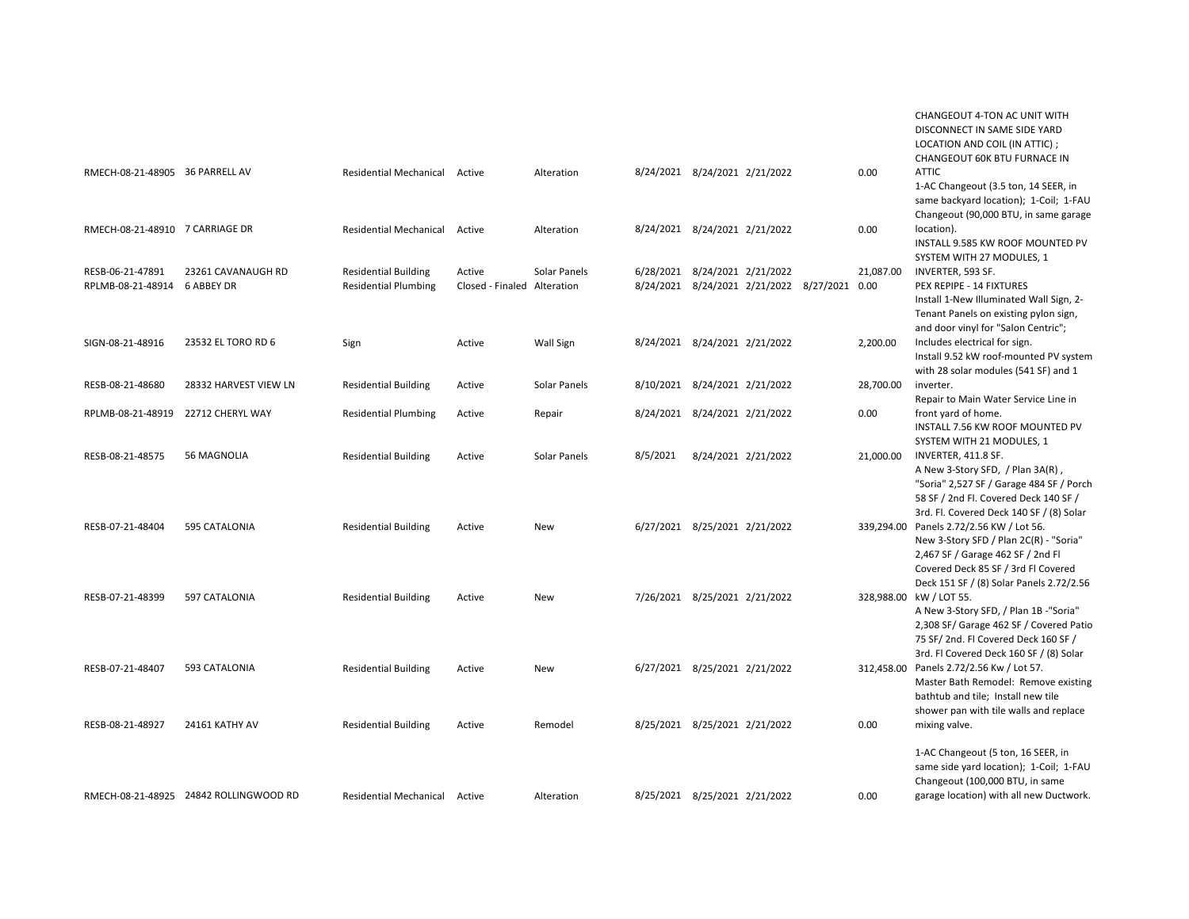|                                                  |                                        |                                                            |                                       |              |          |                                                                               |            | CHANGEOUT 4-TON AC UNIT WITH<br>DISCONNECT IN SAME SIDE YARD<br>LOCATION AND COIL (IN ATTIC) ;<br>CHANGEOUT 60K BTU FURNACE IN                                                                             |
|--------------------------------------------------|----------------------------------------|------------------------------------------------------------|---------------------------------------|--------------|----------|-------------------------------------------------------------------------------|------------|------------------------------------------------------------------------------------------------------------------------------------------------------------------------------------------------------------|
| RMECH-08-21-48905 36 PARRELL AV                  |                                        | <b>Residential Mechanical</b>                              | Active                                | Alteration   |          | 8/24/2021 8/24/2021 2/21/2022                                                 | 0.00       | <b>ATTIC</b><br>1-AC Changeout (3.5 ton, 14 SEER, in<br>same backyard location); 1-Coil; 1-FAU<br>Changeout (90,000 BTU, in same garage                                                                    |
| RMECH-08-21-48910 7 CARRIAGE DR                  |                                        | <b>Residential Mechanical</b>                              | Active                                | Alteration   |          | 8/24/2021 8/24/2021 2/21/2022                                                 | 0.00       | location).<br>INSTALL 9.585 KW ROOF MOUNTED PV<br>SYSTEM WITH 27 MODULES, 1                                                                                                                                |
| RESB-06-21-47891<br>RPLMB-08-21-48914 6 ABBEY DR | 23261 CAVANAUGH RD                     | <b>Residential Building</b><br><b>Residential Plumbing</b> | Active<br>Closed - Finaled Alteration | Solar Panels |          | 6/28/2021 8/24/2021 2/21/2022<br>8/24/2021 8/24/2021 2/21/2022 8/27/2021 0.00 | 21,087.00  | INVERTER, 593 SF.<br>PEX REPIPE - 14 FIXTURES<br>Install 1-New Illuminated Wall Sign, 2-<br>Tenant Panels on existing pylon sign,<br>and door vinyl for "Salon Centric";                                   |
| SIGN-08-21-48916                                 | 23532 EL TORO RD 6                     | Sign                                                       | Active                                | Wall Sign    |          | 8/24/2021 8/24/2021 2/21/2022                                                 | 2,200.00   | Includes electrical for sign.<br>Install 9.52 kW roof-mounted PV system<br>with 28 solar modules (541 SF) and 1                                                                                            |
| RESB-08-21-48680                                 | 28332 HARVEST VIEW LN                  | <b>Residential Building</b>                                | Active                                | Solar Panels |          | 8/10/2021 8/24/2021 2/21/2022                                                 | 28,700.00  | inverter.<br>Repair to Main Water Service Line in                                                                                                                                                          |
| RPLMB-08-21-48919                                | 22712 CHERYL WAY                       | <b>Residential Plumbing</b>                                | Active                                | Repair       |          | 8/24/2021 8/24/2021 2/21/2022                                                 | 0.00       | front yard of home.<br>INSTALL 7.56 KW ROOF MOUNTED PV<br>SYSTEM WITH 21 MODULES, 1                                                                                                                        |
| RESB-08-21-48575                                 | <b>56 MAGNOLIA</b>                     | <b>Residential Building</b>                                | Active                                | Solar Panels | 8/5/2021 | 8/24/2021 2/21/2022                                                           | 21,000.00  | INVERTER, 411.8 SF.<br>A New 3-Story SFD, / Plan 3A(R),<br>"Soria" 2,527 SF / Garage 484 SF / Porch<br>58 SF / 2nd Fl. Covered Deck 140 SF /<br>3rd. Fl. Covered Deck 140 SF / (8) Solar                   |
| RESB-07-21-48404                                 | 595 CATALONIA                          | <b>Residential Building</b>                                | Active                                | <b>New</b>   |          | 6/27/2021 8/25/2021 2/21/2022                                                 |            | 339.294.00 Panels 2.72/2.56 KW / Lot 56.<br>New 3-Story SFD / Plan 2C(R) - "Soria"<br>2,467 SF / Garage 462 SF / 2nd Fl<br>Covered Deck 85 SF / 3rd FI Covered<br>Deck 151 SF / (8) Solar Panels 2.72/2.56 |
| RESB-07-21-48399                                 | 597 CATALONIA                          | <b>Residential Building</b>                                | Active                                | New          |          | 7/26/2021 8/25/2021 2/21/2022                                                 |            | 328,988.00 kW / LOT 55.<br>A New 3-Story SFD, / Plan 1B -"Soria"<br>2,308 SF/ Garage 462 SF / Covered Patio<br>75 SF/2nd. Fl Covered Deck 160 SF /<br>3rd. Fl Covered Deck 160 SF / (8) Solar              |
| RESB-07-21-48407                                 | 593 CATALONIA                          | <b>Residential Building</b>                                | Active                                | New          |          | 6/27/2021 8/25/2021 2/21/2022                                                 | 312,458.00 | Panels 2.72/2.56 Kw / Lot 57.<br>Master Bath Remodel: Remove existing<br>bathtub and tile; Install new tile<br>shower pan with tile walls and replace                                                      |
| RESB-08-21-48927                                 | 24161 KATHY AV                         | <b>Residential Building</b>                                | Active                                | Remodel      |          | 8/25/2021 8/25/2021 2/21/2022                                                 | 0.00       | mixing valve.<br>1-AC Changeout (5 ton, 16 SEER, in<br>same side yard location); 1-Coil; 1-FAU<br>Changeout (100,000 BTU, in same                                                                          |
|                                                  | RMECH-08-21-48925 24842 ROLLINGWOOD RD | <b>Residential Mechanical</b>                              | Active                                | Alteration   |          | 8/25/2021 8/25/2021 2/21/2022                                                 | 0.00       | garage location) with all new Ductwork.                                                                                                                                                                    |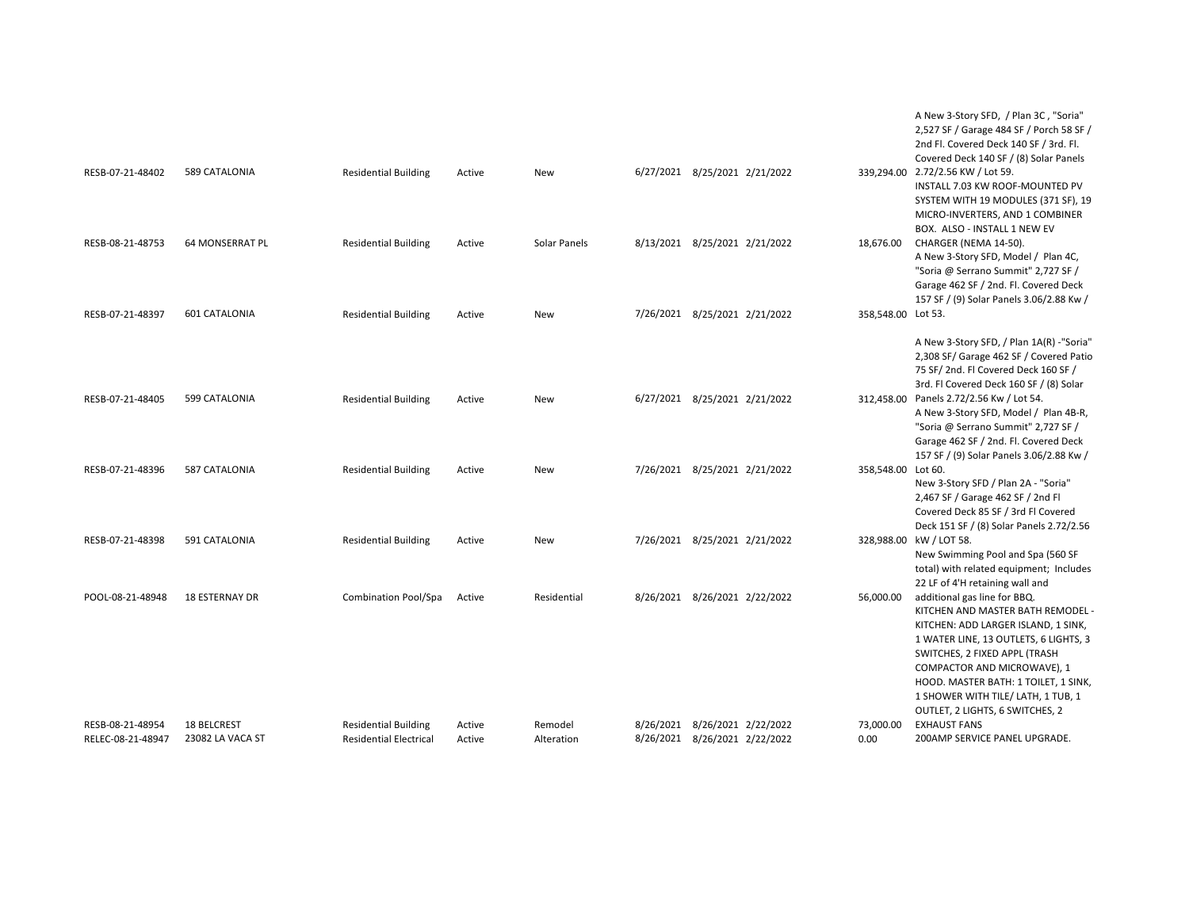|                                       |                                 |                                                              |                  |                       |                               |                               |                    | A New 3-Story SFD, / Plan 3C, "Soria"<br>2,527 SF / Garage 484 SF / Porch 58 SF /<br>2nd Fl. Covered Deck 140 SF / 3rd. Fl.<br>Covered Deck 140 SF / (8) Solar Panels                                                                                                                                                              |
|---------------------------------------|---------------------------------|--------------------------------------------------------------|------------------|-----------------------|-------------------------------|-------------------------------|--------------------|------------------------------------------------------------------------------------------------------------------------------------------------------------------------------------------------------------------------------------------------------------------------------------------------------------------------------------|
| RESB-07-21-48402                      | 589 CATALONIA                   | <b>Residential Building</b>                                  | Active           | New                   |                               | 6/27/2021 8/25/2021 2/21/2022 |                    | 339,294.00 2.72/2.56 KW / Lot 59.<br>INSTALL 7.03 KW ROOF-MOUNTED PV<br>SYSTEM WITH 19 MODULES (371 SF), 19<br>MICRO-INVERTERS, AND 1 COMBINER<br>BOX. ALSO - INSTALL 1 NEW EV                                                                                                                                                     |
| RESB-08-21-48753                      | 64 MONSERRAT PL                 | <b>Residential Building</b>                                  | Active           | Solar Panels          |                               | 8/13/2021 8/25/2021 2/21/2022 | 18,676.00          | CHARGER (NEMA 14-50).<br>A New 3-Story SFD, Model / Plan 4C,<br>"Soria @ Serrano Summit" 2,727 SF /<br>Garage 462 SF / 2nd. Fl. Covered Deck<br>157 SF / (9) Solar Panels 3.06/2.88 Kw /                                                                                                                                           |
| RESB-07-21-48397                      | 601 CATALONIA                   | <b>Residential Building</b>                                  | Active           | New                   |                               | 7/26/2021 8/25/2021 2/21/2022 | 358,548.00 Lot 53. | A New 3-Story SFD, / Plan 1A(R) -"Soria"<br>2,308 SF/ Garage 462 SF / Covered Patio<br>75 SF/2nd. Fl Covered Deck 160 SF /<br>3rd. Fl Covered Deck 160 SF / (8) Solar                                                                                                                                                              |
| RESB-07-21-48405                      | 599 CATALONIA                   | <b>Residential Building</b>                                  | Active           | <b>New</b>            |                               | 6/27/2021 8/25/2021 2/21/2022 | 312,458.00         | Panels 2.72/2.56 Kw / Lot 54.<br>A New 3-Story SFD, Model / Plan 4B-R,<br>"Soria @ Serrano Summit" 2,727 SF /<br>Garage 462 SF / 2nd. Fl. Covered Deck<br>157 SF / (9) Solar Panels 3.06/2.88 Kw /                                                                                                                                 |
| RESB-07-21-48396                      | 587 CATALONIA                   | <b>Residential Building</b>                                  | Active           | <b>New</b>            |                               | 7/26/2021 8/25/2021 2/21/2022 | 358,548.00 Lot 60. | New 3-Story SFD / Plan 2A - "Soria"<br>2,467 SF / Garage 462 SF / 2nd Fl<br>Covered Deck 85 SF / 3rd Fl Covered<br>Deck 151 SF / (8) Solar Panels 2.72/2.56                                                                                                                                                                        |
| RESB-07-21-48398                      | 591 CATALONIA                   | <b>Residential Building</b>                                  | Active           | New                   |                               | 7/26/2021 8/25/2021 2/21/2022 |                    | 328,988.00 kW / LOT 58.<br>New Swimming Pool and Spa (560 SF<br>total) with related equipment; Includes<br>22 LF of 4'H retaining wall and                                                                                                                                                                                         |
| POOL-08-21-48948                      | <b>18 ESTERNAY DR</b>           | Combination Pool/Spa                                         | Active           | Residential           |                               | 8/26/2021 8/26/2021 2/22/2022 | 56,000.00          | additional gas line for BBQ.<br>KITCHEN AND MASTER BATH REMODEL -<br>KITCHEN: ADD LARGER ISLAND, 1 SINK,<br>1 WATER LINE, 13 OUTLETS, 6 LIGHTS, 3<br>SWITCHES, 2 FIXED APPL (TRASH<br>COMPACTOR AND MICROWAVE), 1<br>HOOD. MASTER BATH: 1 TOILET, 1 SINK,<br>1 SHOWER WITH TILE/ LATH, 1 TUB, 1<br>OUTLET, 2 LIGHTS, 6 SWITCHES, 2 |
| RESB-08-21-48954<br>RELEC-08-21-48947 | 18 BELCREST<br>23082 LA VACA ST | <b>Residential Building</b><br><b>Residential Electrical</b> | Active<br>Active | Remodel<br>Alteration | 8/26/2021 8/26/2021 2/22/2022 | 8/26/2021 8/26/2021 2/22/2022 | 73,000.00<br>0.00  | <b>EXHAUST FANS</b><br>200AMP SERVICE PANEL UPGRADE.                                                                                                                                                                                                                                                                               |
|                                       |                                 |                                                              |                  |                       |                               |                               |                    |                                                                                                                                                                                                                                                                                                                                    |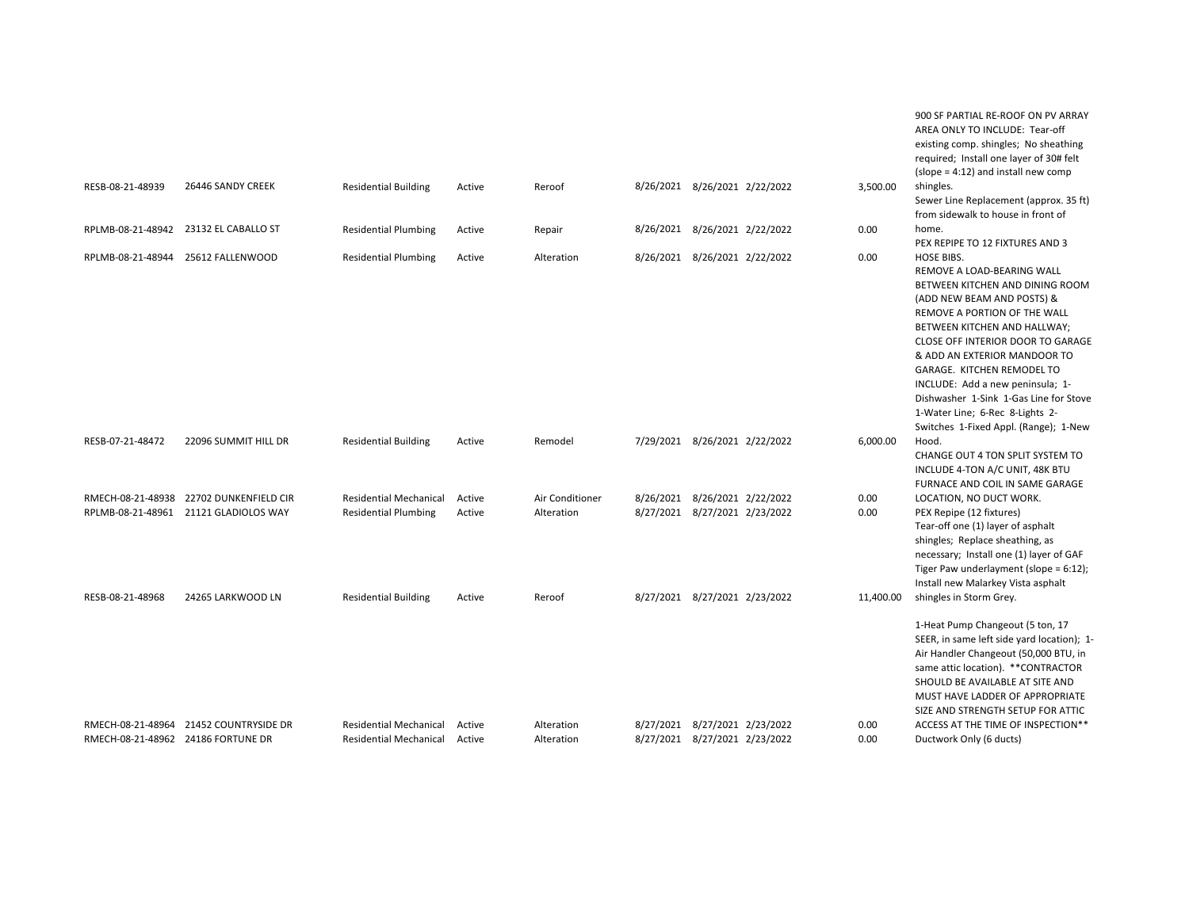|                                    |                                                                                  |                                                                |                  |                               |                                                                |                               |              | 900 SF PARTIAL RE-ROOF ON PV ARRAY<br>AREA ONLY TO INCLUDE: Tear-off<br>existing comp. shingles; No sheathing<br>required; Install one layer of 30# felt                                                                                                                                                                                                                                                                                      |
|------------------------------------|----------------------------------------------------------------------------------|----------------------------------------------------------------|------------------|-------------------------------|----------------------------------------------------------------|-------------------------------|--------------|-----------------------------------------------------------------------------------------------------------------------------------------------------------------------------------------------------------------------------------------------------------------------------------------------------------------------------------------------------------------------------------------------------------------------------------------------|
| RESB-08-21-48939                   | 26446 SANDY CREEK                                                                | <b>Residential Building</b>                                    | Active           | Reroof                        | 8/26/2021 8/26/2021 2/22/2022                                  |                               | 3,500.00     | $(slope = 4:12)$ and install new comp<br>shingles.<br>Sewer Line Replacement (approx. 35 ft)<br>from sidewalk to house in front of                                                                                                                                                                                                                                                                                                            |
|                                    | RPLMB-08-21-48942 23132 EL CABALLO ST                                            | <b>Residential Plumbing</b>                                    | Active           | Repair                        | 8/26/2021 8/26/2021 2/22/2022                                  |                               | 0.00         | home.<br>PEX REPIPE TO 12 FIXTURES AND 3                                                                                                                                                                                                                                                                                                                                                                                                      |
|                                    | RPLMB-08-21-48944 25612 FALLENWOOD                                               | <b>Residential Plumbing</b>                                    | Active           | Alteration                    | 8/26/2021 8/26/2021 2/22/2022                                  |                               | 0.00         | <b>HOSE BIBS.</b><br>REMOVE A LOAD-BEARING WALL<br>BETWEEN KITCHEN AND DINING ROOM<br>(ADD NEW BEAM AND POSTS) &<br>REMOVE A PORTION OF THE WALL<br>BETWEEN KITCHEN AND HALLWAY;<br>CLOSE OFF INTERIOR DOOR TO GARAGE<br>& ADD AN EXTERIOR MANDOOR TO<br>GARAGE. KITCHEN REMODEL TO<br>INCLUDE: Add a new peninsula; 1-<br>Dishwasher 1-Sink 1-Gas Line for Stove<br>1-Water Line; 6-Rec 8-Lights 2-<br>Switches 1-Fixed Appl. (Range); 1-New |
| RESB-07-21-48472                   | 22096 SUMMIT HILL DR                                                             | <b>Residential Building</b>                                    | Active           | Remodel                       | 7/29/2021 8/26/2021 2/22/2022                                  |                               | 6,000.00     | Hood.<br>CHANGE OUT 4 TON SPLIT SYSTEM TO<br>INCLUDE 4-TON A/C UNIT, 48K BTU<br>FURNACE AND COIL IN SAME GARAGE                                                                                                                                                                                                                                                                                                                               |
|                                    | RMECH-08-21-48938 22702 DUNKENFIELD CIR<br>RPLMB-08-21-48961 21121 GLADIOLOS WAY | <b>Residential Mechanical</b><br><b>Residential Plumbing</b>   | Active<br>Active | Air Conditioner<br>Alteration | 8/26/2021 8/26/2021 2/22/2022<br>8/27/2021 8/27/2021 2/23/2022 |                               | 0.00<br>0.00 | LOCATION, NO DUCT WORK.<br>PEX Repipe (12 fixtures)<br>Tear-off one (1) layer of asphalt<br>shingles; Replace sheathing, as<br>necessary; Install one (1) layer of GAF<br>Tiger Paw underlayment (slope = 6:12);<br>Install new Malarkey Vista asphalt                                                                                                                                                                                        |
| RESB-08-21-48968                   | 24265 LARKWOOD LN                                                                | <b>Residential Building</b>                                    | Active           | Reroof                        | 8/27/2021 8/27/2021 2/23/2022                                  |                               | 11,400.00    | shingles in Storm Grey.<br>1-Heat Pump Changeout (5 ton, 17<br>SEER, in same left side yard location); 1-<br>Air Handler Changeout (50,000 BTU, in<br>same attic location). ** CONTRACTOR<br>SHOULD BE AVAILABLE AT SITE AND<br>MUST HAVE LADDER OF APPROPRIATE<br>SIZE AND STRENGTH SETUP FOR ATTIC                                                                                                                                          |
| RMECH-08-21-48962 24186 FORTUNE DR | RMECH-08-21-48964 21452 COUNTRYSIDE DR                                           | <b>Residential Mechanical</b><br><b>Residential Mechanical</b> | Active<br>Active | Alteration<br>Alteration      | 8/27/2021 8/27/2021 2/23/2022                                  | 8/27/2021 8/27/2021 2/23/2022 | 0.00<br>0.00 | ACCESS AT THE TIME OF INSPECTION**<br>Ductwork Only (6 ducts)                                                                                                                                                                                                                                                                                                                                                                                 |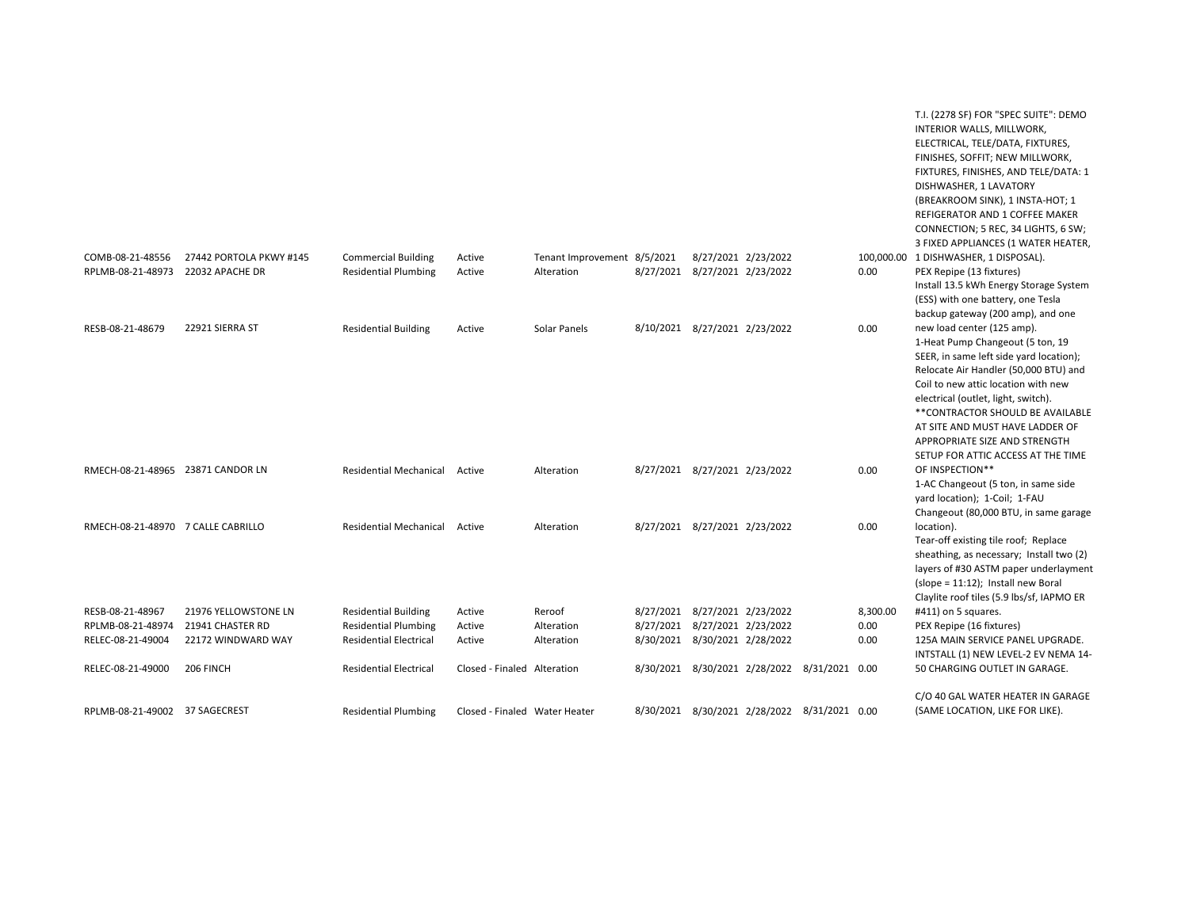|                                        |                                        |                                                              |                               |                             |                                                                |                                              |              | T.I. (2278 SF) FOR "SPEC SUITE": DEMO<br>INTERIOR WALLS, MILLWORK,<br>ELECTRICAL, TELE/DATA, FIXTURES,<br>FINISHES, SOFFIT; NEW MILLWORK,<br>FIXTURES, FINISHES, AND TELE/DATA: 1<br>DISHWASHER, 1 LAVATORY<br>(BREAKROOM SINK), 1 INSTA-HOT; 1<br>REFIGERATOR AND 1 COFFEE MAKER<br>CONNECTION; 5 REC, 34 LIGHTS, 6 SW;<br>3 FIXED APPLIANCES (1 WATER HEATER, |
|----------------------------------------|----------------------------------------|--------------------------------------------------------------|-------------------------------|-----------------------------|----------------------------------------------------------------|----------------------------------------------|--------------|-----------------------------------------------------------------------------------------------------------------------------------------------------------------------------------------------------------------------------------------------------------------------------------------------------------------------------------------------------------------|
| COMB-08-21-48556                       | 27442 PORTOLA PKWY #145                | <b>Commercial Building</b>                                   | Active                        | Tenant Improvement 8/5/2021 | 8/27/2021 2/23/2022                                            |                                              |              | 100,000.00 1 DISHWASHER, 1 DISPOSAL).                                                                                                                                                                                                                                                                                                                           |
| RPLMB-08-21-48973                      | 22032 APACHE DR                        | <b>Residential Plumbing</b>                                  | Active                        | Alteration                  | 8/27/2021 8/27/2021 2/23/2022                                  |                                              | 0.00         | PEX Repipe (13 fixtures)                                                                                                                                                                                                                                                                                                                                        |
|                                        |                                        |                                                              |                               |                             |                                                                |                                              |              | Install 13.5 kWh Energy Storage System<br>(ESS) with one battery, one Tesla<br>backup gateway (200 amp), and one                                                                                                                                                                                                                                                |
| RESB-08-21-48679                       | 22921 SIERRA ST                        | <b>Residential Building</b>                                  | Active                        | Solar Panels                | 8/10/2021 8/27/2021 2/23/2022                                  |                                              | 0.00         | new load center (125 amp).                                                                                                                                                                                                                                                                                                                                      |
|                                        |                                        |                                                              |                               |                             |                                                                |                                              |              | 1-Heat Pump Changeout (5 ton, 19                                                                                                                                                                                                                                                                                                                                |
|                                        |                                        |                                                              |                               |                             |                                                                |                                              |              | SEER, in same left side yard location);                                                                                                                                                                                                                                                                                                                         |
|                                        |                                        |                                                              |                               |                             |                                                                |                                              |              | Relocate Air Handler (50,000 BTU) and                                                                                                                                                                                                                                                                                                                           |
|                                        |                                        |                                                              |                               |                             |                                                                |                                              |              | Coil to new attic location with new                                                                                                                                                                                                                                                                                                                             |
|                                        |                                        |                                                              |                               |                             |                                                                |                                              |              | electrical (outlet, light, switch).                                                                                                                                                                                                                                                                                                                             |
|                                        |                                        |                                                              |                               |                             |                                                                |                                              |              | ** CONTRACTOR SHOULD BE AVAILABLE                                                                                                                                                                                                                                                                                                                               |
|                                        |                                        |                                                              |                               |                             |                                                                |                                              |              | AT SITE AND MUST HAVE LADDER OF                                                                                                                                                                                                                                                                                                                                 |
|                                        |                                        |                                                              |                               |                             |                                                                |                                              |              | APPROPRIATE SIZE AND STRENGTH<br>SETUP FOR ATTIC ACCESS AT THE TIME                                                                                                                                                                                                                                                                                             |
| RMECH-08-21-48965 23871 CANDOR LN      |                                        | <b>Residential Mechanical</b>                                | Active                        | Alteration                  | 8/27/2021 8/27/2021 2/23/2022                                  |                                              | 0.00         | OF INSPECTION**                                                                                                                                                                                                                                                                                                                                                 |
|                                        |                                        |                                                              |                               |                             |                                                                |                                              |              | 1-AC Changeout (5 ton, in same side                                                                                                                                                                                                                                                                                                                             |
|                                        |                                        |                                                              |                               |                             |                                                                |                                              |              | yard location); 1-Coil; 1-FAU                                                                                                                                                                                                                                                                                                                                   |
|                                        |                                        |                                                              |                               |                             |                                                                |                                              |              | Changeout (80,000 BTU, in same garage                                                                                                                                                                                                                                                                                                                           |
| RMECH-08-21-48970 7 CALLE CABRILLO     |                                        | <b>Residential Mechanical</b>                                | Active                        | Alteration                  | 8/27/2021 8/27/2021 2/23/2022                                  |                                              | 0.00         | location).                                                                                                                                                                                                                                                                                                                                                      |
|                                        |                                        |                                                              |                               |                             |                                                                |                                              |              | Tear-off existing tile roof; Replace                                                                                                                                                                                                                                                                                                                            |
|                                        |                                        |                                                              |                               |                             |                                                                |                                              |              | sheathing, as necessary; Install two (2)                                                                                                                                                                                                                                                                                                                        |
|                                        |                                        |                                                              |                               |                             |                                                                |                                              |              | layers of #30 ASTM paper underlayment                                                                                                                                                                                                                                                                                                                           |
|                                        |                                        |                                                              |                               |                             |                                                                |                                              |              | (slope = 11:12); Install new Boral                                                                                                                                                                                                                                                                                                                              |
|                                        |                                        |                                                              |                               |                             |                                                                |                                              |              | Claylite roof tiles (5.9 lbs/sf, IAPMO ER                                                                                                                                                                                                                                                                                                                       |
| RESB-08-21-48967                       | 21976 YELLOWSTONE LN                   | <b>Residential Building</b>                                  | Active                        | Reroof                      | 8/27/2021 8/27/2021 2/23/2022<br>8/27/2021 8/27/2021 2/23/2022 |                                              | 8,300.00     | #411) on 5 squares.                                                                                                                                                                                                                                                                                                                                             |
| RPLMB-08-21-48974<br>RELEC-08-21-49004 | 21941 CHASTER RD<br>22172 WINDWARD WAY | <b>Residential Plumbing</b><br><b>Residential Electrical</b> | Active<br>Active              | Alteration<br>Alteration    | 8/30/2021 8/30/2021 2/28/2022                                  |                                              | 0.00<br>0.00 | PEX Repipe (16 fixtures)<br>125A MAIN SERVICE PANEL UPGRADE.                                                                                                                                                                                                                                                                                                    |
|                                        |                                        |                                                              |                               |                             |                                                                |                                              |              | INTSTALL (1) NEW LEVEL-2 EV NEMA 14-                                                                                                                                                                                                                                                                                                                            |
| RELEC-08-21-49000                      | 206 FINCH                              | <b>Residential Electrical</b>                                | Closed - Finaled Alteration   |                             |                                                                | 8/30/2021 8/30/2021 2/28/2022 8/31/2021 0.00 |              | 50 CHARGING OUTLET IN GARAGE.                                                                                                                                                                                                                                                                                                                                   |
|                                        |                                        |                                                              |                               |                             |                                                                |                                              |              | C/O 40 GAL WATER HEATER IN GARAGE                                                                                                                                                                                                                                                                                                                               |
| RPLMB-08-21-49002 37 SAGECREST         |                                        | <b>Residential Plumbing</b>                                  | Closed - Finaled Water Heater |                             |                                                                | 8/30/2021 8/30/2021 2/28/2022 8/31/2021 0.00 |              | (SAME LOCATION, LIKE FOR LIKE).                                                                                                                                                                                                                                                                                                                                 |
|                                        |                                        |                                                              |                               |                             |                                                                |                                              |              |                                                                                                                                                                                                                                                                                                                                                                 |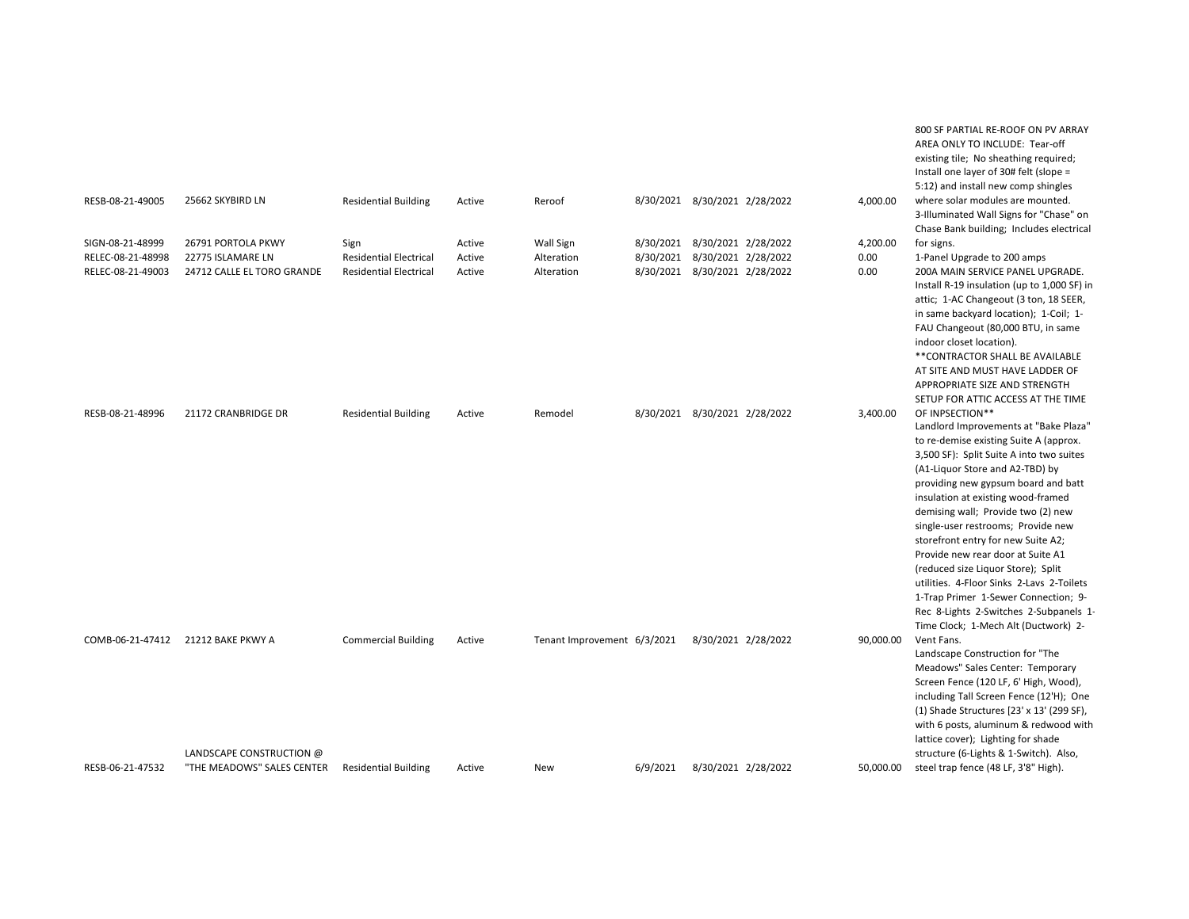| RESB-08-21-49005                       | 25662 SKYBIRD LN                                       | <b>Residential Building</b>                                    | Active           | Reroof                      |          | 8/30/2021 8/30/2021 2/28/2022                                  |                     | 4,000.00     | 800 SF PARTIAL RE-ROOF ON PV ARRAY<br>AREA ONLY TO INCLUDE: Tear-off<br>existing tile; No sheathing required;<br>Install one layer of 30# felt (slope =<br>5:12) and install new comp shingles<br>where solar modules are mounted.                                                                                                                                                                                                                                                                                                                                                                                                 |
|----------------------------------------|--------------------------------------------------------|----------------------------------------------------------------|------------------|-----------------------------|----------|----------------------------------------------------------------|---------------------|--------------|------------------------------------------------------------------------------------------------------------------------------------------------------------------------------------------------------------------------------------------------------------------------------------------------------------------------------------------------------------------------------------------------------------------------------------------------------------------------------------------------------------------------------------------------------------------------------------------------------------------------------------|
|                                        |                                                        |                                                                |                  |                             |          |                                                                |                     |              | 3-Illuminated Wall Signs for "Chase" on<br>Chase Bank building; Includes electrical                                                                                                                                                                                                                                                                                                                                                                                                                                                                                                                                                |
| SIGN-08-21-48999                       | 26791 PORTOLA PKWY                                     | Sign                                                           | Active           | Wall Sign                   |          | 8/30/2021 8/30/2021 2/28/2022                                  |                     | 4,200.00     | for signs.                                                                                                                                                                                                                                                                                                                                                                                                                                                                                                                                                                                                                         |
| RELEC-08-21-48998<br>RELEC-08-21-49003 | 22775 ISLAMARE LN<br>24712 CALLE EL TORO GRANDE        | <b>Residential Electrical</b><br><b>Residential Electrical</b> | Active<br>Active | Alteration<br>Alteration    |          | 8/30/2021 8/30/2021 2/28/2022<br>8/30/2021 8/30/2021 2/28/2022 |                     | 0.00<br>0.00 | 1-Panel Upgrade to 200 amps<br>200A MAIN SERVICE PANEL UPGRADE.<br>Install R-19 insulation (up to 1,000 SF) in<br>attic; 1-AC Changeout (3 ton, 18 SEER,<br>in same backyard location); 1-Coil; 1-<br>FAU Changeout (80,000 BTU, in same<br>indoor closet location).<br>**CONTRACTOR SHALL BE AVAILABLE<br>AT SITE AND MUST HAVE LADDER OF<br>APPROPRIATE SIZE AND STRENGTH<br>SETUP FOR ATTIC ACCESS AT THE TIME                                                                                                                                                                                                                  |
| RESB-08-21-48996                       | 21172 CRANBRIDGE DR                                    | <b>Residential Building</b>                                    | Active           | Remodel                     |          | 8/30/2021 8/30/2021 2/28/2022                                  |                     | 3,400.00     | OF INPSECTION**<br>Landlord Improvements at "Bake Plaza"<br>to re-demise existing Suite A (approx.<br>3,500 SF): Split Suite A into two suites<br>(A1-Liquor Store and A2-TBD) by<br>providing new gypsum board and batt<br>insulation at existing wood-framed<br>demising wall; Provide two (2) new<br>single-user restrooms; Provide new<br>storefront entry for new Suite A2;<br>Provide new rear door at Suite A1<br>(reduced size Liquor Store); Split<br>utilities. 4-Floor Sinks 2-Lavs 2-Toilets<br>1-Trap Primer 1-Sewer Connection; 9-<br>Rec 8-Lights 2-Switches 2-Subpanels 1-<br>Time Clock; 1-Mech Alt (Ductwork) 2- |
| COMB-06-21-47412                       | 21212 BAKE PKWY A                                      | <b>Commercial Building</b>                                     | Active           | Tenant Improvement 6/3/2021 |          |                                                                | 8/30/2021 2/28/2022 | 90,000.00    | Vent Fans.<br>Landscape Construction for "The<br>Meadows" Sales Center: Temporary<br>Screen Fence (120 LF, 6' High, Wood),<br>including Tall Screen Fence (12'H); One<br>(1) Shade Structures [23' x 13' (299 SF),<br>with 6 posts, aluminum & redwood with<br>lattice cover); Lighting for shade                                                                                                                                                                                                                                                                                                                                  |
| RESB-06-21-47532                       | LANDSCAPE CONSTRUCTION @<br>"THE MEADOWS" SALES CENTER | <b>Residential Building</b>                                    | Active           | New                         | 6/9/2021 |                                                                | 8/30/2021 2/28/2022 | 50,000.00    | structure (6-Lights & 1-Switch). Also,<br>steel trap fence (48 LF, 3'8" High).                                                                                                                                                                                                                                                                                                                                                                                                                                                                                                                                                     |
|                                        |                                                        |                                                                |                  |                             |          |                                                                |                     |              |                                                                                                                                                                                                                                                                                                                                                                                                                                                                                                                                                                                                                                    |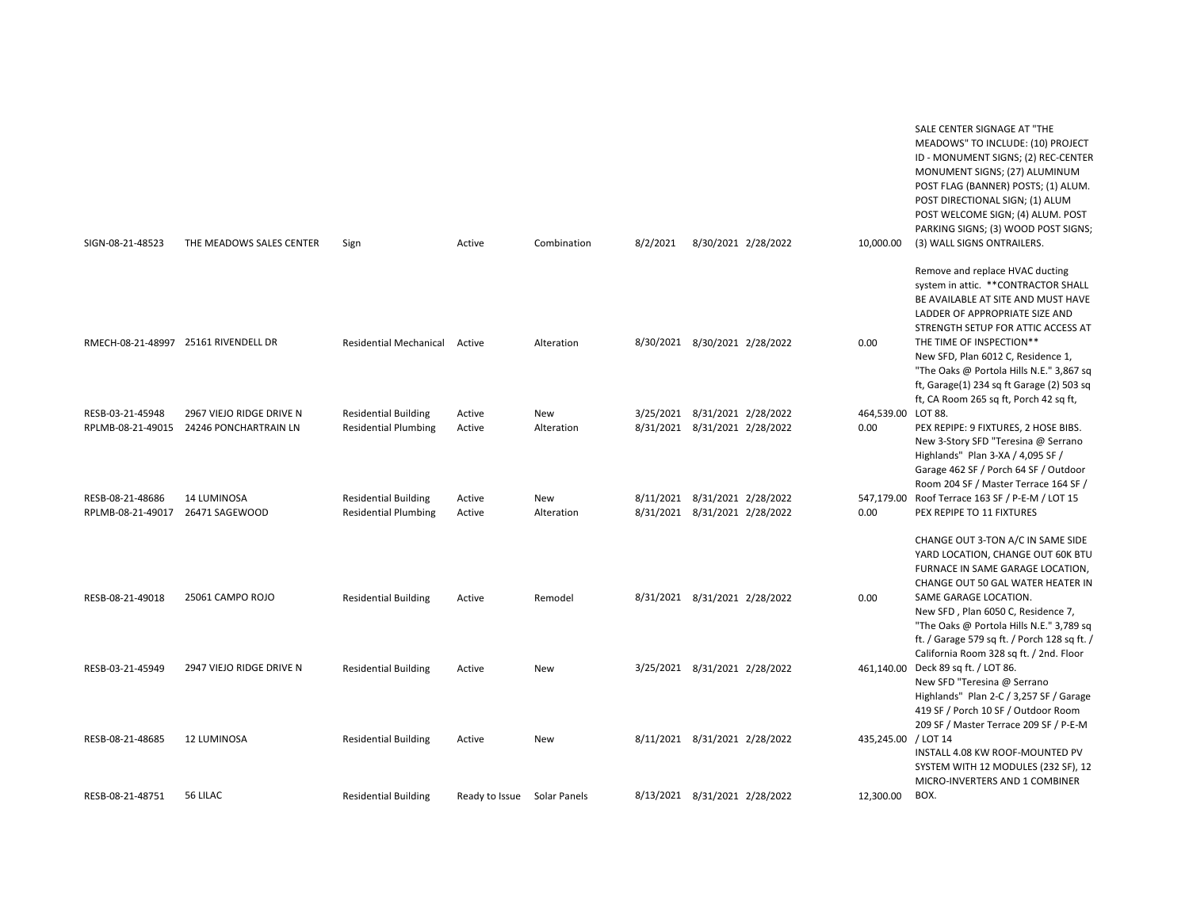| SIGN-08-21-48523                                     | THE MEADOWS SALES CENTER                          | Sign                                                       | Active                      | Combination       | 8/2/2021                                                       | 8/30/2021 2/28/2022 | 10,000.00                  | SALE CENTER SIGNAGE AT "THE<br>MEADOWS" TO INCLUDE: (10) PROJECT<br>ID - MONUMENT SIGNS; (2) REC-CENTER<br>MONUMENT SIGNS; (27) ALUMINUM<br>POST FLAG (BANNER) POSTS; (1) ALUM.<br>POST DIRECTIONAL SIGN; (1) ALUM<br>POST WELCOME SIGN; (4) ALUM. POST<br>PARKING SIGNS; (3) WOOD POST SIGNS;<br>(3) WALL SIGNS ONTRAILERS. |
|------------------------------------------------------|---------------------------------------------------|------------------------------------------------------------|-----------------------------|-------------------|----------------------------------------------------------------|---------------------|----------------------------|------------------------------------------------------------------------------------------------------------------------------------------------------------------------------------------------------------------------------------------------------------------------------------------------------------------------------|
|                                                      |                                                   |                                                            |                             |                   |                                                                |                     |                            | Remove and replace HVAC ducting<br>system in attic. ** CONTRACTOR SHALL<br>BE AVAILABLE AT SITE AND MUST HAVE<br>LADDER OF APPROPRIATE SIZE AND<br>STRENGTH SETUP FOR ATTIC ACCESS AT                                                                                                                                        |
| RMECH-08-21-48997 25161 RIVENDELL DR                 |                                                   | Residential Mechanical Active                              |                             | Alteration        | 8/30/2021 8/30/2021 2/28/2022                                  |                     | 0.00                       | THE TIME OF INSPECTION**<br>New SFD, Plan 6012 C, Residence 1,<br>"The Oaks @ Portola Hills N.E." 3,867 sq<br>ft, Garage(1) 234 sq ft Garage (2) 503 sq<br>ft, CA Room 265 sq ft, Porch 42 sq ft,                                                                                                                            |
| RESB-03-21-45948<br>RPLMB-08-21-49015                | 2967 VIEJO RIDGE DRIVE N<br>24246 PONCHARTRAIN LN | <b>Residential Building</b><br><b>Residential Plumbing</b> | Active<br>Active            | New<br>Alteration | 3/25/2021 8/31/2021 2/28/2022<br>8/31/2021 8/31/2021 2/28/2022 |                     | 464,539.00 LOT 88.<br>0.00 | PEX REPIPE: 9 FIXTURES, 2 HOSE BIBS.<br>New 3-Story SFD "Teresina @ Serrano<br>Highlands" Plan 3-XA / 4,095 SF /                                                                                                                                                                                                             |
| RESB-08-21-48686<br>RPLMB-08-21-49017 26471 SAGEWOOD | <b>14 LUMINOSA</b>                                | <b>Residential Building</b><br><b>Residential Plumbing</b> | Active<br>Active            | New<br>Alteration | 8/11/2021 8/31/2021 2/28/2022<br>8/31/2021 8/31/2021 2/28/2022 |                     | 547,179.00<br>0.00         | Garage 462 SF / Porch 64 SF / Outdoor<br>Room 204 SF / Master Terrace 164 SF /<br>Roof Terrace 163 SF / P-E-M / LOT 15<br>PEX REPIPE TO 11 FIXTURES                                                                                                                                                                          |
| RESB-08-21-49018                                     | 25061 CAMPO ROJO                                  | <b>Residential Building</b>                                | Active                      | Remodel           | 8/31/2021 8/31/2021 2/28/2022                                  |                     | 0.00                       | CHANGE OUT 3-TON A/C IN SAME SIDE<br>YARD LOCATION, CHANGE OUT 60K BTU<br>FURNACE IN SAME GARAGE LOCATION,<br>CHANGE OUT 50 GAL WATER HEATER IN<br>SAME GARAGE LOCATION.<br>New SFD, Plan 6050 C, Residence 7,<br>"The Oaks @ Portola Hills N.E." 3,789 sq<br>ft. / Garage 579 sq ft. / Porch 128 sq ft. /                   |
| RESB-03-21-45949                                     | 2947 VIEJO RIDGE DRIVE N                          | <b>Residential Building</b>                                | Active                      | New               | 3/25/2021 8/31/2021 2/28/2022                                  |                     | 461,140.00                 | California Room 328 sq ft. / 2nd. Floor<br>Deck 89 sq ft. / LOT 86.<br>New SFD "Teresina @ Serrano                                                                                                                                                                                                                           |
| RESB-08-21-48685                                     | 12 LUMINOSA                                       | <b>Residential Building</b>                                | Active                      | New               | 8/11/2021 8/31/2021 2/28/2022                                  |                     | 435,245.00 / LOT 14        | Highlands" Plan 2-C / 3,257 SF / Garage<br>419 SF / Porch 10 SF / Outdoor Room<br>209 SF / Master Terrace 209 SF / P-E-M<br>INSTALL 4.08 KW ROOF-MOUNTED PV<br>SYSTEM WITH 12 MODULES (232 SF), 12<br>MICRO-INVERTERS AND 1 COMBINER                                                                                         |
| RESB-08-21-48751                                     | 56 LILAC                                          | <b>Residential Building</b>                                | Ready to Issue Solar Panels |                   | 8/13/2021 8/31/2021 2/28/2022                                  |                     | 12,300.00                  | BOX.                                                                                                                                                                                                                                                                                                                         |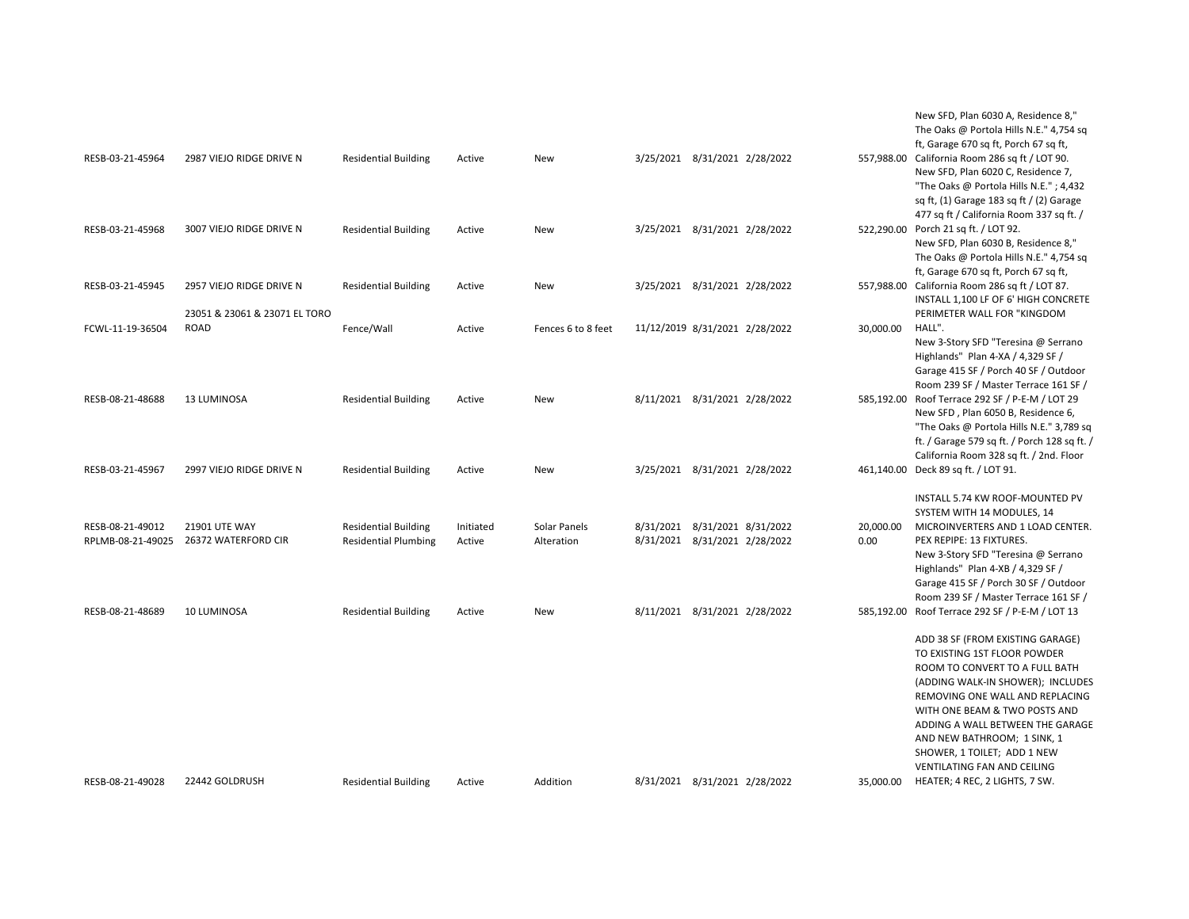| RESB-03-21-45964                      | 2987 VIEJO RIDGE DRIVE N                     | <b>Residential Building</b>                                | Active              | New                        | 3/25/2021 8/31/2021 2/28/2022                                  |                   | New SFD, Plan 6030 A, Residence 8,"<br>The Oaks @ Portola Hills N.E." 4,754 sq<br>ft, Garage 670 sq ft, Porch 67 sq ft,<br>557,988.00 California Room 286 sq ft / LOT 90.<br>New SFD, Plan 6020 C, Residence 7,<br>"The Oaks @ Portola Hills N.E."; 4,432<br>sq ft, $(1)$ Garage 183 sq ft $/$ $(2)$ Garage                                                                                     |
|---------------------------------------|----------------------------------------------|------------------------------------------------------------|---------------------|----------------------------|----------------------------------------------------------------|-------------------|-------------------------------------------------------------------------------------------------------------------------------------------------------------------------------------------------------------------------------------------------------------------------------------------------------------------------------------------------------------------------------------------------|
| RESB-03-21-45968                      | 3007 VIEJO RIDGE DRIVE N                     | <b>Residential Building</b>                                | Active              | New                        | 3/25/2021 8/31/2021 2/28/2022                                  |                   | 477 sq ft / California Room 337 sq ft. /<br>522,290.00 Porch 21 sq ft. / LOT 92.<br>New SFD, Plan 6030 B, Residence 8,"<br>The Oaks @ Portola Hills N.E." 4,754 sq<br>ft, Garage 670 sq ft, Porch 67 sq ft,                                                                                                                                                                                     |
| RESB-03-21-45945                      | 2957 VIEJO RIDGE DRIVE N                     | <b>Residential Building</b>                                | Active              | New                        | 3/25/2021 8/31/2021 2/28/2022                                  |                   | 557,988.00 California Room 286 sq ft / LOT 87.<br>INSTALL 1,100 LF OF 6' HIGH CONCRETE                                                                                                                                                                                                                                                                                                          |
| FCWL-11-19-36504                      | 23051 & 23061 & 23071 EL TORO<br><b>ROAD</b> | Fence/Wall                                                 | Active              | Fences 6 to 8 feet         | 11/12/2019 8/31/2021 2/28/2022                                 | 30,000.00         | PERIMETER WALL FOR "KINGDOM<br>HALL".<br>New 3-Story SFD "Teresina @ Serrano<br>Highlands" Plan 4-XA / 4,329 SF /<br>Garage 415 SF / Porch 40 SF / Outdoor<br>Room 239 SF / Master Terrace 161 SF /                                                                                                                                                                                             |
| RESB-08-21-48688                      | <b>13 LUMINOSA</b>                           | <b>Residential Building</b>                                | Active              | New                        | 8/11/2021 8/31/2021 2/28/2022                                  |                   | 585,192.00 Roof Terrace 292 SF / P-E-M / LOT 29<br>New SFD, Plan 6050 B, Residence 6,<br>"The Oaks @ Portola Hills N.E." 3,789 sq<br>ft. / Garage 579 sq ft. / Porch 128 sq ft. /<br>California Room 328 sq ft. / 2nd. Floor                                                                                                                                                                    |
| RESB-03-21-45967                      | 2997 VIEJO RIDGE DRIVE N                     | <b>Residential Building</b>                                | Active              | New                        | 3/25/2021 8/31/2021 2/28/2022                                  |                   | 461,140.00 Deck 89 sq ft. / LOT 91.<br>INSTALL 5.74 KW ROOF-MOUNTED PV                                                                                                                                                                                                                                                                                                                          |
| RESB-08-21-49012<br>RPLMB-08-21-49025 | <b>21901 UTE WAY</b><br>26372 WATERFORD CIR  | <b>Residential Building</b><br><b>Residential Plumbing</b> | Initiated<br>Active | Solar Panels<br>Alteration | 8/31/2021 8/31/2021 8/31/2022<br>8/31/2021 8/31/2021 2/28/2022 | 20,000.00<br>0.00 | SYSTEM WITH 14 MODULES, 14<br>MICROINVERTERS AND 1 LOAD CENTER.<br>PEX REPIPE: 13 FIXTURES.<br>New 3-Story SFD "Teresina @ Serrano<br>Highlands" Plan 4-XB / 4,329 SF /<br>Garage 415 SF / Porch 30 SF / Outdoor<br>Room 239 SF / Master Terrace 161 SF /                                                                                                                                       |
| RESB-08-21-48689                      | <b>10 LUMINOSA</b>                           | <b>Residential Building</b>                                | Active              | <b>New</b>                 | 8/11/2021 8/31/2021 2/28/2022                                  |                   | 585,192.00 Roof Terrace 292 SF / P-E-M / LOT 13<br>ADD 38 SF (FROM EXISTING GARAGE)<br>TO EXISTING 1ST FLOOR POWDER<br>ROOM TO CONVERT TO A FULL BATH<br>(ADDING WALK-IN SHOWER); INCLUDES<br>REMOVING ONE WALL AND REPLACING<br>WITH ONE BEAM & TWO POSTS AND<br>ADDING A WALL BETWEEN THE GARAGE<br>AND NEW BATHROOM; 1 SINK, 1<br>SHOWER, 1 TOILET; ADD 1 NEW<br>VENTILATING FAN AND CEILING |
| RESB-08-21-49028                      | 22442 GOLDRUSH                               | <b>Residential Building</b>                                | Active              | Addition                   | 8/31/2021 8/31/2021 2/28/2022                                  | 35,000.00         | HEATER; 4 REC, 2 LIGHTS, 7 SW.                                                                                                                                                                                                                                                                                                                                                                  |